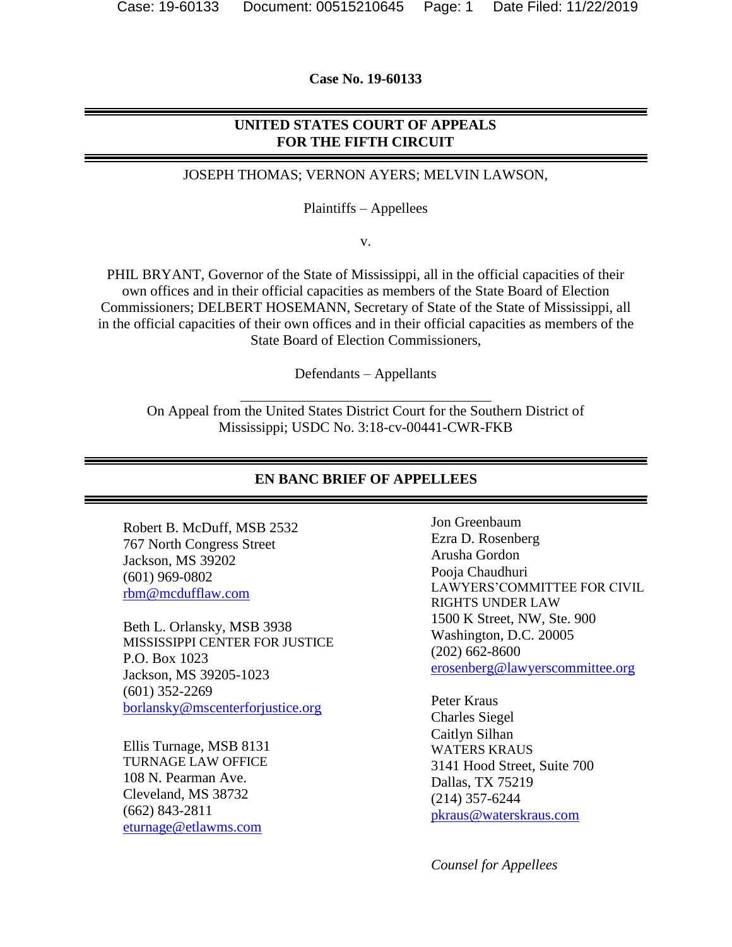**Case No. 19-60133**

### **UNITED STATES COURT OF APPEALS FOR THE FIFTH CIRCUIT**

JOSEPH THOMAS; VERNON AYERS; MELVIN LAWSON,

Plaintiffs – Appellees

v.

PHIL BRYANT, Governor of the State of Mississippi, all in the official capacities of their own offices and in their official capacities as members of the State Board of Election Commissioners; DELBERT HOSEMANN, Secretary of State of the State of Mississippi, all in the official capacities of their own offices and in their official capacities as members of the State Board of Election Commissioners,

Defendants – Appellants

On Appeal from the United States District Court for the Southern District of Mississippi; USDC No. 3:18-cv-00441-CWR-FKB

#### **EN BANC BRIEF OF APPELLEES**

Robert B. McDuff, MSB 2532 767 North Congress Street Jackson, MS 39202 (601) 969-0802 [rbm@mcdufflaw.com](mailto:rbm@mcdufflaw.com)

Beth L. Orlansky, MSB 3938 MISSISSIPPI CENTER FOR JUSTICE P.O. Box 1023 Jackson, MS 39205-1023 (601) 352-2269 [borlansky@mscenterforjustice.org](mailto:borlansky@mscenterforjustice.org)

Ellis Turnage, MSB 8131 TURNAGE LAW OFFICE 108 N. Pearman Ave. Cleveland, MS 38732 (662) 843-2811 [eturnage@etlawms.com](mailto:eturnage@etlawms.com)

Jon Greenbaum Ezra D. Rosenberg Arusha Gordon Pooja Chaudhuri LAWYERS'COMMITTEE FOR CIVIL RIGHTS UNDER LAW 1500 K Street, NW, Ste. 900 Washington, D.C. 20005 (202) 662-8600 [erosenberg@lawyerscommittee.org](mailto:erosenberg@lawyerscommittee.org)

Peter Kraus Charles Siegel Caitlyn Silhan WATERS KRAUS 3141 Hood Street, Suite 700 Dallas, TX 75219 (214) 357-6244 [pkraus@waterskraus.com](mailto:pkraus@waterskraus.com)

 *Counsel for Appellees*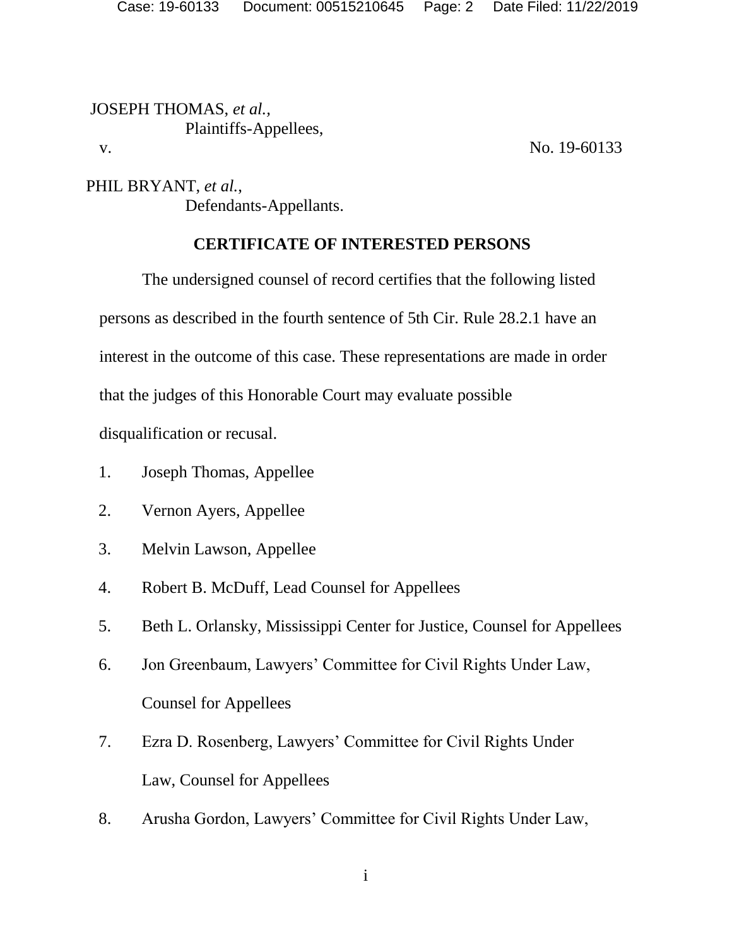JOSEPH THOMAS, *et al.,* Plaintiffs-Appellees, v. No. 19-60133

PHIL BRYANT, *et al.*, Defendants-Appellants.

### **CERTIFICATE OF INTERESTED PERSONS**

The undersigned counsel of record certifies that the following listed persons as described in the fourth sentence of 5th Cir. Rule 28.2.1 have an interest in the outcome of this case. These representations are made in order that the judges of this Honorable Court may evaluate possible

disqualification or recusal.

- 1. Joseph Thomas, Appellee
- 2. Vernon Ayers, Appellee
- 3. Melvin Lawson, Appellee
- 4. Robert B. McDuff, Lead Counsel for Appellees
- 5. Beth L. Orlansky, Mississippi Center for Justice, Counsel for Appellees
- 6. Jon Greenbaum, Lawyers' Committee for Civil Rights Under Law, Counsel for Appellees
- 7. Ezra D. Rosenberg, Lawyers' Committee for Civil Rights Under Law, Counsel for Appellees
- 8. Arusha Gordon, Lawyers' Committee for Civil Rights Under Law,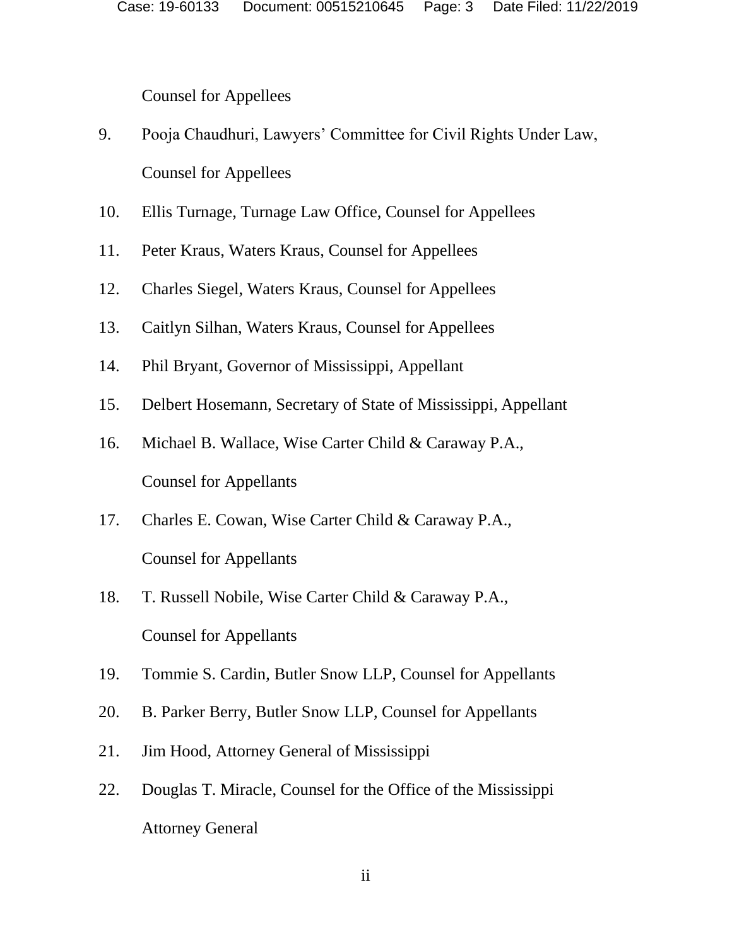Counsel for Appellees

- 9. Pooja Chaudhuri, Lawyers' Committee for Civil Rights Under Law, Counsel for Appellees
- 10. Ellis Turnage, Turnage Law Office, Counsel for Appellees
- 11. Peter Kraus, Waters Kraus, Counsel for Appellees
- 12. Charles Siegel, Waters Kraus, Counsel for Appellees
- 13. Caitlyn Silhan, Waters Kraus, Counsel for Appellees
- 14. Phil Bryant, Governor of Mississippi, Appellant
- 15. Delbert Hosemann, Secretary of State of Mississippi, Appellant
- 16. Michael B. Wallace, Wise Carter Child & Caraway P.A., Counsel for Appellants
- 17. Charles E. Cowan, Wise Carter Child & Caraway P.A., Counsel for Appellants
- 18. T. Russell Nobile, Wise Carter Child & Caraway P.A., Counsel for Appellants
- 19. Tommie S. Cardin, Butler Snow LLP, Counsel for Appellants
- 20. B. Parker Berry, Butler Snow LLP, Counsel for Appellants
- 21. Jim Hood, Attorney General of Mississippi
- 22. Douglas T. Miracle, Counsel for the Office of the Mississippi Attorney General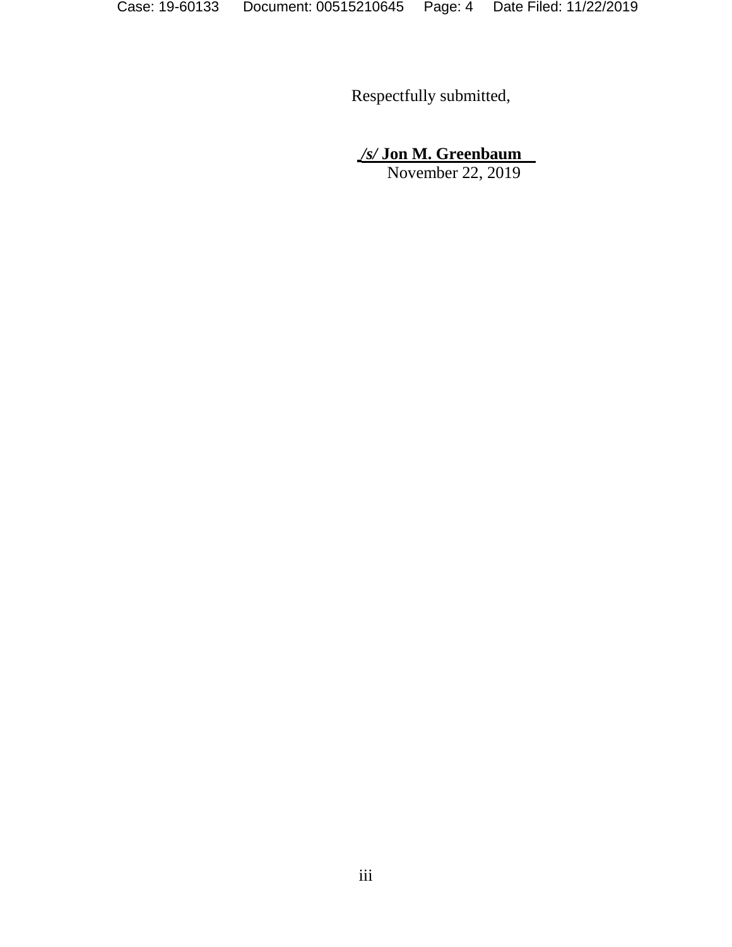Respectfully submitted,

*/s/* **Jon M. Greenbaum**

November 22, 2019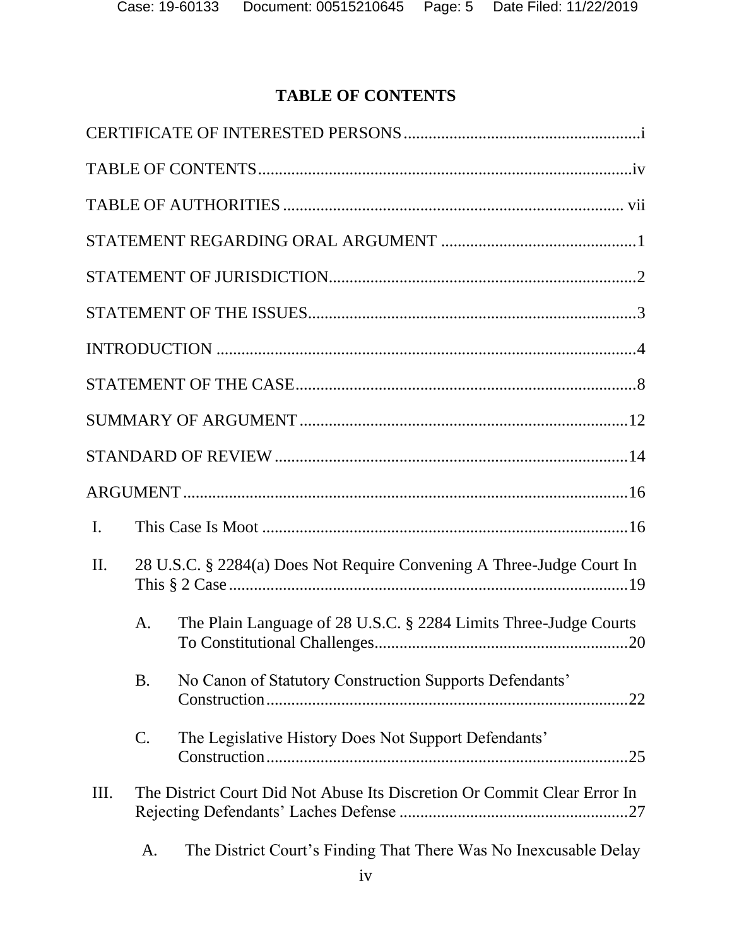# **TABLE OF CONTENTS**

| $\mathbf{I}$ .  |           |                                                                          |
|-----------------|-----------|--------------------------------------------------------------------------|
| $\mathbf{II}$ . |           | 28 U.S.C. § 2284(a) Does Not Require Convening A Three-Judge Court In    |
|                 | А.        | The Plain Language of 28 U.S.C. § 2284 Limits Three-Judge Courts         |
|                 | <b>B.</b> | No Canon of Statutory Construction Supports Defendants'                  |
|                 | C.        | The Legislative History Does Not Support Defendants'                     |
| III.            |           | The District Court Did Not Abuse Its Discretion Or Commit Clear Error In |
|                 | A.        | The District Court's Finding That There Was No Inexcusable Delay         |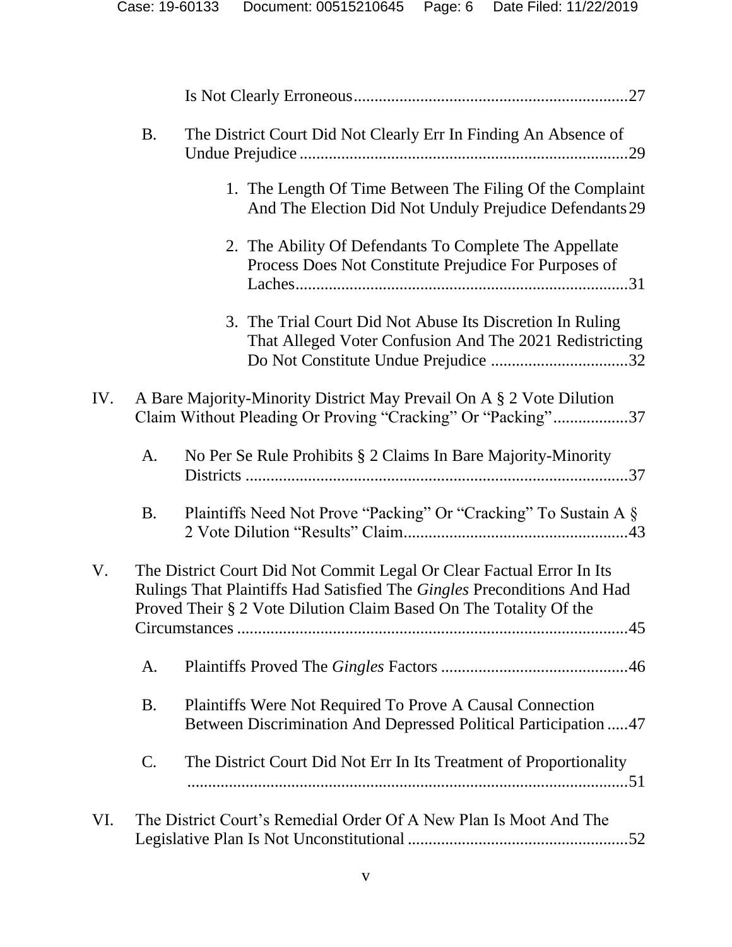|     | <b>B.</b>       | The District Court Did Not Clearly Err In Finding An Absence of                                                                                                                                                       |
|-----|-----------------|-----------------------------------------------------------------------------------------------------------------------------------------------------------------------------------------------------------------------|
|     |                 | 1. The Length Of Time Between The Filing Of the Complaint<br>And The Election Did Not Unduly Prejudice Defendants 29                                                                                                  |
|     |                 | 2. The Ability Of Defendants To Complete The Appellate<br>Process Does Not Constitute Prejudice For Purposes of                                                                                                       |
|     |                 | 3. The Trial Court Did Not Abuse Its Discretion In Ruling<br>That Alleged Voter Confusion And The 2021 Redistricting                                                                                                  |
| IV. |                 | A Bare Majority-Minority District May Prevail On A § 2 Vote Dilution<br>Claim Without Pleading Or Proving "Cracking" Or "Packing"37                                                                                   |
|     | A.              | No Per Se Rule Prohibits § 2 Claims In Bare Majority-Minority                                                                                                                                                         |
|     | <b>B.</b>       | Plaintiffs Need Not Prove "Packing" Or "Cracking" To Sustain A §                                                                                                                                                      |
| V.  |                 | The District Court Did Not Commit Legal Or Clear Factual Error In Its<br>Rulings That Plaintiffs Had Satisfied The Gingles Preconditions And Had<br>Proved Their § 2 Vote Dilution Claim Based On The Totality Of the |
|     | A.              |                                                                                                                                                                                                                       |
|     | <b>B.</b>       | Plaintiffs Were Not Required To Prove A Causal Connection<br>Between Discrimination And Depressed Political Participation  47                                                                                         |
|     | $\mathcal{C}$ . | The District Court Did Not Err In Its Treatment of Proportionality                                                                                                                                                    |
| VI. |                 | The District Court's Remedial Order Of A New Plan Is Moot And The                                                                                                                                                     |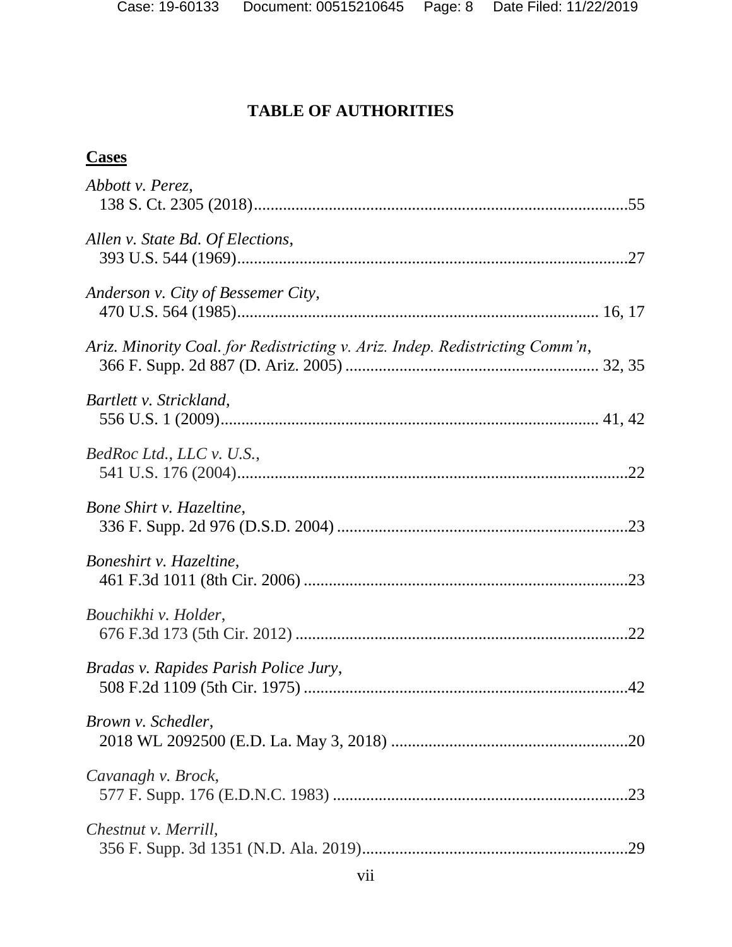# **TABLE OF AUTHORITIES**

### **Cases**

| Abbott v. Perez,                                                             |
|------------------------------------------------------------------------------|
| Allen v. State Bd. Of Elections,                                             |
| Anderson v. City of Bessemer City,                                           |
| Ariz. Minority Coal. for Redistricting v. Ariz. Indep. Redistricting Comm'n, |
| Bartlett v. Strickland,                                                      |
| BedRoc Ltd., LLC v. U.S.,                                                    |
| Bone Shirt v. Hazeltine,                                                     |
| Boneshirt v. Hazeltine,                                                      |
| Bouchikhi v. Holder,                                                         |
| Bradas v. Rapides Parish Police Jury,                                        |
| Brown v. Schedler,                                                           |
| Cavanagh v. Brock,                                                           |
| Chestnut v. Merrill,                                                         |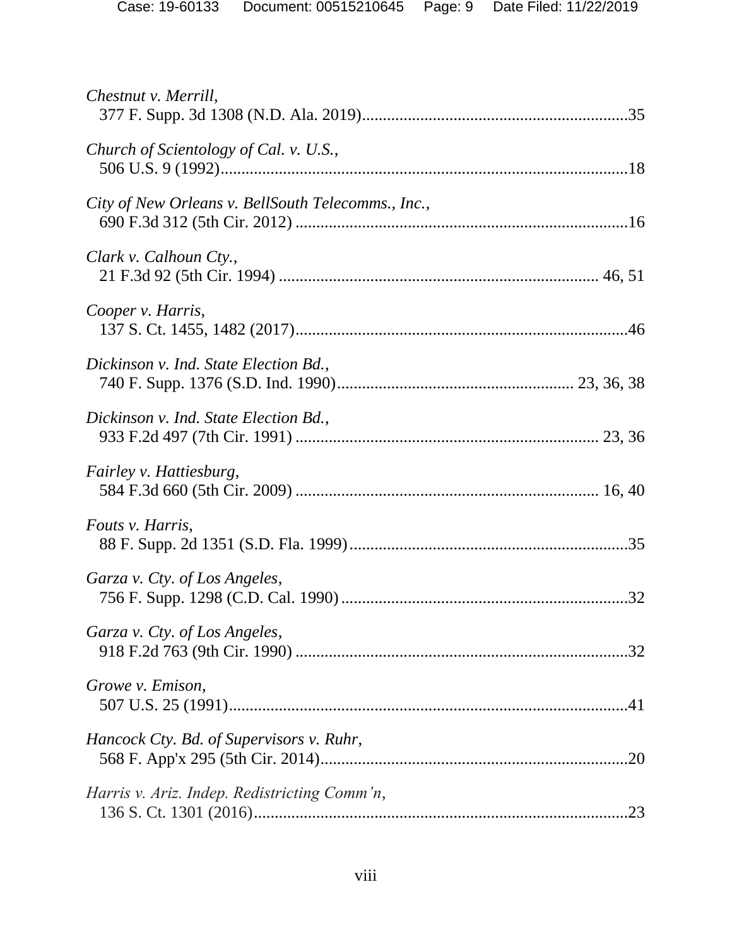| Chestnut v. Merrill,                               |
|----------------------------------------------------|
| Church of Scientology of Cal. v. U.S.,             |
| City of New Orleans v. BellSouth Telecomms., Inc., |
| Clark v. Calhoun Cty.,                             |
| Cooper v. Harris,                                  |
| Dickinson v. Ind. State Election Bd.,              |
| Dickinson v. Ind. State Election Bd.,              |
| <i>Fairley v. Hattiesburg,</i>                     |
| Fouts v. Harris,                                   |
| Garza v. Cty. of Los Angeles,                      |
| Garza v. Cty. of Los Angeles,                      |
| Growe v. Emison,                                   |
| Hancock Cty. Bd. of Supervisors v. Ruhr,           |
| Harris v. Ariz. Indep. Redistricting Comm'n,       |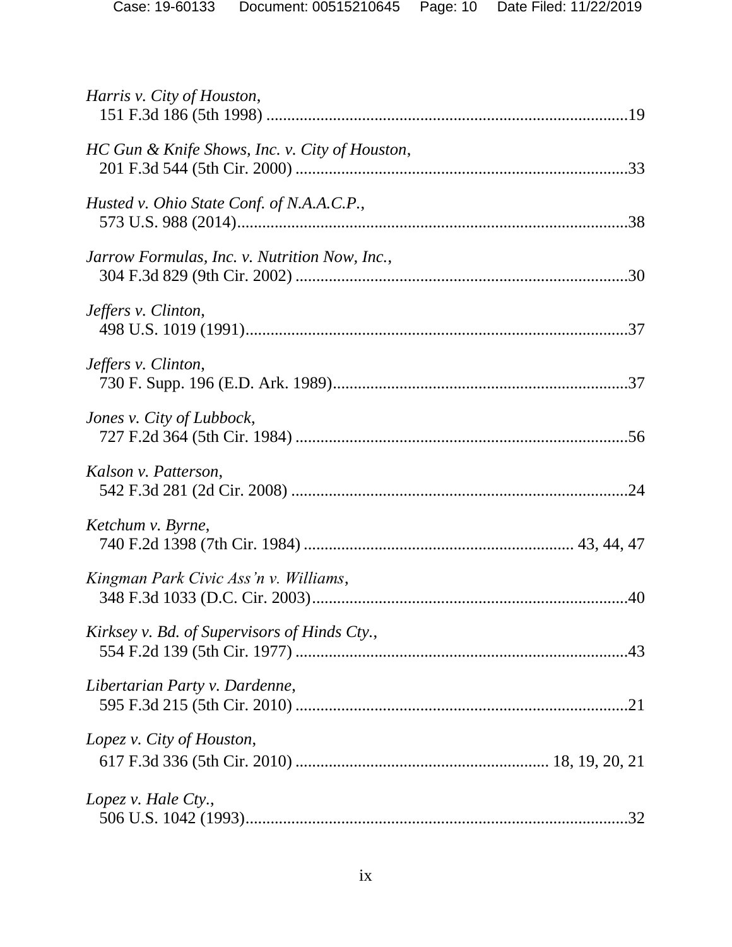| Harris v. City of Houston,                     |
|------------------------------------------------|
| HC Gun & Knife Shows, Inc. v. City of Houston, |
| Husted v. Ohio State Conf. of N.A.A.C.P.,      |
| Jarrow Formulas, Inc. v. Nutrition Now, Inc.,  |
| Jeffers v. Clinton,                            |
| Jeffers v. Clinton,                            |
| Jones v. City of Lubbock,                      |
| Kalson v. Patterson,                           |
| Ketchum v. Byrne,                              |
| Kingman Park Civic Ass'n v. Williams,          |
| Kirksey v. Bd. of Supervisors of Hinds Cty.,   |
| Libertarian Party v. Dardenne,                 |
| Lopez v. City of Houston,                      |
| Lopez v. Hale Cty.,                            |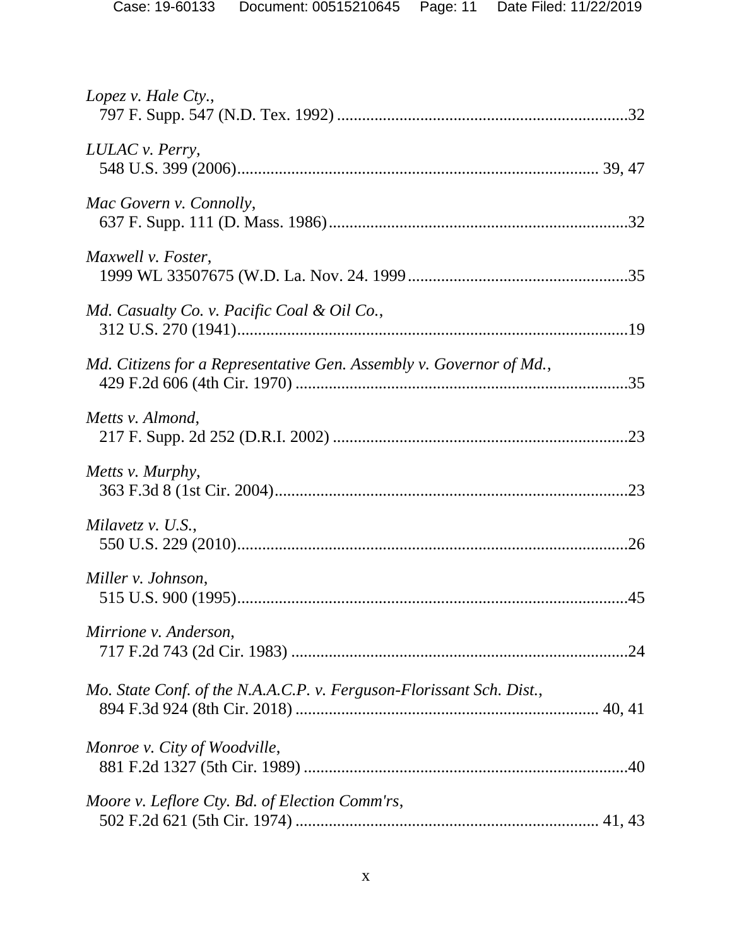| Lopez v. Hale $C$ ty.,                                               |  |
|----------------------------------------------------------------------|--|
| LULAC v. Perry,                                                      |  |
| Mac Govern v. Connolly,                                              |  |
| Maxwell v. Foster,                                                   |  |
| Md. Casualty Co. v. Pacific Coal & Oil Co.,                          |  |
| Md. Citizens for a Representative Gen. Assembly v. Governor of Md.,  |  |
| Metts v. Almond,                                                     |  |
| Metts v. Murphy,                                                     |  |
| Milavetz v. U.S.,                                                    |  |
| Miller v. Johnson,                                                   |  |
| Mirrione v. Anderson,                                                |  |
| Mo. State Conf. of the N.A.A.C.P. v. Ferguson-Florissant Sch. Dist., |  |
| Monroe v. City of Woodville,                                         |  |
| Moore v. Leflore Cty. Bd. of Election Comm'rs,                       |  |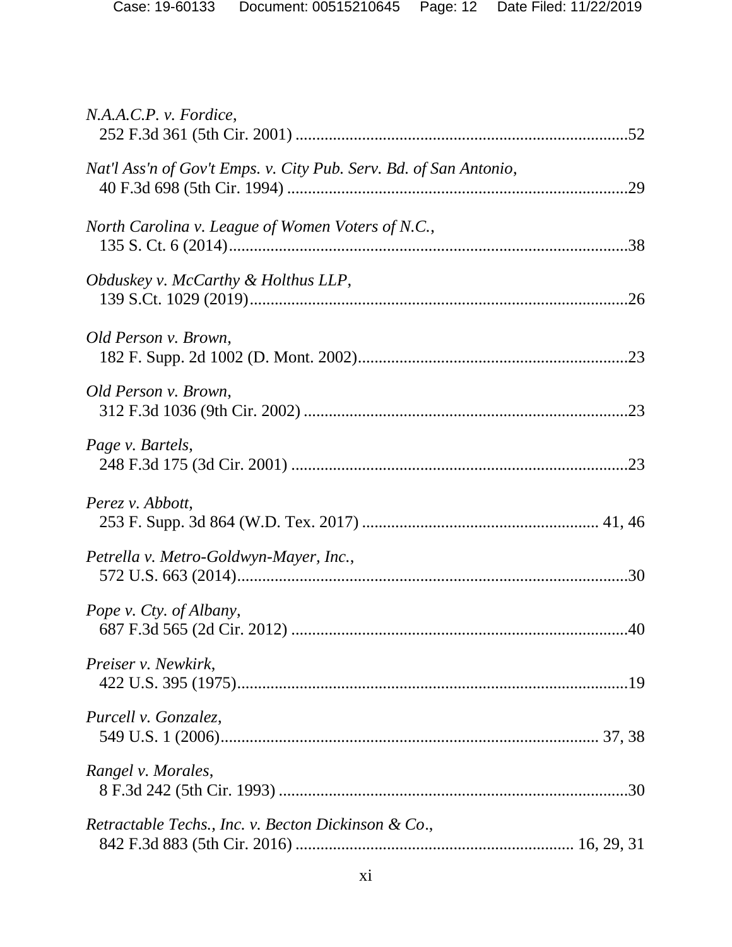| N.A.A.C.P. v. For dice,                                           |
|-------------------------------------------------------------------|
| Nat'l Ass'n of Gov't Emps. v. City Pub. Serv. Bd. of San Antonio, |
| North Carolina v. League of Women Voters of N.C.,                 |
| <i>Obduskey v. McCarthy &amp; Holthus LLP,</i>                    |
| Old Person v. Brown,                                              |
| Old Person v. Brown,                                              |
| Page v. Bartels,                                                  |
| Perez v. Abbott,                                                  |
| Petrella v. Metro-Goldwyn-Mayer, Inc.,                            |
| Pope v. Cty. of Albany,                                           |
| Preiser v. Newkirk,                                               |
| Purcell v. Gonzalez,                                              |
| Rangel v. Morales,                                                |
| Retractable Techs., Inc. v. Becton Dickinson & Co.,               |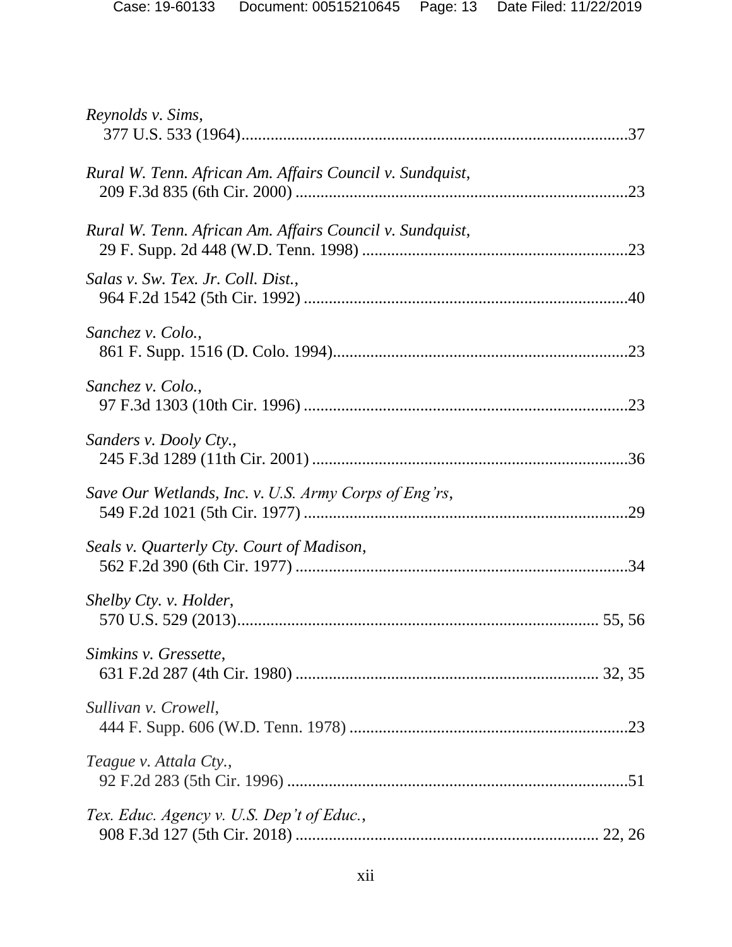| Reynolds v. Sims,                                        |
|----------------------------------------------------------|
| Rural W. Tenn. African Am. Affairs Council v. Sundquist, |
| Rural W. Tenn. African Am. Affairs Council v. Sundquist, |
| Salas v. Sw. Tex. Jr. Coll. Dist.,                       |
| Sanchez v. Colo.,                                        |
| Sanchez v. Colo.,                                        |
| Sanders v. Dooly Cty.,                                   |
| Save Our Wetlands, Inc. v. U.S. Army Corps of Eng'rs,    |
| Seals v. Quarterly Cty. Court of Madison,                |
| Shelby Cty. v. Holder,                                   |
| Simkins v. Gressette,                                    |
| Sullivan v. Crowell,                                     |
| Teague v. Attala Cty.,                                   |
| Tex. Educ. Agency v. U.S. Dep't of Educ.,                |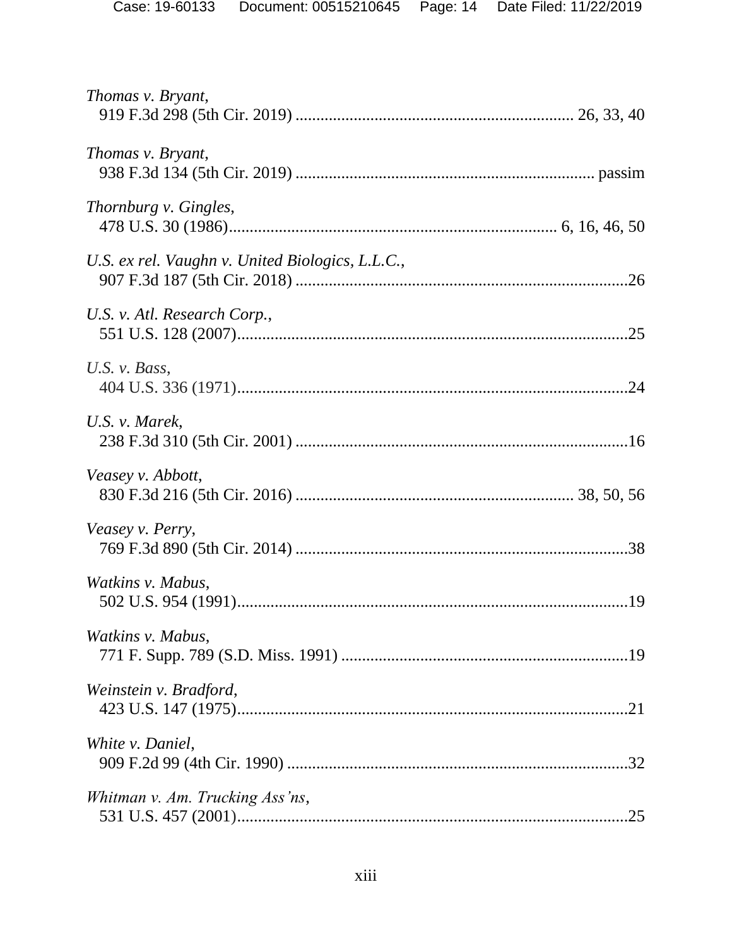| Thomas v. Bryant,                                |
|--------------------------------------------------|
| Thomas v. Bryant,                                |
| <i>Thornburg v. Gingles,</i>                     |
| U.S. ex rel. Vaughn v. United Biologics, L.L.C., |
| U.S. v. Atl. Research Corp.,                     |
| U.S. $v.$ Bass,                                  |
| U.S. v. Marek,                                   |
| Veasey v. Abbott,                                |
| Veasey v. Perry,                                 |
| Watkins v. Mabus,                                |
| Watkins v. Mabus,                                |
| Weinstein v. Bradford,                           |
| White <i>v</i> . Daniel,                         |
| Whitman v. Am. Trucking Ass'ns,                  |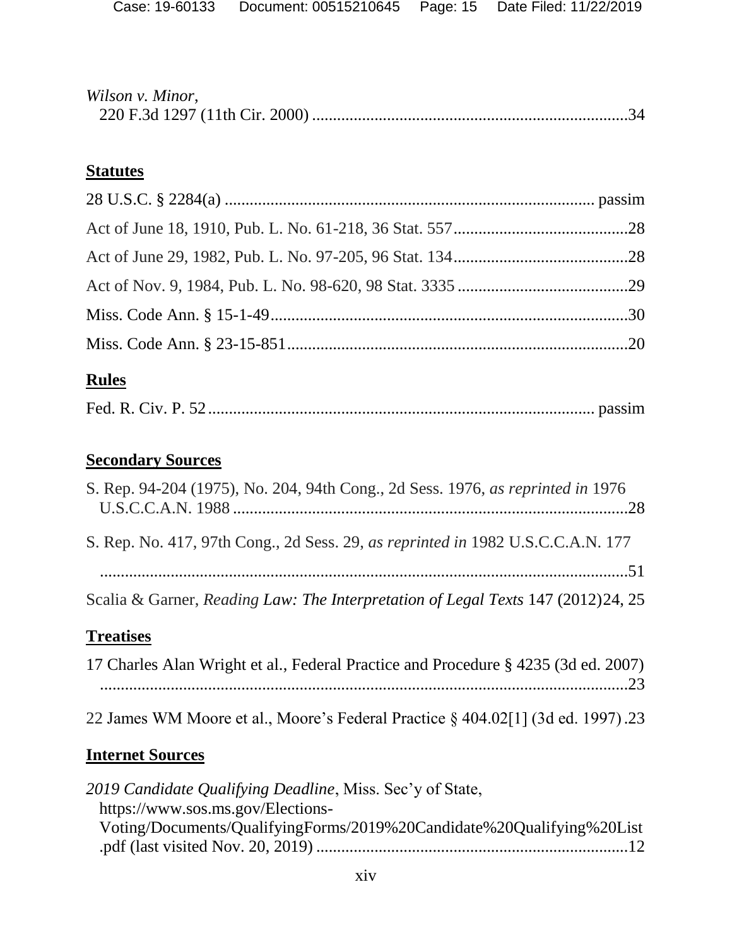| Wilson v. Minor, |  |
|------------------|--|
|                  |  |

## **Statutes**

# **Rules**

|--|--|--|--|--|--|

# **Secondary Sources**

| Scalia & Garner, Reading Law: The Interpretation of Legal Texts 147 (2012)24, 25<br>Trooticos |  |
|-----------------------------------------------------------------------------------------------|--|
|                                                                                               |  |
| S. Rep. No. 417, 97th Cong., 2d Sess. 29, as reprinted in 1982 U.S.C.C.A.N. 177               |  |
| S. Rep. 94-204 (1975), No. 204, 94th Cong., 2d Sess. 1976, as reprinted in 1976               |  |

# **Treatises**

| 17 Charles Alan Wright et al., Federal Practice and Procedure § 4235 (3d ed. 2007) |  |
|------------------------------------------------------------------------------------|--|
|                                                                                    |  |
|                                                                                    |  |
| 22 James WM Moore et al., Moore's Federal Practice § 404.02[1] (3d ed. 1997).23    |  |

# **Internet Sources**

| 2019 Candidate Qualifying Deadline, Miss. Sec'y of State,             |  |
|-----------------------------------------------------------------------|--|
| https://www.sos.ms.gov/Elections-                                     |  |
| Voting/Documents/QualifyingForms/2019%20Candidate%20Qualifying%20List |  |
|                                                                       |  |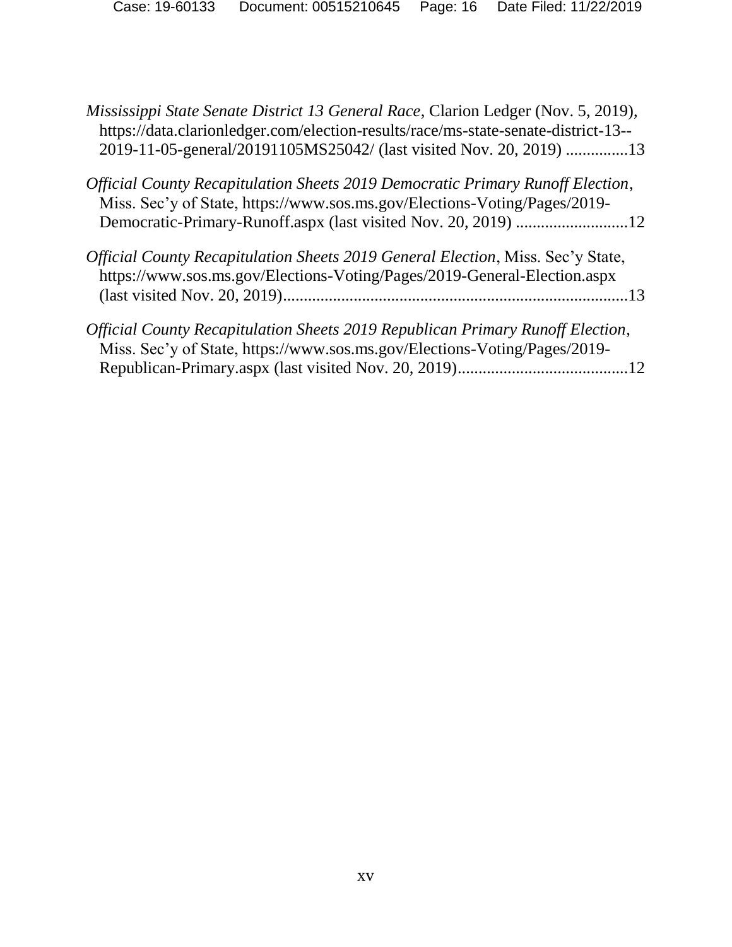*Mississippi State Senate District 13 General Race*, Clarion Ledger (Nov. 5, 2019), https://data.clarionledger.com/election-results/race/ms-state-senate-district-13-- 2019-11-05-general/20191105MS25042/ (last visited Nov. 20, 2019) ...............13

| Official County Recapitulation Sheets 2019 Democratic Primary Runoff Election, |  |
|--------------------------------------------------------------------------------|--|
| Miss. Sec'y of State, https://www.sos.ms.gov/Elections-Voting/Pages/2019-      |  |
|                                                                                |  |

| Official County Recapitulation Sheets 2019 General Election, Miss. Sec'y State, |  |
|---------------------------------------------------------------------------------|--|
| https://www.sos.ms.gov/Elections-Voting/Pages/2019-General-Election.aspx        |  |
|                                                                                 |  |
|                                                                                 |  |

| Official County Recapitulation Sheets 2019 Republican Primary Runoff Election, |  |
|--------------------------------------------------------------------------------|--|
| Miss. Sec'y of State, https://www.sos.ms.gov/Elections-Voting/Pages/2019-      |  |
|                                                                                |  |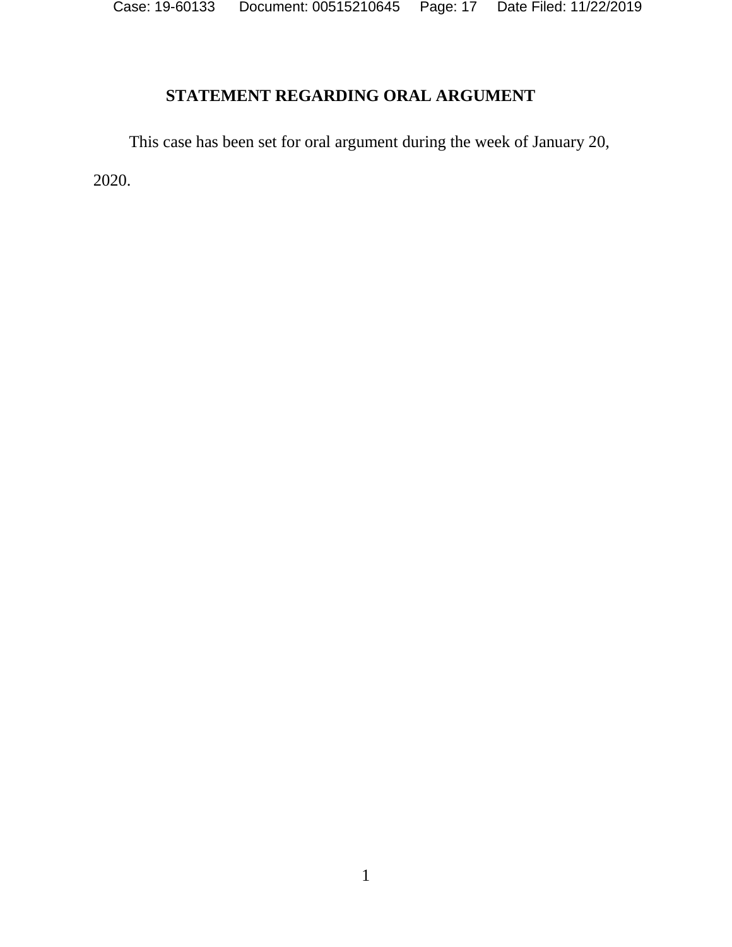Case: 19-60133 Document: 00515210645 Page: 17 Date Filed: 11/22/2019

# **STATEMENT REGARDING ORAL ARGUMENT**

This case has been set for oral argument during the week of January 20,

2020.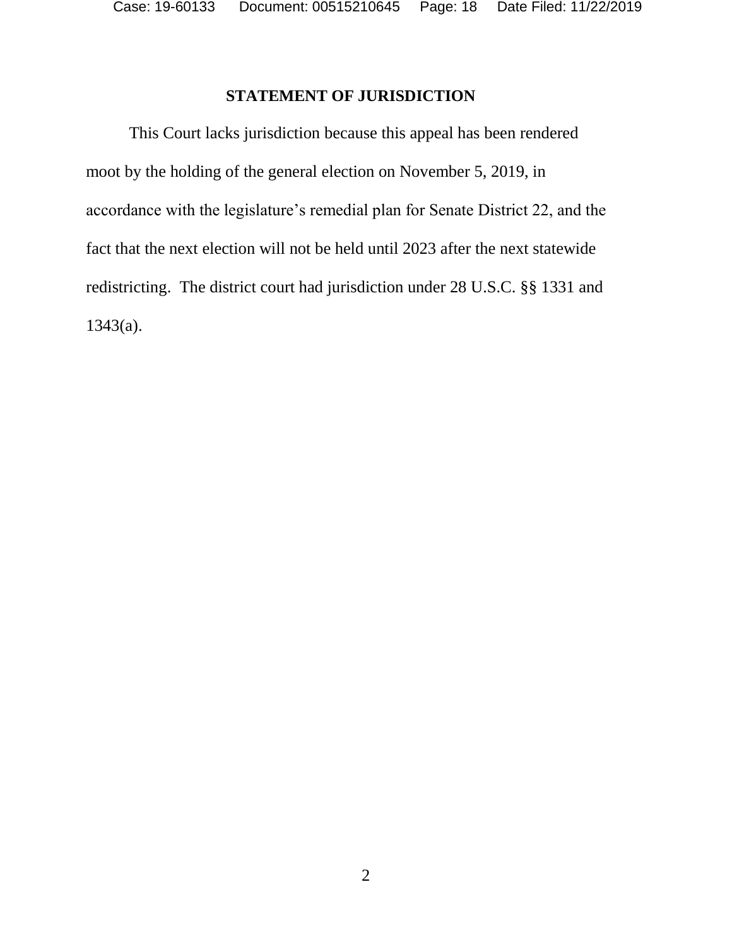## **STATEMENT OF JURISDICTION**

This Court lacks jurisdiction because this appeal has been rendered moot by the holding of the general election on November 5, 2019, in accordance with the legislature's remedial plan for Senate District 22, and the fact that the next election will not be held until 2023 after the next statewide redistricting. The district court had jurisdiction under 28 U.S.C. §§ 1331 and 1343(a).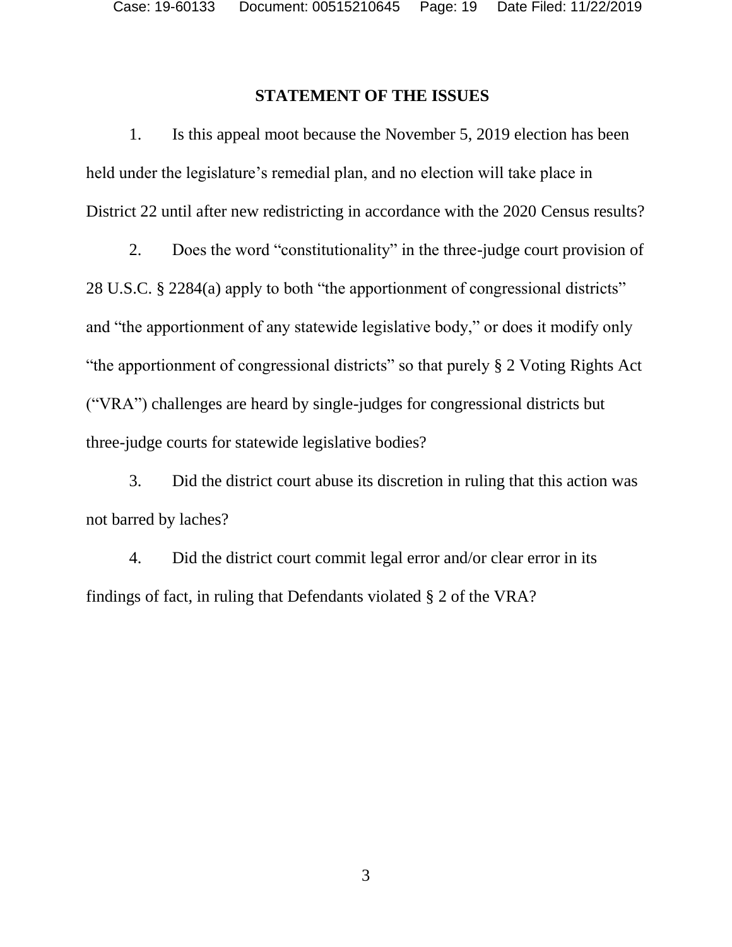### **STATEMENT OF THE ISSUES**

1. Is this appeal moot because the November 5, 2019 election has been held under the legislature's remedial plan, and no election will take place in District 22 until after new redistricting in accordance with the 2020 Census results?

2. Does the word "constitutionality" in the three-judge court provision of 28 U.S.C. § 2284(a) apply to both "the apportionment of congressional districts" and "the apportionment of any statewide legislative body," or does it modify only "the apportionment of congressional districts" so that purely § 2 Voting Rights Act ("VRA") challenges are heard by single-judges for congressional districts but three-judge courts for statewide legislative bodies?

3. Did the district court abuse its discretion in ruling that this action was not barred by laches?

4. Did the district court commit legal error and/or clear error in its findings of fact, in ruling that Defendants violated § 2 of the VRA?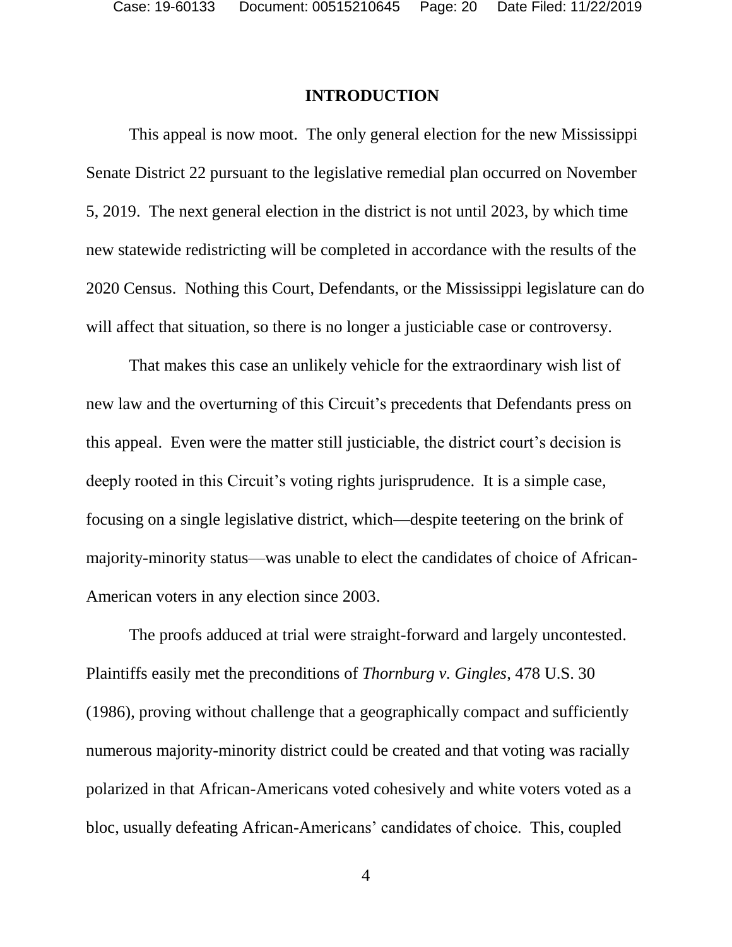### **INTRODUCTION**

This appeal is now moot. The only general election for the new Mississippi Senate District 22 pursuant to the legislative remedial plan occurred on November 5, 2019. The next general election in the district is not until 2023, by which time new statewide redistricting will be completed in accordance with the results of the 2020 Census. Nothing this Court, Defendants, or the Mississippi legislature can do will affect that situation, so there is no longer a justiciable case or controversy.

That makes this case an unlikely vehicle for the extraordinary wish list of new law and the overturning of this Circuit's precedents that Defendants press on this appeal. Even were the matter still justiciable, the district court's decision is deeply rooted in this Circuit's voting rights jurisprudence. It is a simple case, focusing on a single legislative district, which—despite teetering on the brink of majority-minority status—was unable to elect the candidates of choice of African-American voters in any election since 2003.

The proofs adduced at trial were straight-forward and largely uncontested. Plaintiffs easily met the preconditions of *Thornburg v. Gingles*, 478 U.S. 30 (1986), proving without challenge that a geographically compact and sufficiently numerous majority-minority district could be created and that voting was racially polarized in that African-Americans voted cohesively and white voters voted as a bloc, usually defeating African-Americans' candidates of choice. This, coupled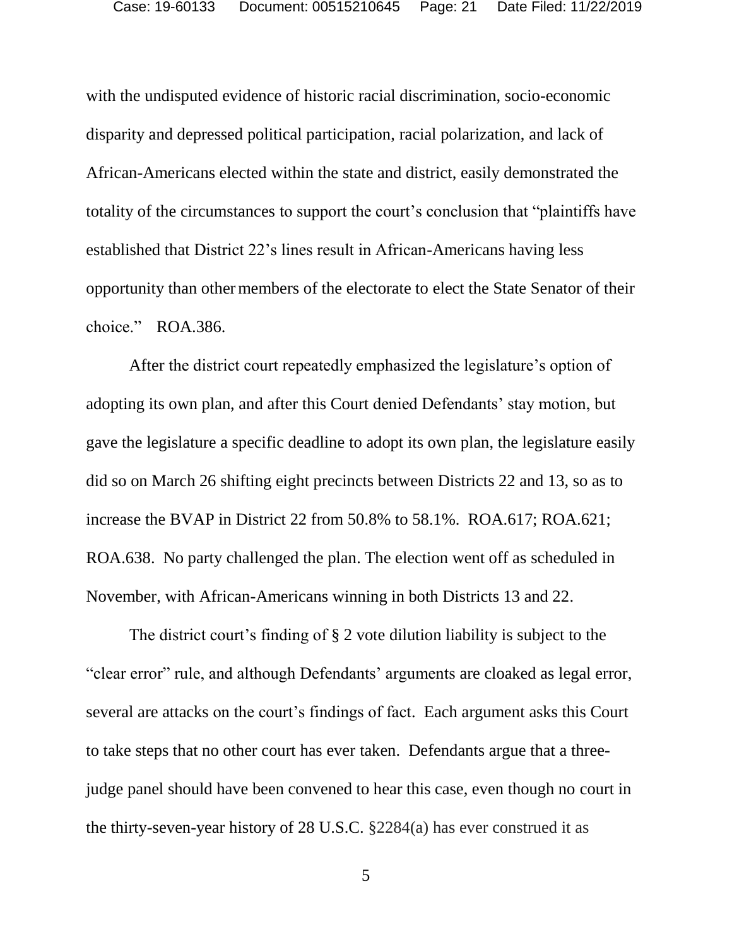with the undisputed evidence of historic racial discrimination, socio-economic disparity and depressed political participation, racial polarization, and lack of African-Americans elected within the state and district, easily demonstrated the totality of the circumstances to support the court's conclusion that "plaintiffs have established that District 22's lines result in African-Americans having less opportunity than othermembers of the electorate to elect the State Senator of their choice." ROA.386.

After the district court repeatedly emphasized the legislature's option of adopting its own plan, and after this Court denied Defendants' stay motion, but gave the legislature a specific deadline to adopt its own plan, the legislature easily did so on March 26 shifting eight precincts between Districts 22 and 13, so as to increase the BVAP in District 22 from 50.8% to 58.1%. ROA.617; ROA.621; ROA.638. No party challenged the plan. The election went off as scheduled in November, with African-Americans winning in both Districts 13 and 22.

The district court's finding of § 2 vote dilution liability is subject to the "clear error" rule, and although Defendants' arguments are cloaked as legal error, several are attacks on the court's findings of fact. Each argument asks this Court to take steps that no other court has ever taken. Defendants argue that a threejudge panel should have been convened to hear this case, even though no court in the thirty-seven-year history of 28 U.S.C. §2284(a) has ever construed it as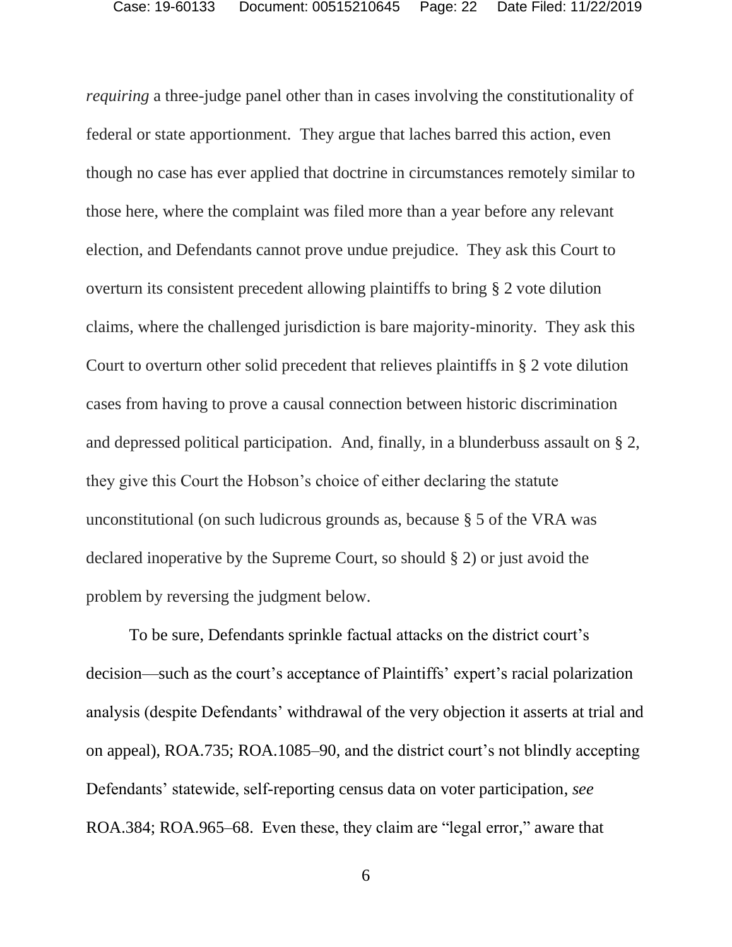*requiring* a three-judge panel other than in cases involving the constitutionality of federal or state apportionment. They argue that laches barred this action, even though no case has ever applied that doctrine in circumstances remotely similar to those here, where the complaint was filed more than a year before any relevant election, and Defendants cannot prove undue prejudice. They ask this Court to overturn its consistent precedent allowing plaintiffs to bring § 2 vote dilution claims, where the challenged jurisdiction is bare majority-minority. They ask this Court to overturn other solid precedent that relieves plaintiffs in § 2 vote dilution cases from having to prove a causal connection between historic discrimination and depressed political participation. And, finally, in a blunderbuss assault on § 2, they give this Court the Hobson's choice of either declaring the statute unconstitutional (on such ludicrous grounds as, because § 5 of the VRA was declared inoperative by the Supreme Court, so should § 2) or just avoid the problem by reversing the judgment below.

To be sure, Defendants sprinkle factual attacks on the district court's decision—such as the court's acceptance of Plaintiffs' expert's racial polarization analysis (despite Defendants' withdrawal of the very objection it asserts at trial and on appeal), ROA.735; ROA.1085–90, and the district court's not blindly accepting Defendants' statewide, self-reporting census data on voter participation, *see*  ROA.384; ROA.965–68. Even these, they claim are "legal error," aware that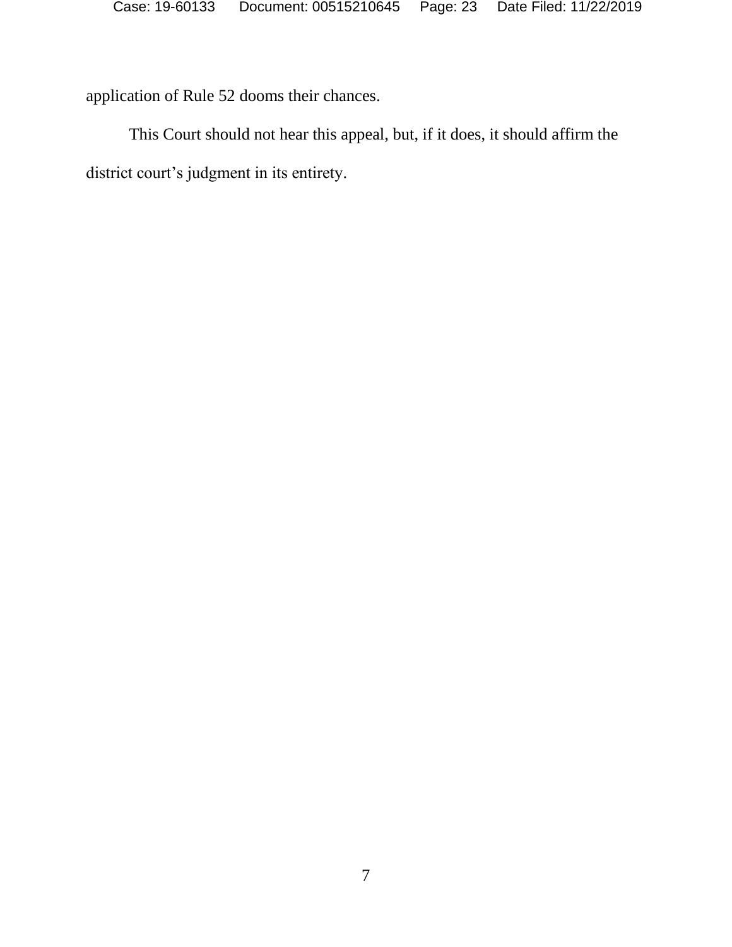application of Rule 52 dooms their chances.

This Court should not hear this appeal, but, if it does, it should affirm the district court's judgment in its entirety.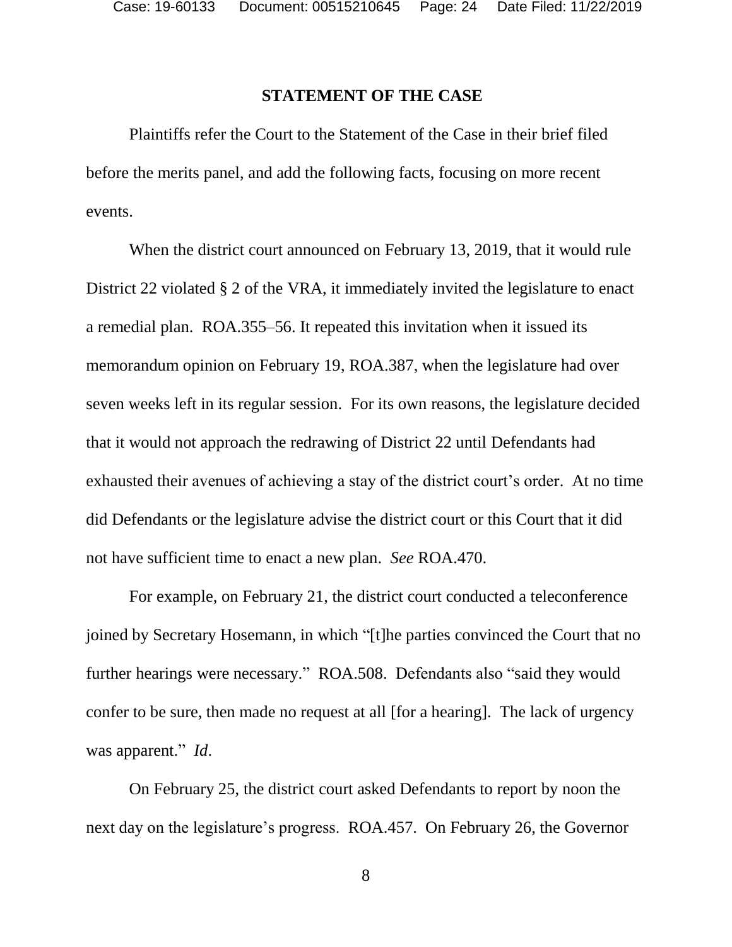#### **STATEMENT OF THE CASE**

Plaintiffs refer the Court to the Statement of the Case in their brief filed before the merits panel, and add the following facts, focusing on more recent events.

When the district court announced on February 13, 2019, that it would rule District 22 violated § 2 of the VRA, it immediately invited the legislature to enact a remedial plan. ROA.355–56. It repeated this invitation when it issued its memorandum opinion on February 19, ROA.387, when the legislature had over seven weeks left in its regular session. For its own reasons, the legislature decided that it would not approach the redrawing of District 22 until Defendants had exhausted their avenues of achieving a stay of the district court's order. At no time did Defendants or the legislature advise the district court or this Court that it did not have sufficient time to enact a new plan. *See* ROA.470.

For example, on February 21, the district court conducted a teleconference joined by Secretary Hosemann, in which "[t]he parties convinced the Court that no further hearings were necessary." ROA.508. Defendants also "said they would confer to be sure, then made no request at all [for a hearing]. The lack of urgency was apparent." *Id*.

On February 25, the district court asked Defendants to report by noon the next day on the legislature's progress. ROA.457. On February 26, the Governor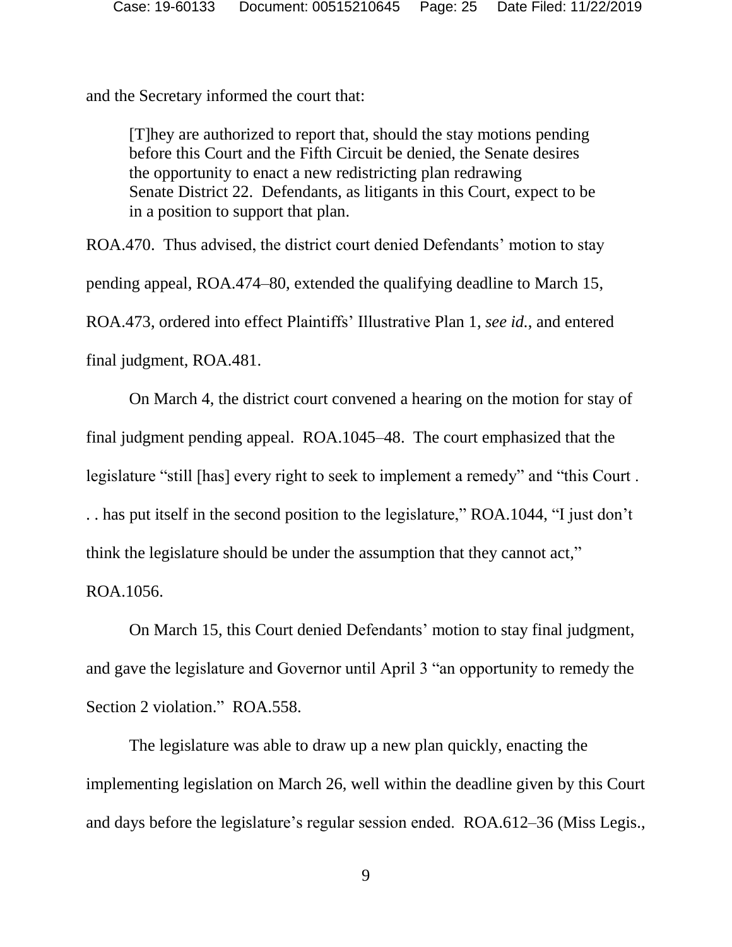and the Secretary informed the court that:

[T]hey are authorized to report that, should the stay motions pending before this Court and the Fifth Circuit be denied, the Senate desires the opportunity to enact a new redistricting plan redrawing Senate District 22. Defendants, as litigants in this Court, expect to be in a position to support that plan.

ROA.470. Thus advised, the district court denied Defendants' motion to stay pending appeal, ROA.474–80, extended the qualifying deadline to March 15, ROA.473, ordered into effect Plaintiffs' Illustrative Plan 1, *see id.*, and entered final judgment, ROA.481.

On March 4, the district court convened a hearing on the motion for stay of final judgment pending appeal. ROA.1045–48. The court emphasized that the legislature "still [has] every right to seek to implement a remedy" and "this Court . . . has put itself in the second position to the legislature," ROA.1044, "I just don't think the legislature should be under the assumption that they cannot act," ROA.1056.

On March 15, this Court denied Defendants' motion to stay final judgment, and gave the legislature and Governor until April 3 "an opportunity to remedy the Section 2 violation." ROA.558.

The legislature was able to draw up a new plan quickly, enacting the implementing legislation on March 26, well within the deadline given by this Court and days before the legislature's regular session ended. ROA.612–36 (Miss Legis.,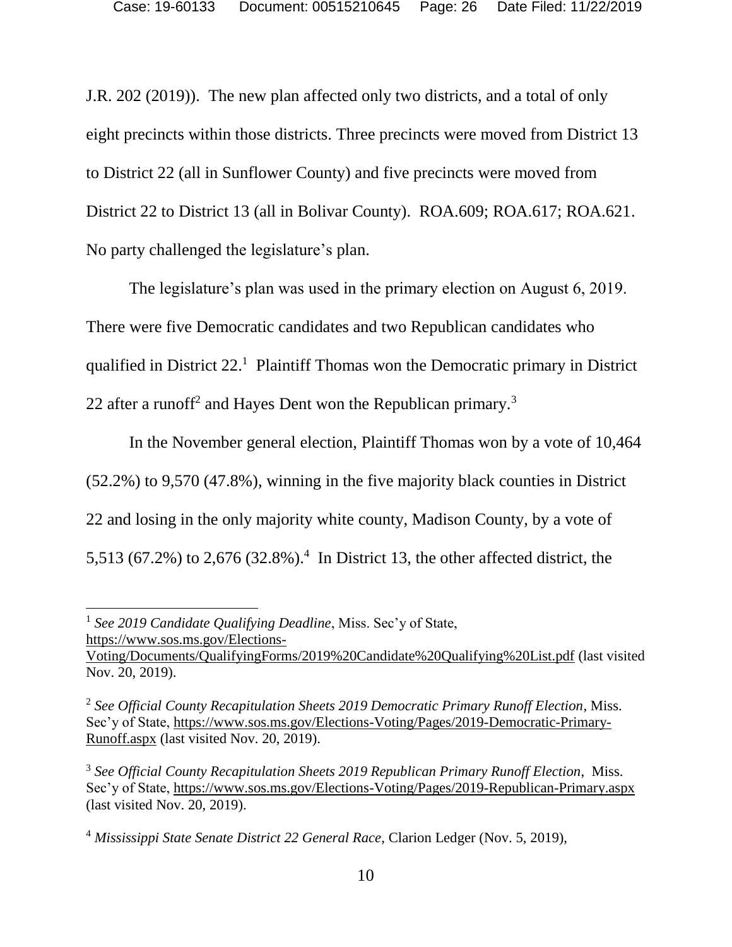J.R. 202 (2019)). The new plan affected only two districts, and a total of only eight precincts within those districts. Three precincts were moved from District 13 to District 22 (all in Sunflower County) and five precincts were moved from District 22 to District 13 (all in Bolivar County). ROA.609; ROA.617; ROA.621. No party challenged the legislature's plan.

The legislature's plan was used in the primary election on August 6, 2019. There were five Democratic candidates and two Republican candidates who qualified in District 22. <sup>1</sup> Plaintiff Thomas won the Democratic primary in District 22 after a runoff<sup>2</sup> and Hayes Dent won the Republican primary.<sup>3</sup>

In the November general election, Plaintiff Thomas won by a vote of 10,464 (52.2%) to 9,570 (47.8%), winning in the five majority black counties in District 22 and losing in the only majority white county, Madison County, by a vote of 5,513 (67.2%) to 2,676 (32.8%).<sup>4</sup> In District 13, the other affected district, the

l

<sup>&</sup>lt;sup>1</sup> See 2019 Candidate Qualifying Deadline, Miss. Sec'y of State, [https://www.sos.ms.gov/Elections-](https://www.sos.ms.gov/Elections-Voting/Documents/QualifyingForms/2019%20Candidate%20Qualifying%20List.pdf)

[Voting/Documents/QualifyingForms/2019%20Candidate%20Qualifying%20List.pdf](https://www.sos.ms.gov/Elections-Voting/Documents/QualifyingForms/2019%20Candidate%20Qualifying%20List.pdf) (last visited Nov. 20, 2019).

<sup>2</sup> *See Official County Recapitulation Sheets 2019 Democratic Primary Runoff Election*, Miss. Sec'y of State, [https://www.sos.ms.gov/Elections-Voting/Pages/2019-Democratic-Primary-](https://www.sos.ms.gov/Elections-Voting/Pages/2019-Democratic-Primary-Runoff.aspx)[Runoff.aspx](https://www.sos.ms.gov/Elections-Voting/Pages/2019-Democratic-Primary-Runoff.aspx) (last visited Nov. 20, 2019).

<sup>3</sup> *See Official County Recapitulation Sheets 2019 Republican Primary Runoff Election*,Miss. Sec'y of State,<https://www.sos.ms.gov/Elections-Voting/Pages/2019-Republican-Primary.aspx> (last visited Nov. 20, 2019).

<sup>4</sup> *Mississippi State Senate District 22 General Race*, Clarion Ledger (Nov. 5, 2019),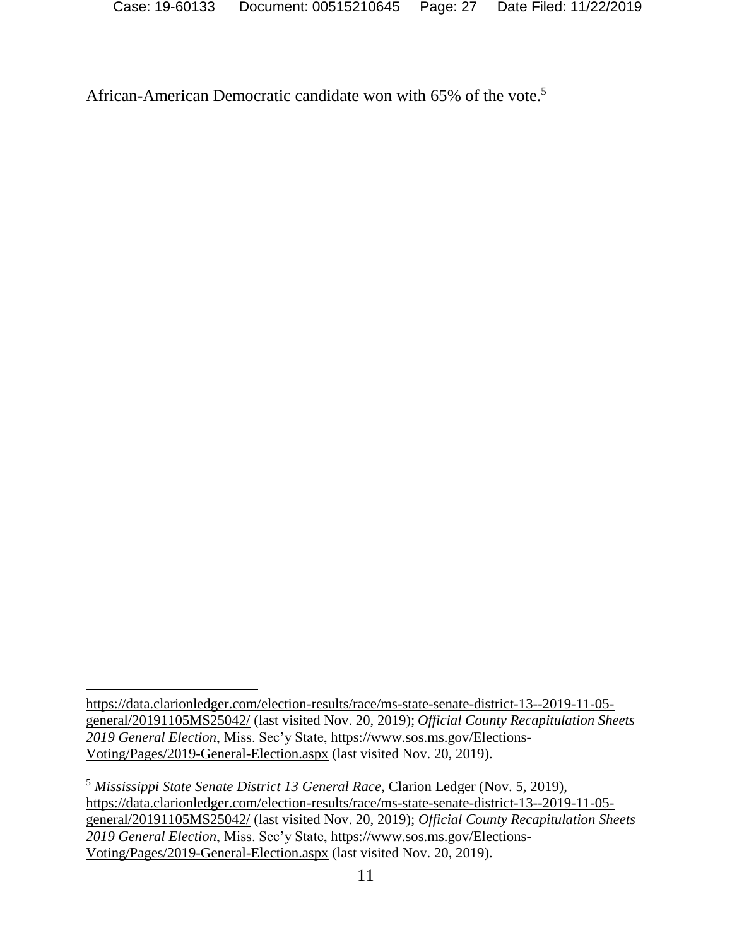African-American Democratic candidate won with 65% of the vote.<sup>5</sup>

l

[https://data.clarionledger.com/election-results/race/ms-state-senate-district-13--2019-11-05](https://data.clarionledger.com/election-results/race/ms-state-senate-district-13--2019-11-05-general/20191105MS25042/) [general/20191105MS25042/](https://data.clarionledger.com/election-results/race/ms-state-senate-district-13--2019-11-05-general/20191105MS25042/) (last visited Nov. 20, 2019); *Official County Recapitulation Sheets 2019 General Election*, Miss. Sec'y State, [https://www.sos.ms.gov/Elections-](https://www.sos.ms.gov/Elections-Voting/Pages/2019-General-Election.aspx)[Voting/Pages/2019-General-Election.aspx](https://www.sos.ms.gov/Elections-Voting/Pages/2019-General-Election.aspx) (last visited Nov. 20, 2019).

<sup>5</sup> *Mississippi State Senate District 13 General Race*, Clarion Ledger (Nov. 5, 2019), [https://data.clarionledger.com/election-results/race/ms-state-senate-district-13--2019-11-05](https://data.clarionledger.com/election-results/race/ms-state-senate-district-13--2019-11-05-general/20191105MS25042/) [general/20191105MS25042/](https://data.clarionledger.com/election-results/race/ms-state-senate-district-13--2019-11-05-general/20191105MS25042/) (last visited Nov. 20, 2019); *Official County Recapitulation Sheets 2019 General Election*, Miss. Sec'y State, [https://www.sos.ms.gov/Elections-](https://www.sos.ms.gov/Elections-Voting/Pages/2019-General-Election.aspx)[Voting/Pages/2019-General-Election.aspx](https://www.sos.ms.gov/Elections-Voting/Pages/2019-General-Election.aspx) (last visited Nov. 20, 2019).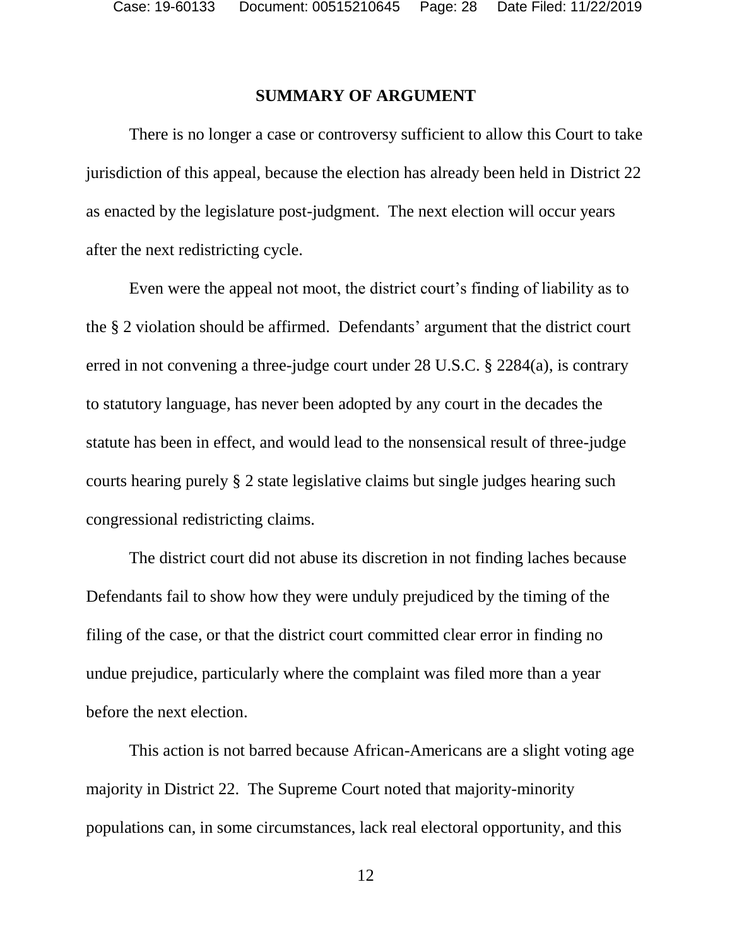#### **SUMMARY OF ARGUMENT**

There is no longer a case or controversy sufficient to allow this Court to take jurisdiction of this appeal, because the election has already been held in District 22 as enacted by the legislature post-judgment. The next election will occur years after the next redistricting cycle.

Even were the appeal not moot, the district court's finding of liability as to the § 2 violation should be affirmed. Defendants' argument that the district court erred in not convening a three-judge court under 28 U.S.C. § 2284(a), is contrary to statutory language, has never been adopted by any court in the decades the statute has been in effect, and would lead to the nonsensical result of three-judge courts hearing purely § 2 state legislative claims but single judges hearing such congressional redistricting claims.

The district court did not abuse its discretion in not finding laches because Defendants fail to show how they were unduly prejudiced by the timing of the filing of the case, or that the district court committed clear error in finding no undue prejudice, particularly where the complaint was filed more than a year before the next election.

This action is not barred because African-Americans are a slight voting age majority in District 22. The Supreme Court noted that majority-minority populations can, in some circumstances, lack real electoral opportunity, and this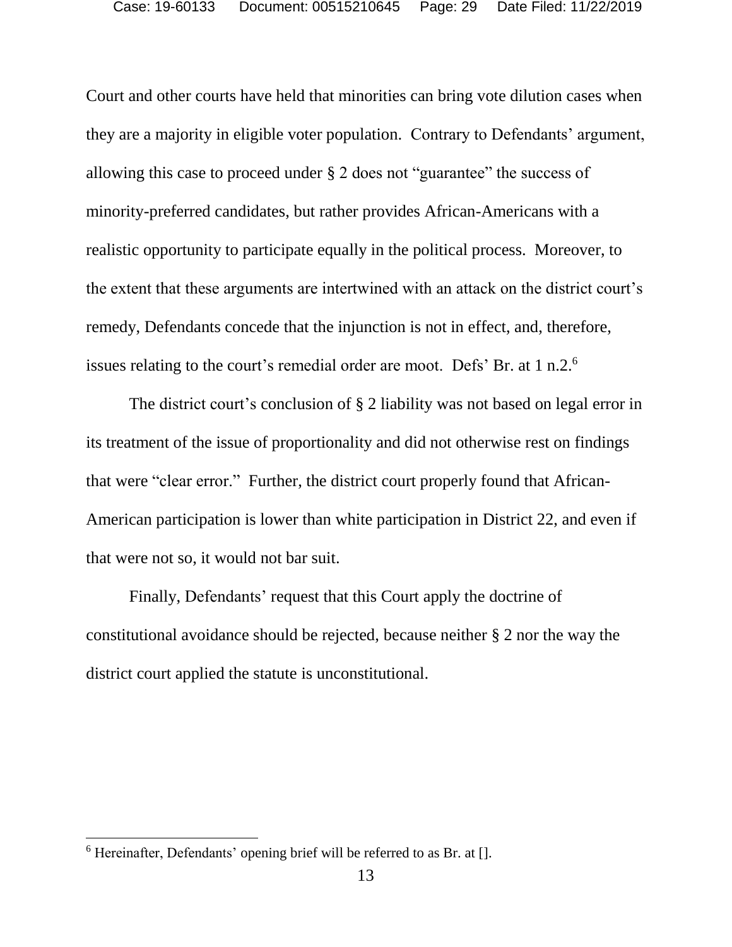Court and other courts have held that minorities can bring vote dilution cases when they are a majority in eligible voter population. Contrary to Defendants' argument, allowing this case to proceed under § 2 does not "guarantee" the success of minority-preferred candidates, but rather provides African-Americans with a realistic opportunity to participate equally in the political process. Moreover, to the extent that these arguments are intertwined with an attack on the district court's remedy, Defendants concede that the injunction is not in effect, and, therefore, issues relating to the court's remedial order are moot. Defs' Br. at 1 n.2.<sup>6</sup>

The district court's conclusion of § 2 liability was not based on legal error in its treatment of the issue of proportionality and did not otherwise rest on findings that were "clear error." Further, the district court properly found that African-American participation is lower than white participation in District 22, and even if that were not so, it would not bar suit.

Finally, Defendants' request that this Court apply the doctrine of constitutional avoidance should be rejected, because neither § 2 nor the way the district court applied the statute is unconstitutional.

l

 $6$  Hereinafter, Defendants' opening brief will be referred to as Br. at  $[$ ].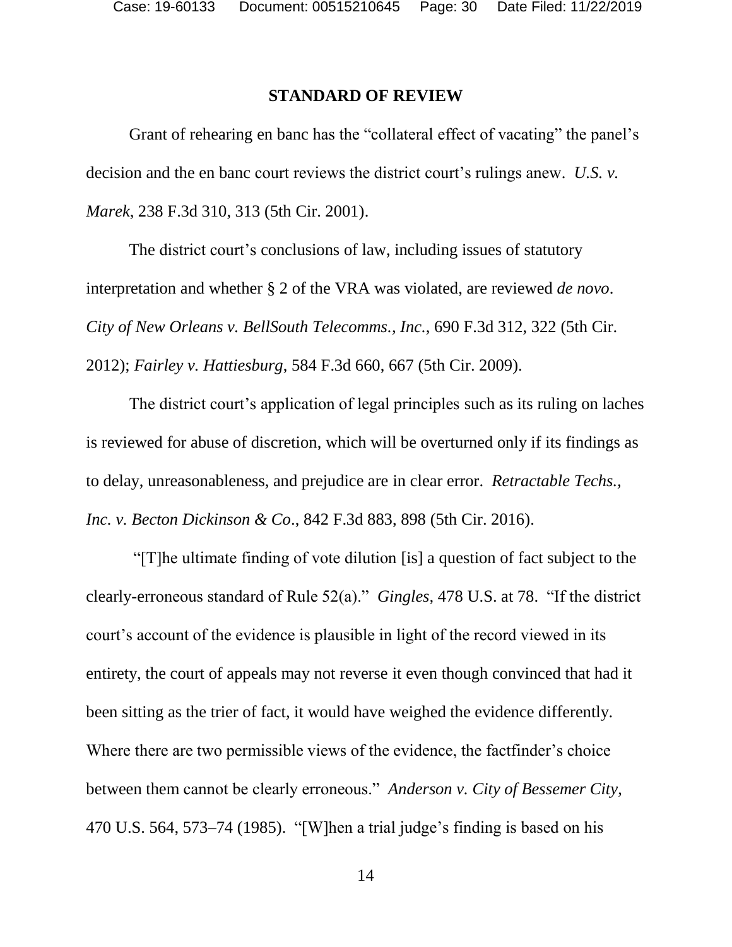### **STANDARD OF REVIEW**

Grant of rehearing en banc has the "collateral effect of vacating" the panel's decision and the en banc court reviews the district court's rulings anew. *U.S. v. Marek*, 238 F.3d 310, 313 (5th Cir. 2001).

The district court's conclusions of law, including issues of statutory interpretation and whether § 2 of the VRA was violated, are reviewed *de novo*. *City of New Orleans v. BellSouth Telecomms., Inc.*, 690 F.3d 312, 322 (5th Cir. 2012); *Fairley v. Hattiesburg*, 584 F.3d 660, 667 (5th Cir. 2009).

The district court's application of legal principles such as its ruling on laches is reviewed for abuse of discretion, which will be overturned only if its findings as to delay, unreasonableness, and prejudice are in clear error. *Retractable Techs., Inc. v. Becton Dickinson & Co*., 842 F.3d 883, 898 (5th Cir. 2016).

"[T]he ultimate finding of vote dilution [is] a question of fact subject to the clearly-erroneous standard of Rule 52(a)." *Gingles,* 478 U.S. at 78. "If the district court's account of the evidence is plausible in light of the record viewed in its entirety, the court of appeals may not reverse it even though convinced that had it been sitting as the trier of fact, it would have weighed the evidence differently. Where there are two permissible views of the evidence, the factfinder's choice between them cannot be clearly erroneous." *Anderson v. City of Bessemer City*, 470 U.S. 564, 573–74 (1985). "[W]hen a trial judge's finding is based on his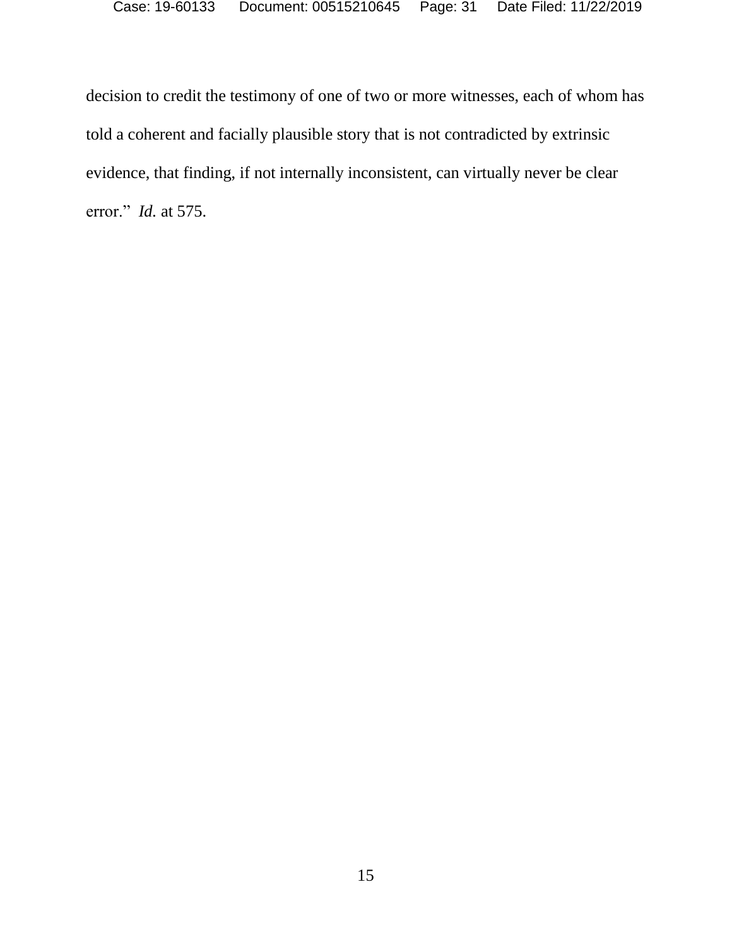decision to credit the testimony of one of two or more witnesses, each of whom has told a coherent and facially plausible story that is not contradicted by extrinsic evidence, that finding, if not internally inconsistent, can virtually never be clear error." *Id.* at 575.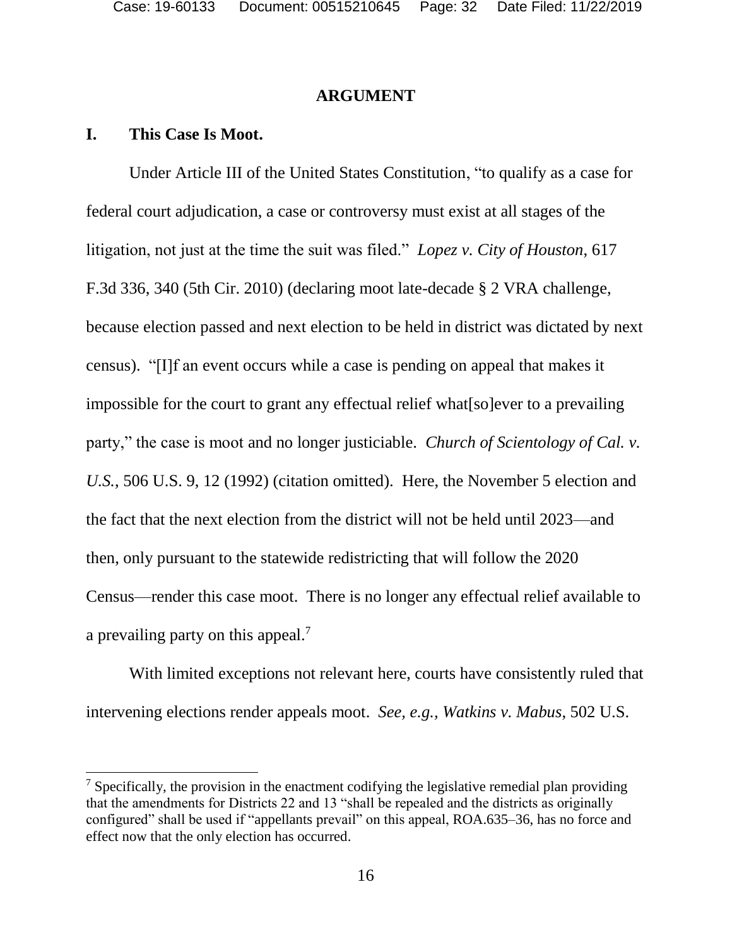#### **ARGUMENT**

#### **I. This Case Is Moot.**

l

Under Article III of the United States Constitution, "to qualify as a case for federal court adjudication, a case or controversy must exist at all stages of the litigation, not just at the time the suit was filed." *Lopez v. City of Houston*, 617 F.3d 336, 340 (5th Cir. 2010) (declaring moot late-decade § 2 VRA challenge, because election passed and next election to be held in district was dictated by next census). "[I]f an event occurs while a case is pending on appeal that makes it impossible for the court to grant any effectual relief what[so]ever to a prevailing party," the case is moot and no longer justiciable. *Church of Scientology of Cal. v. U.S.*, 506 U.S. 9, 12 (1992) (citation omitted). Here, the November 5 election and the fact that the next election from the district will not be held until 2023—and then, only pursuant to the statewide redistricting that will follow the 2020 Census—render this case moot. There is no longer any effectual relief available to a prevailing party on this appeal.<sup>7</sup>

With limited exceptions not relevant here, courts have consistently ruled that intervening elections render appeals moot. *See, e.g., Watkins v. Mabus*, 502 U.S.

<sup>&</sup>lt;sup>7</sup> Specifically, the provision in the enactment codifying the legislative remedial plan providing that the amendments for Districts 22 and 13 "shall be repealed and the districts as originally configured" shall be used if "appellants prevail" on this appeal, ROA.635–36, has no force and effect now that the only election has occurred.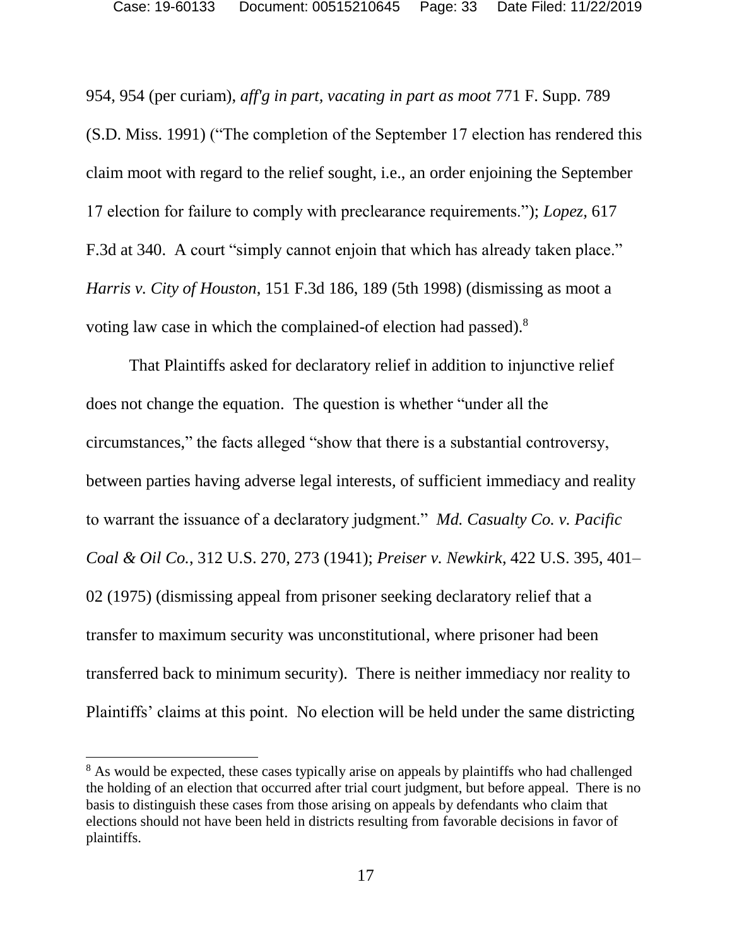954, 954 (per curiam), *aff'g in part, vacating in part as moot* 771 F. Supp. 789 (S.D. Miss. 1991) ("The completion of the September 17 election has rendered this claim moot with regard to the relief sought, i.e., an order enjoining the September 17 election for failure to comply with preclearance requirements."); *Lopez,* 617 F.3d at 340. A court "simply cannot enjoin that which has already taken place." *Harris v. City of Houston*, 151 F.3d 186, 189 (5th 1998) (dismissing as moot a voting law case in which the complained-of election had passed). 8

That Plaintiffs asked for declaratory relief in addition to injunctive relief does not change the equation. The question is whether "under all the circumstances," the facts alleged "show that there is a substantial controversy, between parties having adverse legal interests, of sufficient immediacy and reality to warrant the issuance of a declaratory judgment." *Md. Casualty Co. v. Pacific Coal & Oil Co.*, 312 U.S. 270, 273 (1941); *Preiser v. Newkirk*, 422 U.S. 395, 401– 02 (1975) (dismissing appeal from prisoner seeking declaratory relief that a transfer to maximum security was unconstitutional, where prisoner had been transferred back to minimum security). There is neither immediacy nor reality to Plaintiffs' claims at this point. No election will be held under the same districting

 $\overline{a}$ 

<sup>&</sup>lt;sup>8</sup> As would be expected, these cases typically arise on appeals by plaintiffs who had challenged the holding of an election that occurred after trial court judgment, but before appeal. There is no basis to distinguish these cases from those arising on appeals by defendants who claim that elections should not have been held in districts resulting from favorable decisions in favor of plaintiffs.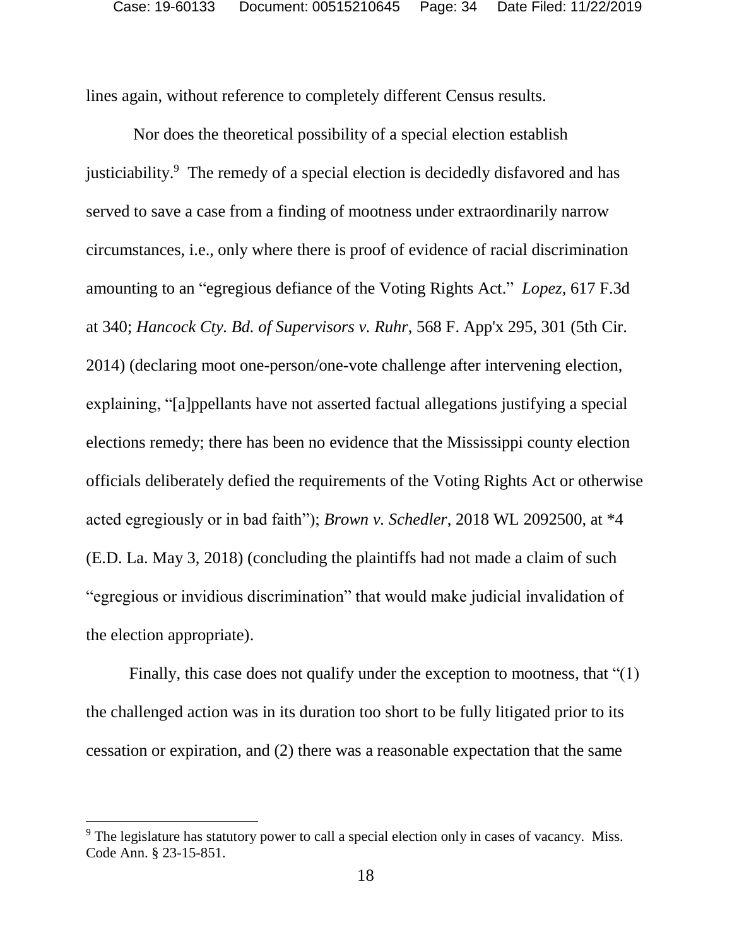lines again, without reference to completely different Census results.

Nor does the theoretical possibility of a special election establish justiciability.<sup>9</sup> The remedy of a special election is decidedly disfavored and has served to save a case from a finding of mootness under extraordinarily narrow circumstances, i.e., only where there is proof of evidence of racial discrimination amounting to an "egregious defiance of the Voting Rights Act." *Lopez,* 617 F.3d at 340; *Hancock Cty. Bd. of Supervisors v. Ruhr*, 568 F. App'x 295, 301 (5th Cir. 2014) (declaring moot one-person/one-vote challenge after intervening election, explaining, "[a]ppellants have not asserted factual allegations justifying a special elections remedy; there has been no evidence that the Mississippi county election officials deliberately defied the requirements of the Voting Rights Act or otherwise acted egregiously or in bad faith"); *Brown v. Schedler*, 2018 WL 2092500, at \*4 (E.D. La. May 3, 2018) (concluding the plaintiffs had not made a claim of such "egregious or invidious discrimination" that would make judicial invalidation of the election appropriate).

Finally, this case does not qualify under the exception to mootness, that "(1) the challenged action was in its duration too short to be fully litigated prior to its cessation or expiration, and (2) there was a reasonable expectation that the same

l

<sup>&</sup>lt;sup>9</sup> The legislature has statutory power to call a special election only in cases of vacancy. Miss. Code Ann. § 23-15-851.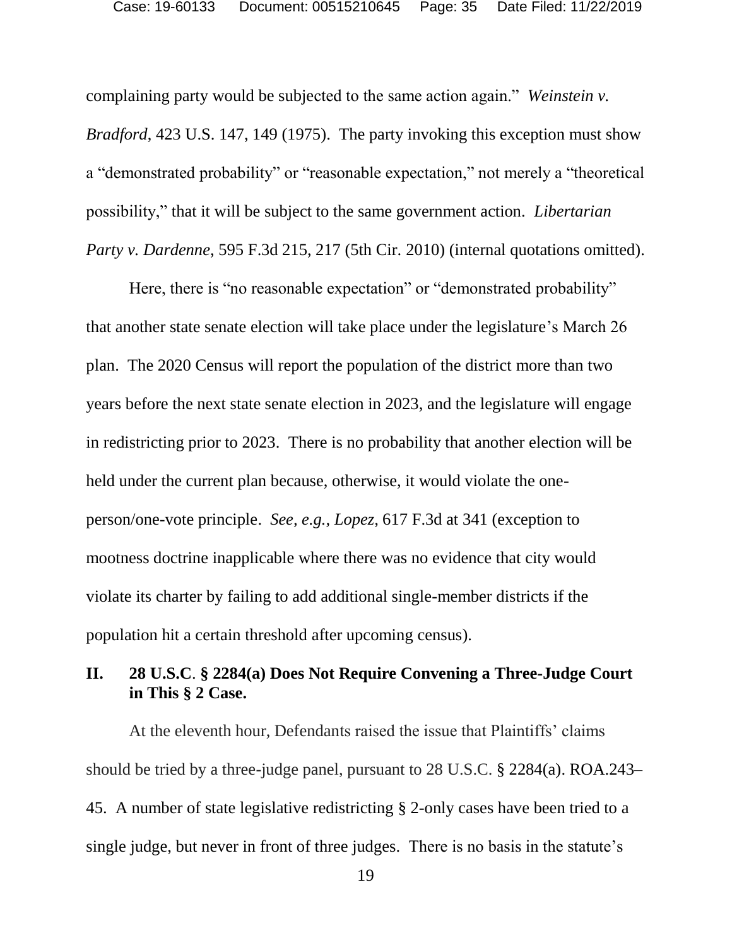complaining party would be subjected to the same action again." *Weinstein v. Bradford*, 423 U.S. 147, 149 (1975). The party invoking this exception must show a "demonstrated probability" or "reasonable expectation," not merely a "theoretical possibility," that it will be subject to the same government action. *Libertarian Party v. Dardenne*, 595 F.3d 215, 217 (5th Cir. 2010) (internal quotations omitted).

Here, there is "no reasonable expectation" or "demonstrated probability" that another state senate election will take place under the legislature's March 26 plan. The 2020 Census will report the population of the district more than two years before the next state senate election in 2023, and the legislature will engage in redistricting prior to 2023. There is no probability that another election will be held under the current plan because, otherwise, it would violate the oneperson/one-vote principle. *See, e.g., Lopez,* 617 F.3d at 341 (exception to mootness doctrine inapplicable where there was no evidence that city would violate its charter by failing to add additional single-member districts if the population hit a certain threshold after upcoming census).

## **II. 28 U.S.C**. **§ 2284(a) Does Not Require Convening a Three-Judge Court in This § 2 Case.**

At the eleventh hour, Defendants raised the issue that Plaintiffs' claims should be tried by a three-judge panel, pursuant to 28 U.S.C. § 2284(a). ROA.243– 45. A number of state legislative redistricting § 2-only cases have been tried to a single judge, but never in front of three judges. There is no basis in the statute's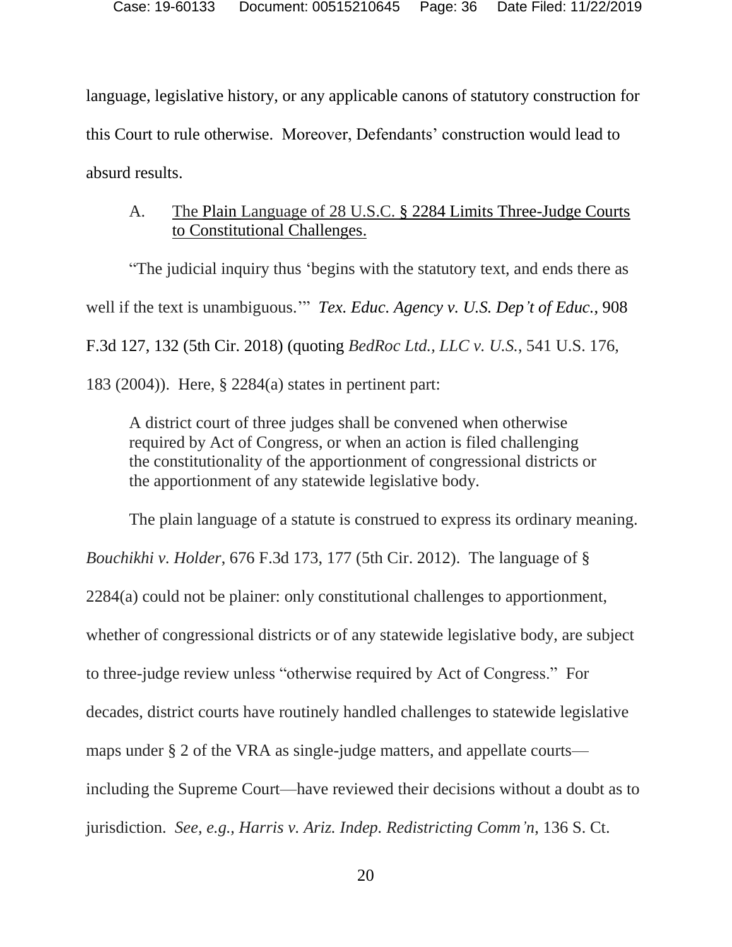language, legislative history, or any applicable canons of statutory construction for this Court to rule otherwise. Moreover, Defendants' construction would lead to absurd results.

## A. The Plain Language of 28 U.S.C. § 2284 Limits Three-Judge Courts to Constitutional Challenges.

"The judicial inquiry thus 'begins with the statutory text, and ends there as well if the text is unambiguous.'" *Tex. Educ. Agency v. U.S. Dep't of Educ.*, 908 F.3d 127, 132 (5th Cir. 2018) (quoting *BedRoc Ltd., LLC v. U.S.*, 541 U.S. 176, 183 (2004)). Here, § 2284(a) states in pertinent part:

A district court of three judges shall be convened when otherwise required by Act of Congress, or when an action is filed challenging the constitutionality of the apportionment of congressional districts or the apportionment of any statewide legislative body.

The plain language of a statute is construed to express its ordinary meaning. *Bouchikhi v. Holder*, 676 F.3d 173, 177 (5th Cir. 2012). The language of § 2284(a) could not be plainer: only constitutional challenges to apportionment, whether of congressional districts or of any statewide legislative body, are subject to three-judge review unless "otherwise required by Act of Congress."For decades, district courts have routinely handled challenges to statewide legislative maps under § 2 of the VRA as single-judge matters, and appellate courts including the Supreme Court—have reviewed their decisions without a doubt as to jurisdiction. *See, e.g., Harris v. Ariz. Indep. Redistricting Comm'n*, 136 S. Ct.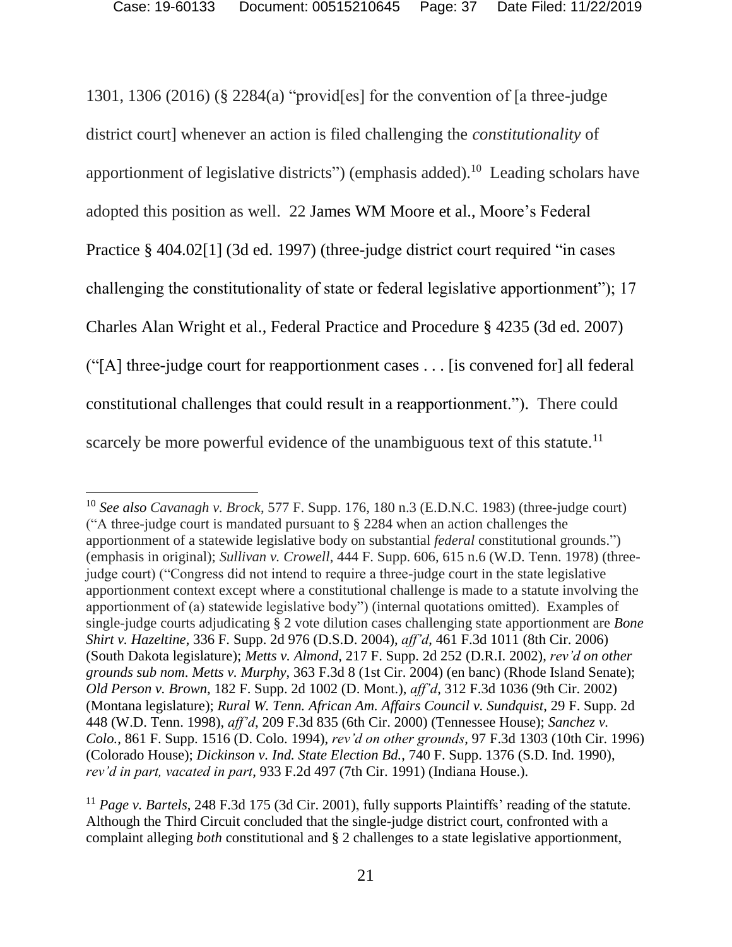1301, 1306 (2016) (§ 2284(a) "provid[es] for the convention of [a three-judge district court] whenever an action is filed challenging the *constitutionality* of apportionment of legislative districts") (emphasis added).<sup>10</sup> Leading scholars have adopted this position as well. 22 James WM Moore et al., Moore's Federal Practice § 404.02[1] (3d ed. 1997) (three-judge district court required "in cases challenging the constitutionality of state or federal legislative apportionment"); 17 Charles Alan Wright et al., Federal Practice and Procedure § 4235 (3d ed. 2007) ("[A] three-judge court for reapportionment cases . . . [is convened for] all federal constitutional challenges that could result in a reapportionment."). There could scarcely be more powerful evidence of the unambiguous text of this statute.<sup>11</sup>

 $\overline{a}$ 

<sup>10</sup> *See also Cavanagh v. Brock*, 577 F. Supp. 176, 180 n.3 (E.D.N.C. 1983) (three-judge court) ("A three-judge court is mandated pursuant to § 2284 when an action challenges the apportionment of a statewide legislative body on substantial *federal* constitutional grounds.") (emphasis in original); *Sullivan v. Crowell*, 444 F. Supp. 606, 615 n.6 (W.D. Tenn. 1978) (threejudge court) ("Congress did not intend to require a three-judge court in the state legislative apportionment context except where a constitutional challenge is made to a statute involving the apportionment of (a) statewide legislative body") (internal quotations omitted). Examples of single-judge courts adjudicating § 2 vote dilution cases challenging state apportionment are *Bone Shirt v. Hazeltine*, 336 F. Supp. 2d 976 (D.S.D. 2004), *aff'd*, 461 F.3d 1011 (8th Cir. 2006) (South Dakota legislature); *Metts v. Almond*, 217 F. Supp. 2d 252 (D.R.I. 2002), *rev'd on other grounds sub nom*. *Metts v. Murphy*, 363 F.3d 8 (1st Cir. 2004) (en banc) (Rhode Island Senate); *Old Person v. Brown*, 182 F. Supp. 2d 1002 (D. Mont.), *aff'd*, 312 F.3d 1036 (9th Cir. 2002) (Montana legislature); *Rural W. Tenn. African Am. Affairs Council v. Sundquist*, 29 F. Supp. 2d 448 (W.D. Tenn. 1998), *aff'd*, 209 F.3d 835 (6th Cir. 2000) (Tennessee House); *Sanchez v. Colo.*, 861 F. Supp. 1516 (D. Colo. 1994), *rev'd on other grounds*, 97 F.3d 1303 (10th Cir. 1996) (Colorado House); *Dickinson v. Ind. State Election Bd.*, 740 F. Supp. 1376 (S.D. Ind. 1990), *rev'd in part, vacated in part*, 933 F.2d 497 (7th Cir. 1991) (Indiana House.).

<sup>11</sup> *Page v. Bartels*, 248 F.3d 175 (3d Cir. 2001), fully supports Plaintiffs' reading of the statute. Although the Third Circuit concluded that the single-judge district court, confronted with a complaint alleging *both* constitutional and § 2 challenges to a state legislative apportionment,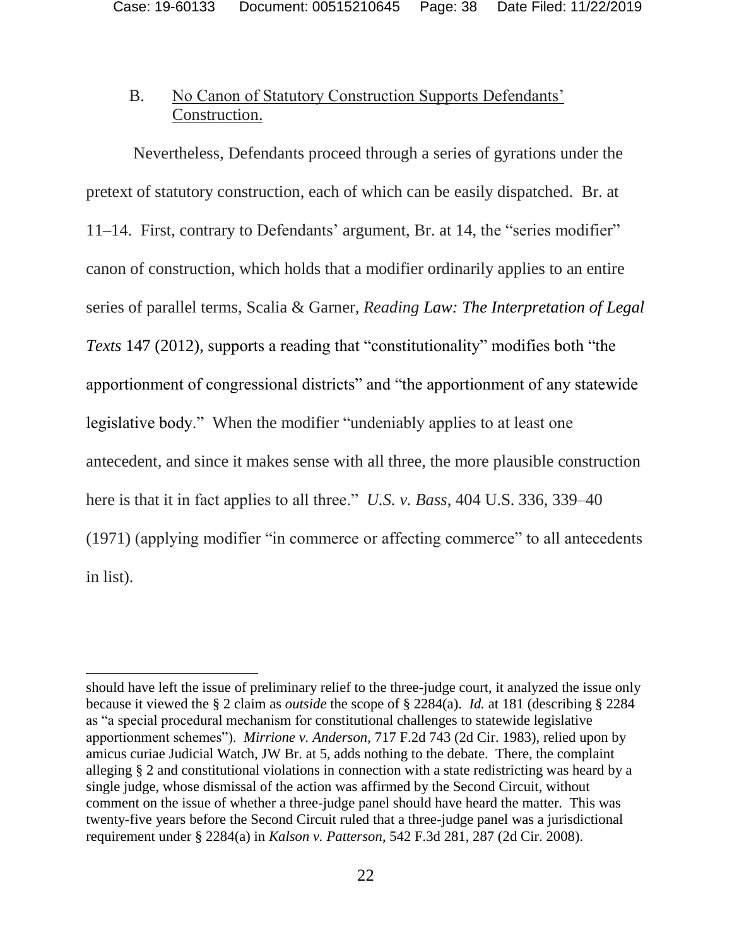## B. No Canon of Statutory Construction Supports Defendants' Construction.

Nevertheless, Defendants proceed through a series of gyrations under the pretext of statutory construction, each of which can be easily dispatched. Br. at 11–14. First, contrary to Defendants' argument, Br. at 14, the "series modifier" canon of construction, which holds that a modifier ordinarily applies to an entire series of parallel terms, Scalia & Garner, *Reading Law: The Interpretation of Legal Texts* 147 (2012), supports a reading that "constitutionality" modifies both "the apportionment of congressional districts" and "the apportionment of any statewide legislative body." When the modifier "undeniably applies to at least one antecedent, and since it makes sense with all three, the more plausible construction here is that it in fact applies to all three." *U.S. v. Bass*, 404 U.S. 336, 339–40 (1971) (applying modifier "in commerce or affecting commerce" to all antecedents in list).

 $\overline{a}$ 

should have left the issue of preliminary relief to the three-judge court, it analyzed the issue only because it viewed the § 2 claim as *outside* the scope of § 2284(a). *Id.* at 181 (describing § 2284 as "a special procedural mechanism for constitutional challenges to statewide legislative apportionment schemes"). *Mirrione v. Anderson*, 717 F.2d 743 (2d Cir. 1983), relied upon by amicus curiae Judicial Watch, JW Br. at 5, adds nothing to the debate. There, the complaint alleging § 2 and constitutional violations in connection with a state redistricting was heard by a single judge, whose dismissal of the action was affirmed by the Second Circuit, without comment on the issue of whether a three-judge panel should have heard the matter. This was twenty-five years before the Second Circuit ruled that a three-judge panel was a jurisdictional requirement under § 2284(a) in *Kalson v. Patterson*, 542 F.3d 281, 287 (2d Cir. 2008).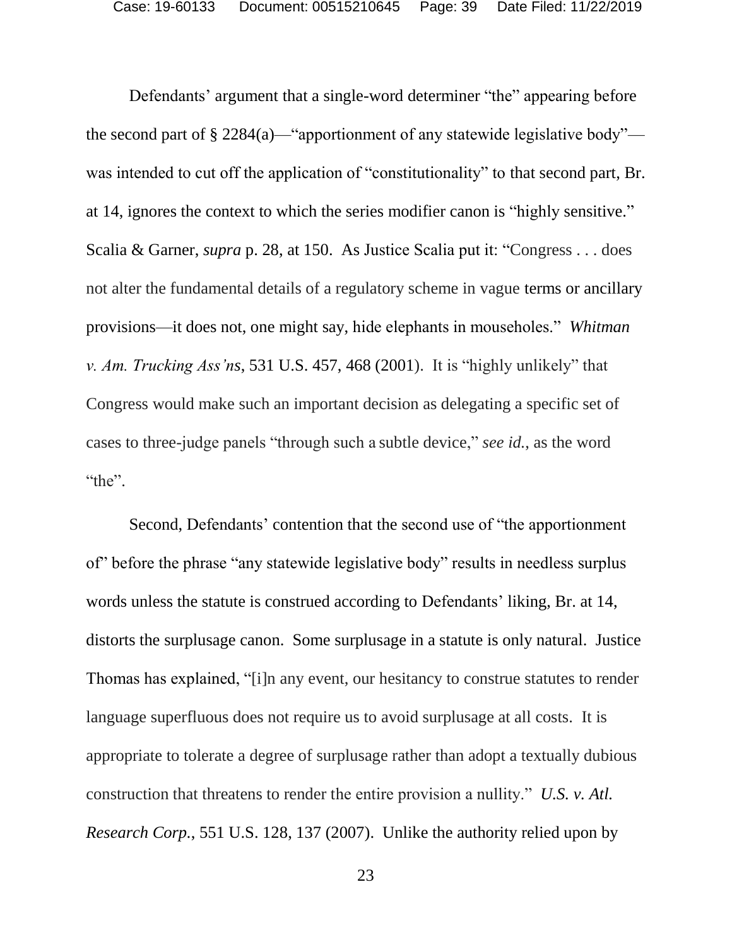Defendants' argument that a single-word determiner "the" appearing before the second part of  $\S 2284(a)$ —"apportionment of any statewide legislative body" was intended to cut off the application of "constitutionality" to that second part, Br. at 14, ignores the context to which the series modifier canon is "highly sensitive." Scalia & Garner, *supra* p. 28, at 150. As Justice Scalia put it: "Congress . . . does not alter the fundamental details of a regulatory scheme in vague terms or ancillary provisions—it does not, one might say, hide elephants in mouseholes." *Whitman v. Am. Trucking Ass'ns*, 531 U.S. 457, 468 (2001). It is "highly unlikely" that Congress would make such an important decision as delegating a specific set of cases to three-judge panels "through such a subtle device," *see id.*, as the word "the".

Second, Defendants' contention that the second use of "the apportionment of" before the phrase "any statewide legislative body" results in needless surplus words unless the statute is construed according to Defendants' liking, Br. at 14, distorts the surplusage canon. Some surplusage in a statute is only natural. Justice Thomas has explained, "[i]n any event, our hesitancy to construe statutes to render language superfluous does not require us to avoid surplusage at all costs. It is appropriate to tolerate a degree of surplusage rather than adopt a textually dubious construction that threatens to render the entire provision a nullity." *U.S. v. Atl. Research Corp.*, 551 U.S. 128, 137 (2007). Unlike the authority relied upon by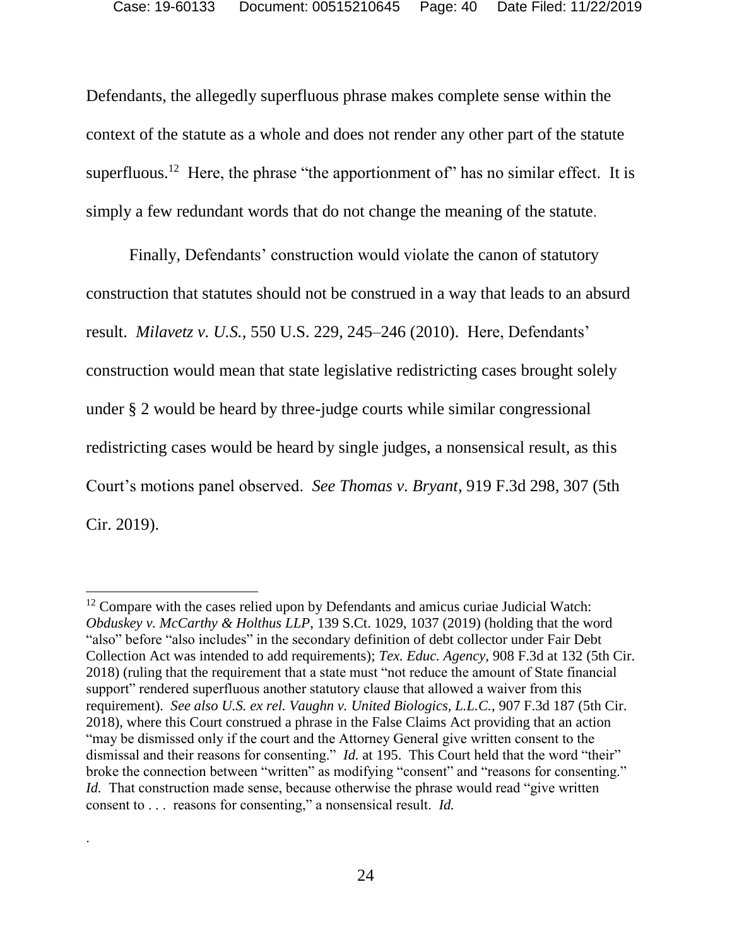Defendants, the allegedly superfluous phrase makes complete sense within the context of the statute as a whole and does not render any other part of the statute superfluous.<sup>12</sup> Here, the phrase "the apportionment of" has no similar effect. It is simply a few redundant words that do not change the meaning of the statute.

Finally, Defendants' construction would violate the canon of statutory construction that statutes should not be construed in a way that leads to an absurd result. *Milavetz v. U.S.*, 550 U.S. 229, 245–246 (2010). Here, Defendants' construction would mean that state legislative redistricting cases brought solely under § 2 would be heard by three-judge courts while similar congressional redistricting cases would be heard by single judges, a nonsensical result, as this Court's motions panel observed. *See Thomas v. Bryant*, 919 F.3d 298, 307 (5th Cir. 2019).

l

.

 $12$  Compare with the cases relied upon by Defendants and amicus curiae Judicial Watch: *Obduskey v. McCarthy & Holthus LLP*, 139 S.Ct. 1029, 1037 (2019) (holding that the word "also" before "also includes" in the secondary definition of debt collector under Fair Debt Collection Act was intended to add requirements); *Tex. Educ. Agency*, 908 F.3d at 132 (5th Cir. 2018) (ruling that the requirement that a state must "not reduce the amount of State financial support" rendered superfluous another statutory clause that allowed a waiver from this requirement). *See also U.S. ex rel. Vaughn v. United Biologics, L.L.C.*, 907 F.3d 187 (5th Cir. 2018), where this Court construed a phrase in the False Claims Act providing that an action "may be dismissed only if the court and the Attorney General give written consent to the dismissal and their reasons for consenting." *Id.* at 195. This Court held that the word "their" broke the connection between "written" as modifying "consent" and "reasons for consenting." *Id.* That construction made sense, because otherwise the phrase would read "give written" consent to . . . reasons for consenting," a nonsensical result. *Id.*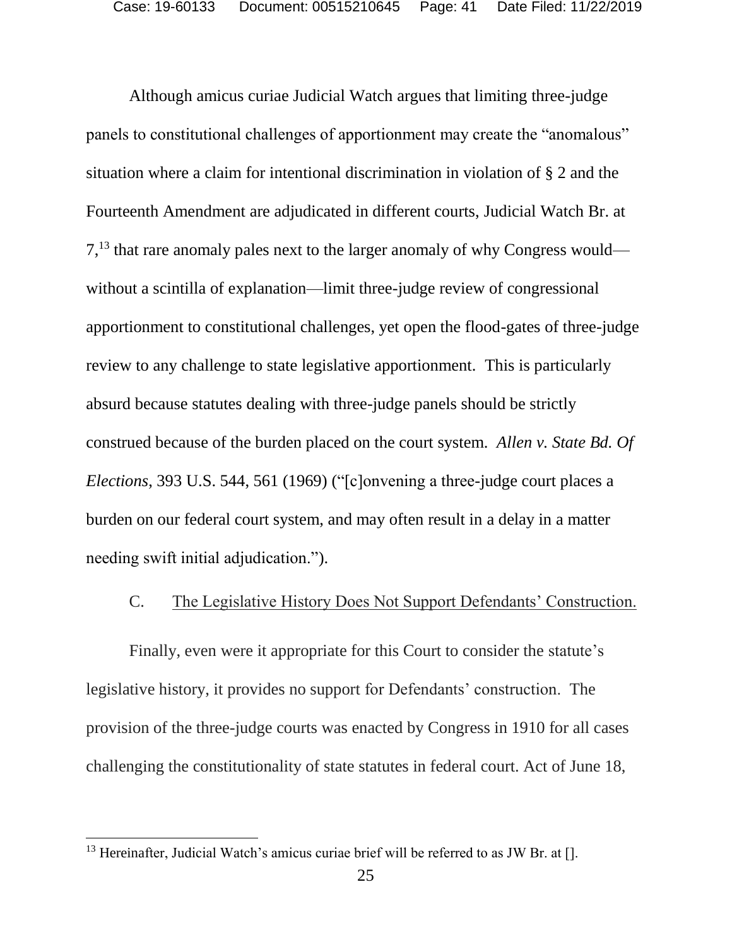Although amicus curiae Judicial Watch argues that limiting three-judge panels to constitutional challenges of apportionment may create the "anomalous" situation where a claim for intentional discrimination in violation of § 2 and the Fourteenth Amendment are adjudicated in different courts, Judicial Watch Br. at 7,<sup>13</sup> that rare anomaly pales next to the larger anomaly of why Congress would without a scintilla of explanation—limit three-judge review of congressional apportionment to constitutional challenges, yet open the flood-gates of three-judge review to any challenge to state legislative apportionment. This is particularly absurd because statutes dealing with three-judge panels should be strictly construed because of the burden placed on the court system. *Allen v. State Bd. Of Elections*, 393 U.S. 544, 561 (1969) ("[c]onvening a three-judge court places a burden on our federal court system, and may often result in a delay in a matter needing swift initial adjudication.").

### C. The Legislative History Does Not Support Defendants' Construction.

Finally, even were it appropriate for this Court to consider the statute's legislative history, it provides no support for Defendants' construction. The provision of the three-judge courts was enacted by Congress in 1910 for all cases challenging the constitutionality of state statutes in federal court. Act of June 18,

 $\overline{\phantom{a}}$ 

 $13$  Hereinafter, Judicial Watch's amicus curiae brief will be referred to as JW Br. at [].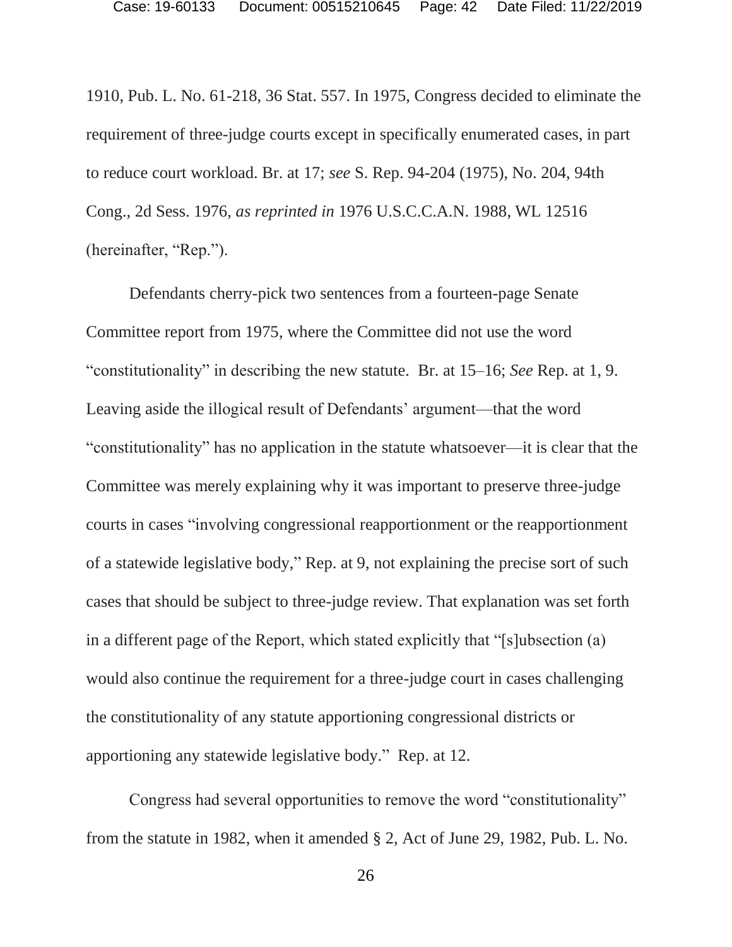1910, Pub. L. No. 61-218, 36 Stat. 557. In 1975, Congress decided to eliminate the requirement of three-judge courts except in specifically enumerated cases, in part to reduce court workload. Br. at 17; *see* S. Rep. 94-204 (1975), No. 204, 94th Cong., 2d Sess. 1976, *as reprinted in* 1976 U.S.C.C.A.N. 1988, WL 12516 (hereinafter, "Rep.").

Defendants cherry-pick two sentences from a fourteen-page Senate Committee report from 1975, where the Committee did not use the word "constitutionality" in describing the new statute. Br. at 15–16; *See* Rep. at 1, 9. Leaving aside the illogical result of Defendants' argument—that the word "constitutionality" has no application in the statute whatsoever—it is clear that the Committee was merely explaining why it was important to preserve three-judge courts in cases "involving congressional reapportionment or the reapportionment of a statewide legislative body," Rep. at 9, not explaining the precise sort of such cases that should be subject to three-judge review. That explanation was set forth in a different page of the Report, which stated explicitly that "[s]ubsection (a) would also continue the requirement for a three-judge court in cases challenging the constitutionality of any statute apportioning congressional districts or apportioning any statewide legislative body." Rep. at 12.

Congress had several opportunities to remove the word "constitutionality" from the statute in 1982, when it amended § 2, Act of June 29, 1982, Pub. L. No.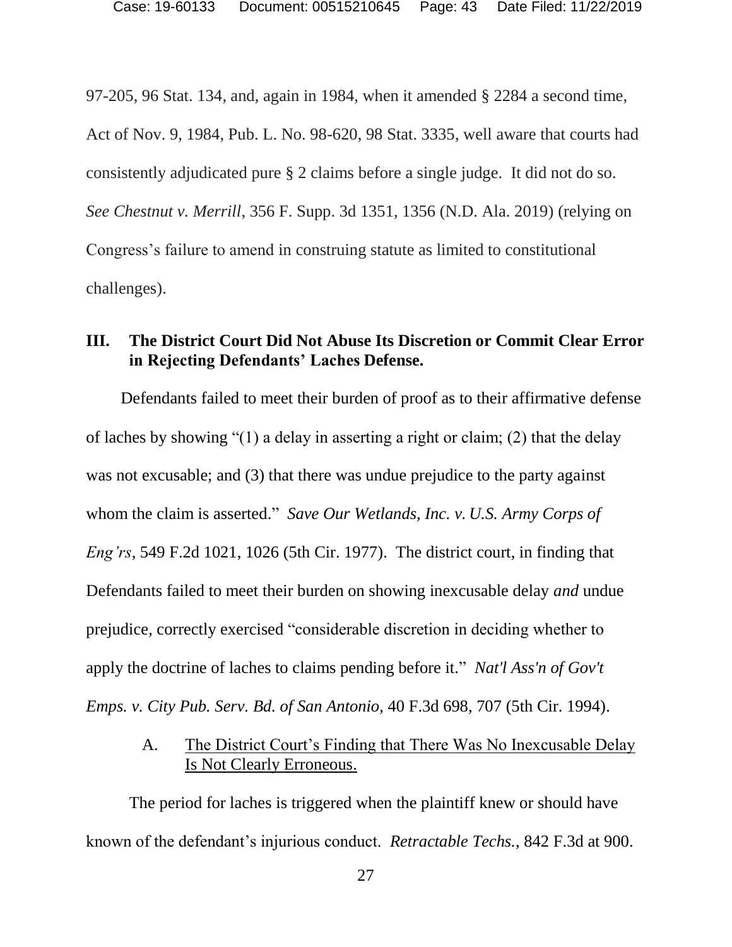97-205, 96 Stat. 134, and, again in 1984, when it amended § 2284 a second time, Act of Nov. 9, 1984, Pub. L. No. 98-620, 98 Stat. 3335, well aware that courts had consistently adjudicated pure § 2 claims before a single judge. It did not do so. *See Chestnut v. Merrill*, 356 F. Supp. 3d 1351, 1356 (N.D. Ala. 2019) (relying on Congress's failure to amend in construing statute as limited to constitutional challenges).

## **III. The District Court Did Not Abuse Its Discretion or Commit Clear Error in Rejecting Defendants' Laches Defense.**

Defendants failed to meet their burden of proof as to their affirmative defense of laches by showing "(1) a delay in asserting a right or claim; (2) that the delay was not excusable; and (3) that there was undue prejudice to the party against whom the claim is asserted." *Save Our Wetlands, Inc. v. U.S. Army Corps of Eng'rs*, 549 F.2d 1021, 1026 (5th Cir. 1977). The district court, in finding that Defendants failed to meet their burden on showing inexcusable delay *and* undue prejudice, correctly exercised "considerable discretion in deciding whether to apply the doctrine of laches to claims pending before it." *Nat'l Ass'n of Gov't Emps. v. City Pub. Serv. Bd. of San Antonio*, 40 F.3d 698, 707 (5th Cir. 1994).

## A. The District Court's Finding that There Was No Inexcusable Delay Is Not Clearly Erroneous.

The period for laches is triggered when the plaintiff knew or should have known of the defendant's injurious conduct. *Retractable Techs.*, 842 F.3d at 900.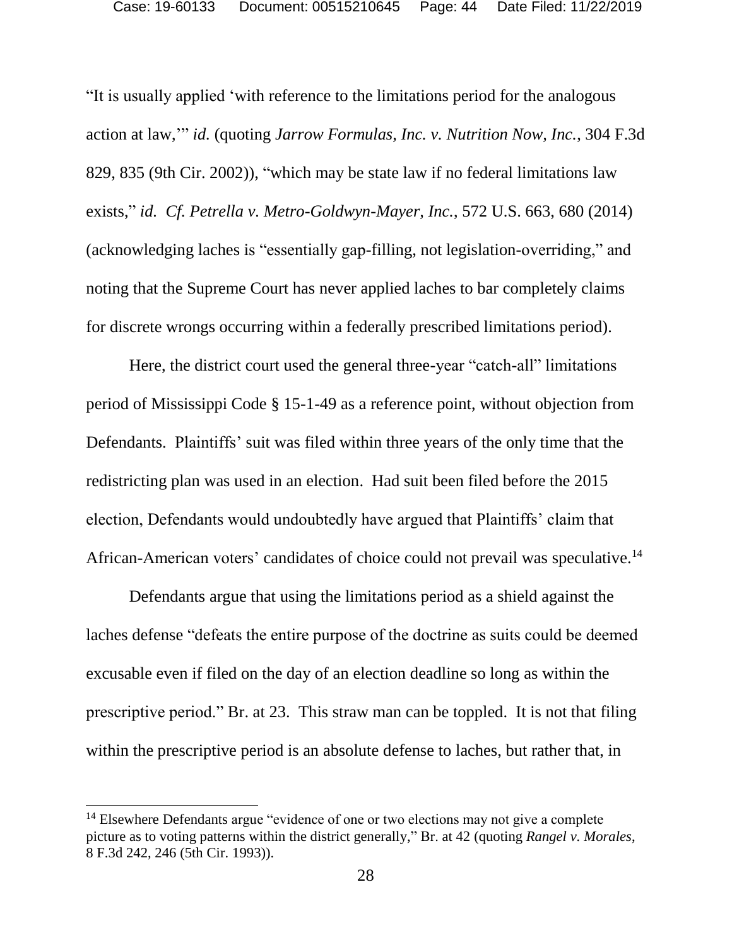"It is usually applied 'with reference to the limitations period for the analogous action at law,'" *id.* (quoting *Jarrow Formulas, Inc. v. Nutrition Now, Inc.*, 304 F.3d 829, 835 (9th Cir. 2002)), "which may be state law if no federal limitations law exists," *id. Cf. Petrella v. Metro-Goldwyn-Mayer, Inc.*, 572 U.S. 663, 680 (2014) (acknowledging laches is "essentially gap-filling, not legislation-overriding," and noting that the Supreme Court has never applied laches to bar completely claims for discrete wrongs occurring within a federally prescribed limitations period).

Here, the district court used the general three-year "catch-all" limitations period of Mississippi Code § 15-1-49 as a reference point, without objection from Defendants. Plaintiffs' suit was filed within three years of the only time that the redistricting plan was used in an election. Had suit been filed before the 2015 election, Defendants would undoubtedly have argued that Plaintiffs' claim that African-American voters' candidates of choice could not prevail was speculative.<sup>14</sup>

Defendants argue that using the limitations period as a shield against the laches defense "defeats the entire purpose of the doctrine as suits could be deemed excusable even if filed on the day of an election deadline so long as within the prescriptive period." Br. at 23. This straw man can be toppled. It is not that filing within the prescriptive period is an absolute defense to laches, but rather that, in

 $14$  Elsewhere Defendants argue "evidence of one or two elections may not give a complete picture as to voting patterns within the district generally," Br. at 42 (quoting *Rangel v. Morales*, 8 F.3d 242, 246 (5th Cir. 1993)).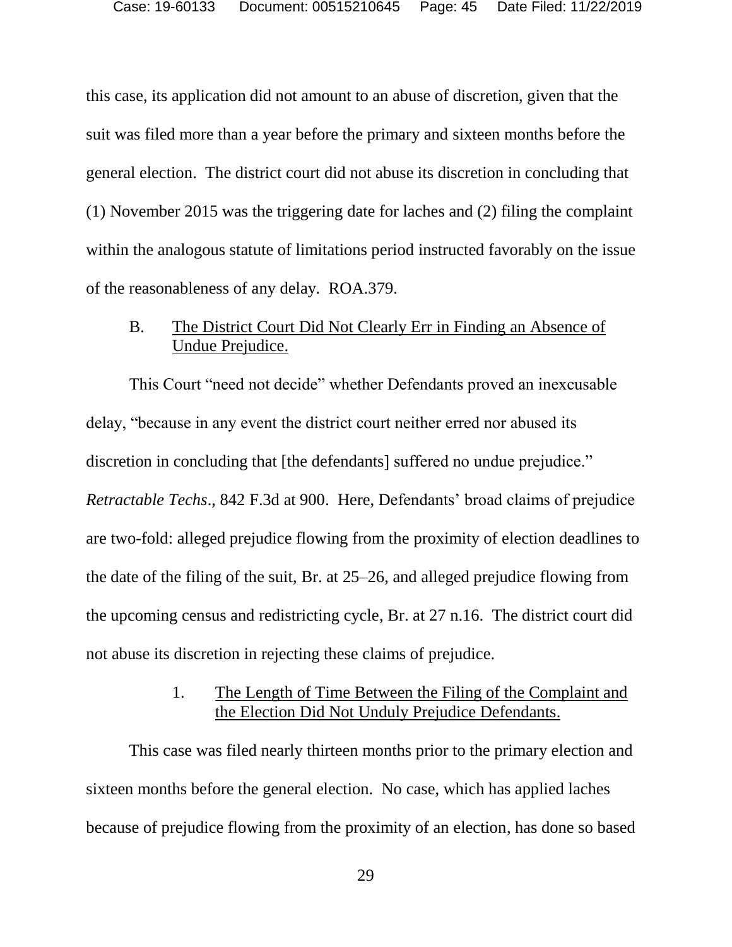this case, its application did not amount to an abuse of discretion, given that the suit was filed more than a year before the primary and sixteen months before the general election. The district court did not abuse its discretion in concluding that (1) November 2015 was the triggering date for laches and (2) filing the complaint within the analogous statute of limitations period instructed favorably on the issue of the reasonableness of any delay. ROA.379.

## B. The District Court Did Not Clearly Err in Finding an Absence of Undue Prejudice.

This Court "need not decide" whether Defendants proved an inexcusable delay, "because in any event the district court neither erred nor abused its discretion in concluding that [the defendants] suffered no undue prejudice." *Retractable Techs*., 842 F.3d at 900. Here, Defendants' broad claims of prejudice are two-fold: alleged prejudice flowing from the proximity of election deadlines to the date of the filing of the suit, Br. at 25–26, and alleged prejudice flowing from the upcoming census and redistricting cycle, Br. at 27 n.16. The district court did not abuse its discretion in rejecting these claims of prejudice.

## 1. The Length of Time Between the Filing of the Complaint and the Election Did Not Unduly Prejudice Defendants.

This case was filed nearly thirteen months prior to the primary election and sixteen months before the general election. No case, which has applied laches because of prejudice flowing from the proximity of an election, has done so based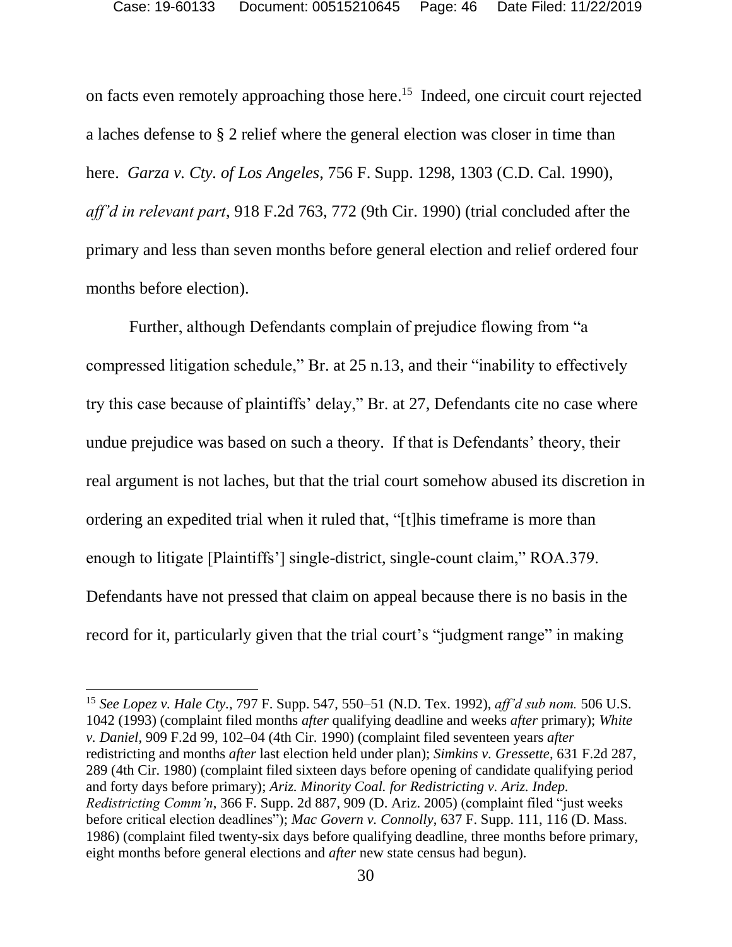on facts even remotely approaching those here. <sup>15</sup> Indeed, one circuit court rejected a laches defense to § 2 relief where the general election was closer in time than here. *Garza v. Cty. of Los Angeles*, 756 F. Supp. 1298, 1303 (C.D. Cal. 1990), *aff'd in relevant part*, 918 F.2d 763, 772 (9th Cir. 1990) (trial concluded after the primary and less than seven months before general election and relief ordered four months before election).

Further, although Defendants complain of prejudice flowing from "a compressed litigation schedule," Br. at 25 n.13, and their "inability to effectively try this case because of plaintiffs' delay," Br. at 27, Defendants cite no case where undue prejudice was based on such a theory. If that is Defendants' theory, their real argument is not laches, but that the trial court somehow abused its discretion in ordering an expedited trial when it ruled that, "[t]his timeframe is more than enough to litigate [Plaintiffs'] single-district, single-count claim," ROA.379. Defendants have not pressed that claim on appeal because there is no basis in the record for it, particularly given that the trial court's "judgment range" in making

<sup>15</sup> *See Lopez v. Hale Cty.*, 797 F. Supp. 547, 550–51 (N.D. Tex. 1992), *aff'd sub nom.* 506 U.S. 1042 (1993) (complaint filed months *after* qualifying deadline and weeks *after* primary); *White v. Daniel*, 909 F.2d 99, 102–04 (4th Cir. 1990) (complaint filed seventeen years *after* redistricting and months *after* last election held under plan); *Simkins v. Gressette*, 631 F.2d 287, 289 (4th Cir. 1980) (complaint filed sixteen days before opening of candidate qualifying period and forty days before primary); *Ariz. Minority Coal. for Redistricting v. Ariz. Indep. Redistricting Comm'n*, 366 F. Supp. 2d 887, 909 (D. Ariz. 2005) (complaint filed "just weeks before critical election deadlines"); *Mac Govern v. Connolly*, 637 F. Supp. 111, 116 (D. Mass. 1986) (complaint filed twenty-six days before qualifying deadline, three months before primary, eight months before general elections and *after* new state census had begun).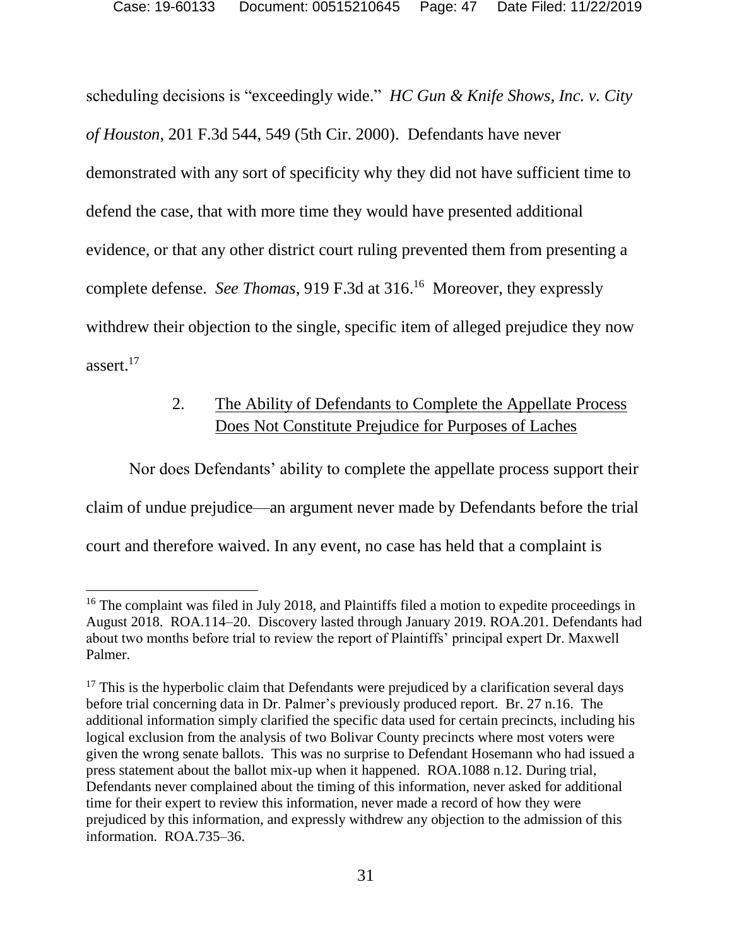scheduling decisions is "exceedingly wide." *HC Gun & Knife Shows, Inc. v. City of Houston*, 201 F.3d 544, 549 (5th Cir. 2000). Defendants have never demonstrated with any sort of specificity why they did not have sufficient time to defend the case, that with more time they would have presented additional evidence, or that any other district court ruling prevented them from presenting a complete defense. *See Thomas*, 919 F.3d at 316. <sup>16</sup> Moreover, they expressly withdrew their objection to the single, specific item of alleged prejudice they now assert.<sup>17</sup>

## 2. The Ability of Defendants to Complete the Appellate Process Does Not Constitute Prejudice for Purposes of Laches

Nor does Defendants' ability to complete the appellate process support their claim of undue prejudice—an argument never made by Defendants before the trial court and therefore waived. In any event, no case has held that a complaint is

 $\overline{a}$ 

<sup>&</sup>lt;sup>16</sup> The complaint was filed in July 2018, and Plaintiffs filed a motion to expedite proceedings in August 2018. ROA.114–20. Discovery lasted through January 2019. ROA.201. Defendants had about two months before trial to review the report of Plaintiffs' principal expert Dr. Maxwell Palmer.

 $17$  This is the hyperbolic claim that Defendants were prejudiced by a clarification several days before trial concerning data in Dr. Palmer's previously produced report. Br. 27 n.16. The additional information simply clarified the specific data used for certain precincts, including his logical exclusion from the analysis of two Bolivar County precincts where most voters were given the wrong senate ballots. This was no surprise to Defendant Hosemann who had issued a press statement about the ballot mix-up when it happened. ROA.1088 n.12. During trial, Defendants never complained about the timing of this information, never asked for additional time for their expert to review this information, never made a record of how they were prejudiced by this information, and expressly withdrew any objection to the admission of this information. ROA.735–36.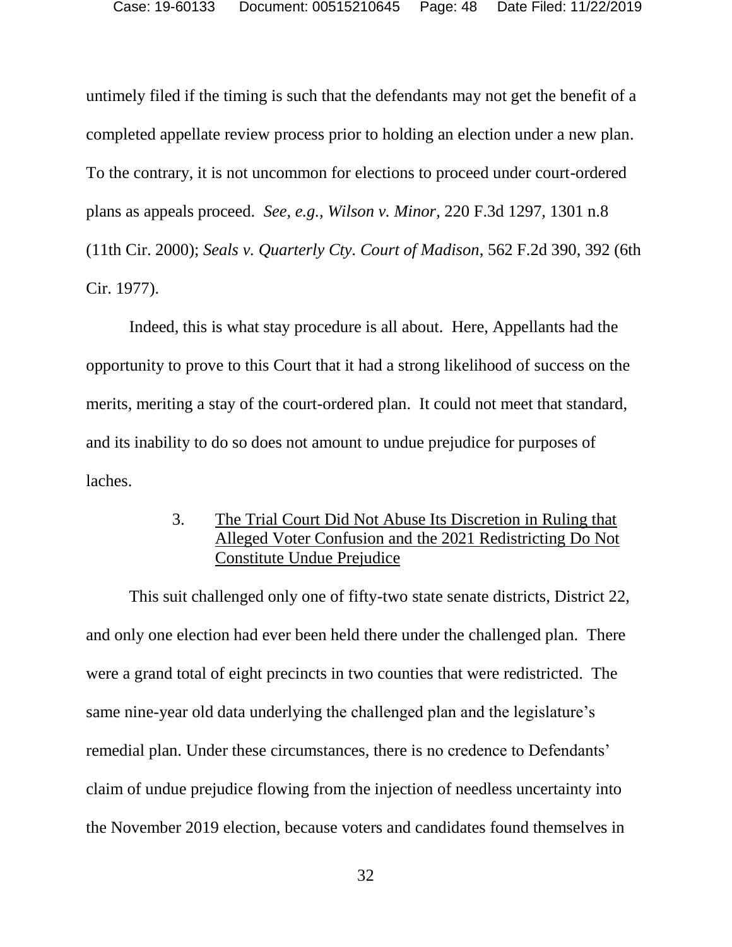untimely filed if the timing is such that the defendants may not get the benefit of a completed appellate review process prior to holding an election under a new plan. To the contrary, it is not uncommon for elections to proceed under court-ordered plans as appeals proceed. *See, e.g.*, *Wilson v. Minor*, 220 F.3d 1297, 1301 n.8 (11th Cir. 2000); *Seals v. Quarterly Cty. Court of Madison*, 562 F.2d 390, 392 (6th Cir. 1977).

Indeed, this is what stay procedure is all about. Here, Appellants had the opportunity to prove to this Court that it had a strong likelihood of success on the merits, meriting a stay of the court-ordered plan. It could not meet that standard, and its inability to do so does not amount to undue prejudice for purposes of laches.

## 3. The Trial Court Did Not Abuse Its Discretion in Ruling that Alleged Voter Confusion and the 2021 Redistricting Do Not Constitute Undue Prejudice

This suit challenged only one of fifty-two state senate districts, District 22, and only one election had ever been held there under the challenged plan. There were a grand total of eight precincts in two counties that were redistricted. The same nine-year old data underlying the challenged plan and the legislature's remedial plan. Under these circumstances, there is no credence to Defendants' claim of undue prejudice flowing from the injection of needless uncertainty into the November 2019 election, because voters and candidates found themselves in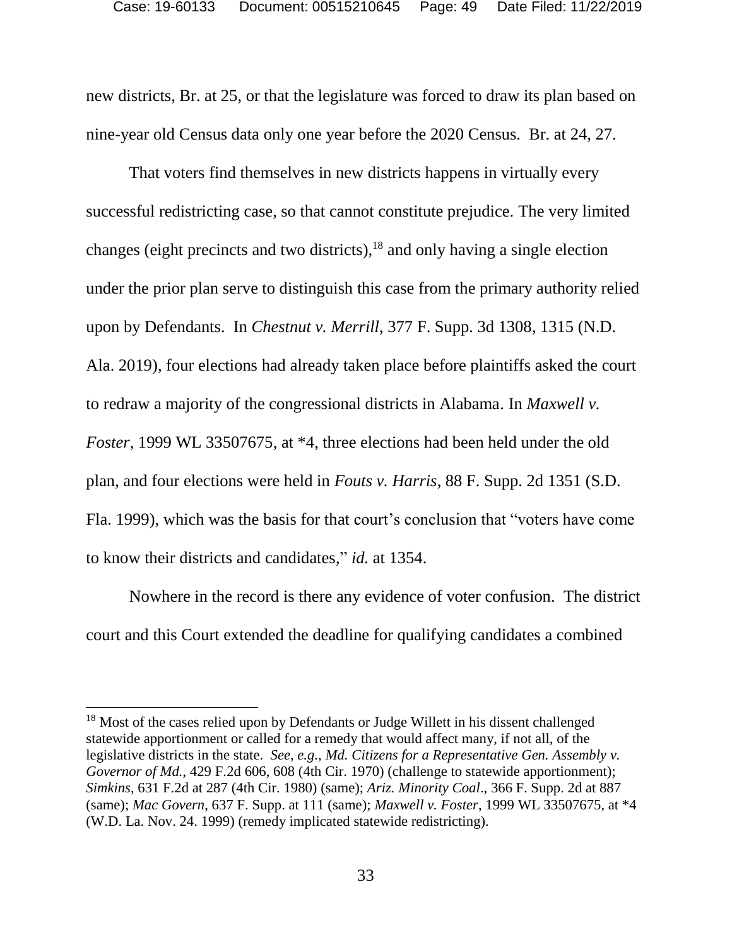new districts, Br. at 25, or that the legislature was forced to draw its plan based on nine-year old Census data only one year before the 2020 Census. Br. at 24, 27.

That voters find themselves in new districts happens in virtually every successful redistricting case, so that cannot constitute prejudice. The very limited changes (eight precincts and two districts), <sup>18</sup> and only having a single election under the prior plan serve to distinguish this case from the primary authority relied upon by Defendants. In *Chestnut v. Merrill*, 377 F. Supp. 3d 1308, 1315 (N.D. Ala. 2019), four elections had already taken place before plaintiffs asked the court to redraw a majority of the congressional districts in Alabama. In *Maxwell v. Foster*, 1999 WL 33507675, at \*4, three elections had been held under the old plan, and four elections were held in *Fouts v. Harris*, 88 F. Supp. 2d 1351 (S.D. Fla. 1999), which was the basis for that court's conclusion that "voters have come to know their districts and candidates," *id.* at 1354.

Nowhere in the record is there any evidence of voter confusion. The district court and this Court extended the deadline for qualifying candidates a combined

<sup>&</sup>lt;sup>18</sup> Most of the cases relied upon by Defendants or Judge Willett in his dissent challenged statewide apportionment or called for a remedy that would affect many, if not all, of the legislative districts in the state. *See, e.g., Md. Citizens for a Representative Gen. Assembly v. Governor of Md.*, 429 F.2d 606, 608 (4th Cir. 1970) (challenge to statewide apportionment); *Simkins*, 631 F.2d at 287 (4th Cir. 1980) (same); *Ariz. Minority Coal*., 366 F. Supp. 2d at 887 (same); *Mac Govern*, 637 F. Supp. at 111 (same); *Maxwell v. Foster*, 1999 WL 33507675, at \*4 (W.D. La. Nov. 24. 1999) (remedy implicated statewide redistricting).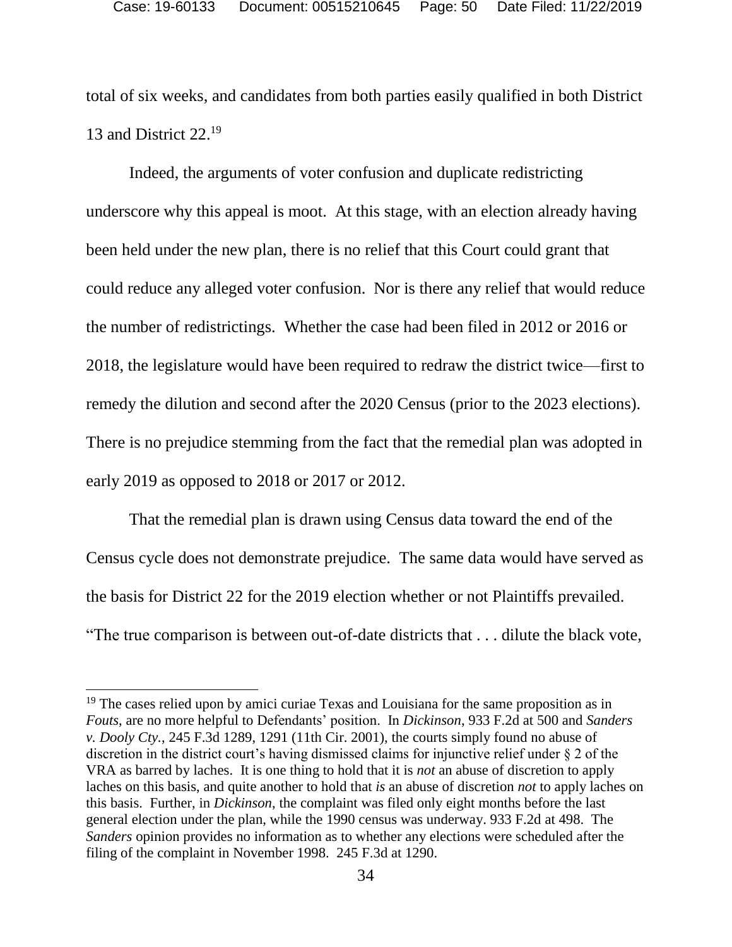total of six weeks, and candidates from both parties easily qualified in both District 13 and District 22.<sup>19</sup>

Indeed, the arguments of voter confusion and duplicate redistricting underscore why this appeal is moot. At this stage, with an election already having been held under the new plan, there is no relief that this Court could grant that could reduce any alleged voter confusion. Nor is there any relief that would reduce the number of redistrictings. Whether the case had been filed in 2012 or 2016 or 2018, the legislature would have been required to redraw the district twice—first to remedy the dilution and second after the 2020 Census (prior to the 2023 elections). There is no prejudice stemming from the fact that the remedial plan was adopted in early 2019 as opposed to 2018 or 2017 or 2012.

That the remedial plan is drawn using Census data toward the end of the Census cycle does not demonstrate prejudice. The same data would have served as the basis for District 22 for the 2019 election whether or not Plaintiffs prevailed. "The true comparison is between out-of-date districts that . . . dilute the black vote,

 $19$  The cases relied upon by amici curiae Texas and Louisiana for the same proposition as in *Fouts*, are no more helpful to Defendants' position. In *Dickinson*, 933 F.2d at 500 and *Sanders v. Dooly Cty.*, 245 F.3d 1289, 1291 (11th Cir. 2001), the courts simply found no abuse of discretion in the district court's having dismissed claims for injunctive relief under § 2 of the VRA as barred by laches. It is one thing to hold that it is *not* an abuse of discretion to apply laches on this basis, and quite another to hold that *is* an abuse of discretion *not* to apply laches on this basis. Further, in *Dickinson*, the complaint was filed only eight months before the last general election under the plan, while the 1990 census was underway. 933 F.2d at 498. The *Sanders* opinion provides no information as to whether any elections were scheduled after the filing of the complaint in November 1998. 245 F.3d at 1290.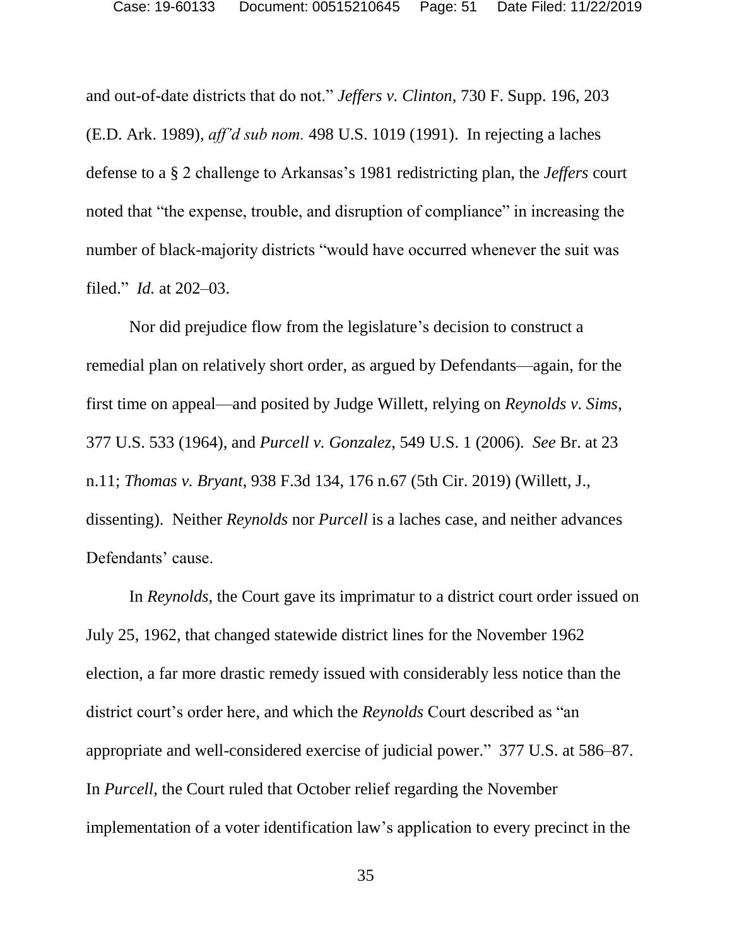and out-of-date districts that do not." *Jeffers v. Clinton*, 730 F. Supp. 196, 203 (E.D. Ark. 1989), *aff'd sub nom.* 498 U.S. 1019 (1991). In rejecting a laches defense to a § 2 challenge to Arkansas's 1981 redistricting plan, the *Jeffers* court noted that "the expense, trouble, and disruption of compliance" in increasing the number of black-majority districts "would have occurred whenever the suit was filed." *Id.* at 202–03.

Nor did prejudice flow from the legislature's decision to construct a remedial plan on relatively short order, as argued by Defendants—again, for the first time on appeal—and posited by Judge Willett, relying on *Reynolds v. Sims*, 377 U.S. 533 (1964), and *Purcell v. Gonzalez*, 549 U.S. 1 (2006). *See* Br. at 23 n.11; *Thomas v. Bryant*, 938 F.3d 134, 176 n.67 (5th Cir. 2019) (Willett, J., dissenting). Neither *Reynolds* nor *Purcell* is a laches case, and neither advances Defendants' cause.

In *Reynolds*, the Court gave its imprimatur to a district court order issued on July 25, 1962, that changed statewide district lines for the November 1962 election, a far more drastic remedy issued with considerably less notice than the district court's order here, and which the *Reynolds* Court described as "an appropriate and well-considered exercise of judicial power." 377 U.S. at 586–87. In *Purcell*, the Court ruled that October relief regarding the November implementation of a voter identification law's application to every precinct in the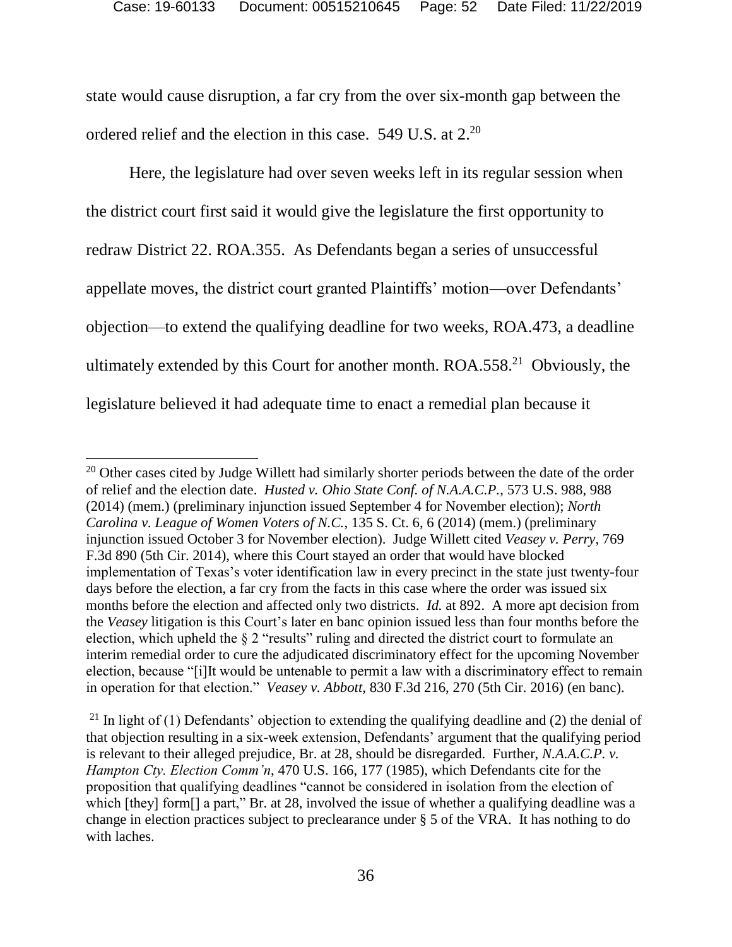state would cause disruption, a far cry from the over six-month gap between the ordered relief and the election in this case.  $549$  U.S. at  $2.^{20}$ 

Here, the legislature had over seven weeks left in its regular session when the district court first said it would give the legislature the first opportunity to redraw District 22. ROA.355. As Defendants began a series of unsuccessful appellate moves, the district court granted Plaintiffs' motion—over Defendants' objection—to extend the qualifying deadline for two weeks, ROA.473, a deadline ultimately extended by this Court for another month.  $ROA.558<sup>21</sup>$  Obviously, the legislature believed it had adequate time to enact a remedial plan because it

<sup>&</sup>lt;sup>20</sup> Other cases cited by Judge Willett had similarly shorter periods between the date of the order of relief and the election date. *Husted v. Ohio State Conf. of N.A.A.C.P.*, 573 U.S. 988, 988 (2014) (mem.) (preliminary injunction issued September 4 for November election); *North Carolina v. League of Women Voters of N.C.*, 135 S. Ct. 6, 6 (2014) (mem.) (preliminary injunction issued October 3 for November election). Judge Willett cited *Veasey v. Perry*, 769 F.3d 890 (5th Cir. 2014), where this Court stayed an order that would have blocked implementation of Texas's voter identification law in every precinct in the state just twenty-four days before the election, a far cry from the facts in this case where the order was issued six months before the election and affected only two districts. *Id.* at 892. A more apt decision from the *Veasey* litigation is this Court's later en banc opinion issued less than four months before the election, which upheld the § 2 "results" ruling and directed the district court to formulate an interim remedial order to cure the adjudicated discriminatory effect for the upcoming November election, because "[i]It would be untenable to permit a law with a discriminatory effect to remain in operation for that election." *Veasey v. Abbott*, 830 F.3d 216, 270 (5th Cir. 2016) (en banc).

<sup>&</sup>lt;sup>21</sup> In light of (1) Defendants' objection to extending the qualifying deadline and (2) the denial of that objection resulting in a six-week extension, Defendants' argument that the qualifying period is relevant to their alleged prejudice, Br. at 28, should be disregarded. Further, *N.A.A.C.P. v. Hampton Cty. Election Comm'n*, 470 U.S. 166, 177 (1985), which Defendants cite for the proposition that qualifying deadlines "cannot be considered in isolation from the election of which [they] form[] a part," Br. at 28, involved the issue of whether a qualifying deadline was a change in election practices subject to preclearance under § 5 of the VRA. It has nothing to do with laches.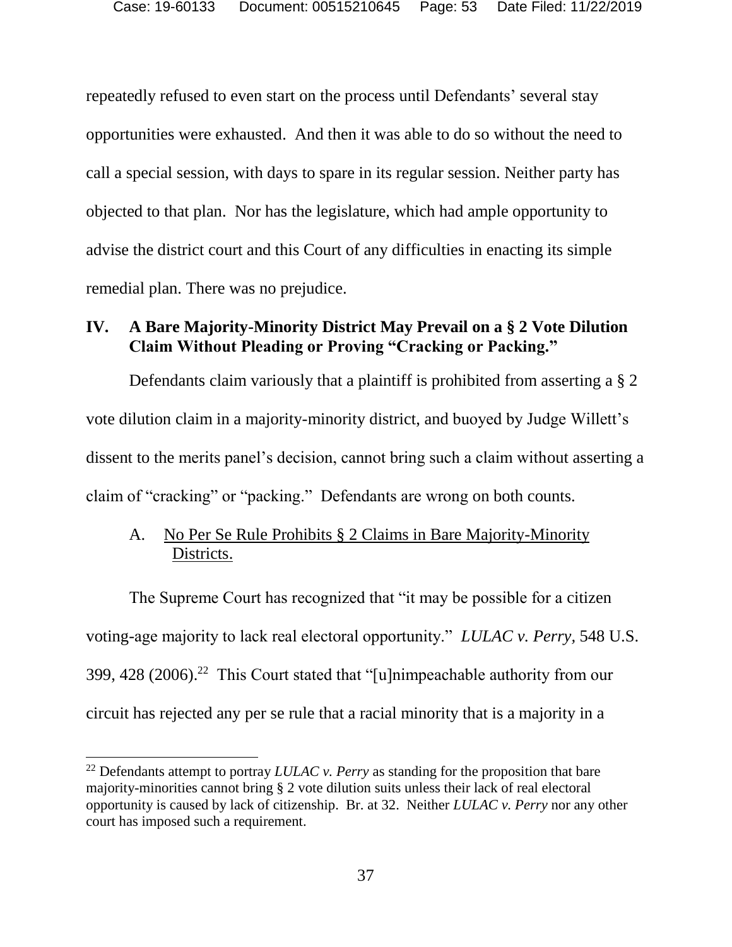repeatedly refused to even start on the process until Defendants' several stay opportunities were exhausted. And then it was able to do so without the need to call a special session, with days to spare in its regular session. Neither party has objected to that plan. Nor has the legislature, which had ample opportunity to advise the district court and this Court of any difficulties in enacting its simple remedial plan. There was no prejudice.

## **IV. A Bare Majority-Minority District May Prevail on a § 2 Vote Dilution Claim Without Pleading or Proving "Cracking or Packing."**

Defendants claim variously that a plaintiff is prohibited from asserting a § 2 vote dilution claim in a majority-minority district, and buoyed by Judge Willett's dissent to the merits panel's decision, cannot bring such a claim without asserting a claim of "cracking" or "packing." Defendants are wrong on both counts.

## A. No Per Se Rule Prohibits § 2 Claims in Bare Majority-Minority Districts.

The Supreme Court has recognized that "it may be possible for a citizen voting-age majority to lack real electoral opportunity." *LULAC v. Perry,* 548 U.S. 399, 428 (2006). <sup>22</sup> This Court stated that "[u]nimpeachable authority from our circuit has rejected any per se rule that a racial minority that is a majority in a

 $\overline{a}$ 

<sup>22</sup> Defendants attempt to portray *LULAC v. Perry* as standing for the proposition that bare majority-minorities cannot bring § 2 vote dilution suits unless their lack of real electoral opportunity is caused by lack of citizenship. Br. at 32. Neither *LULAC v. Perry* nor any other court has imposed such a requirement.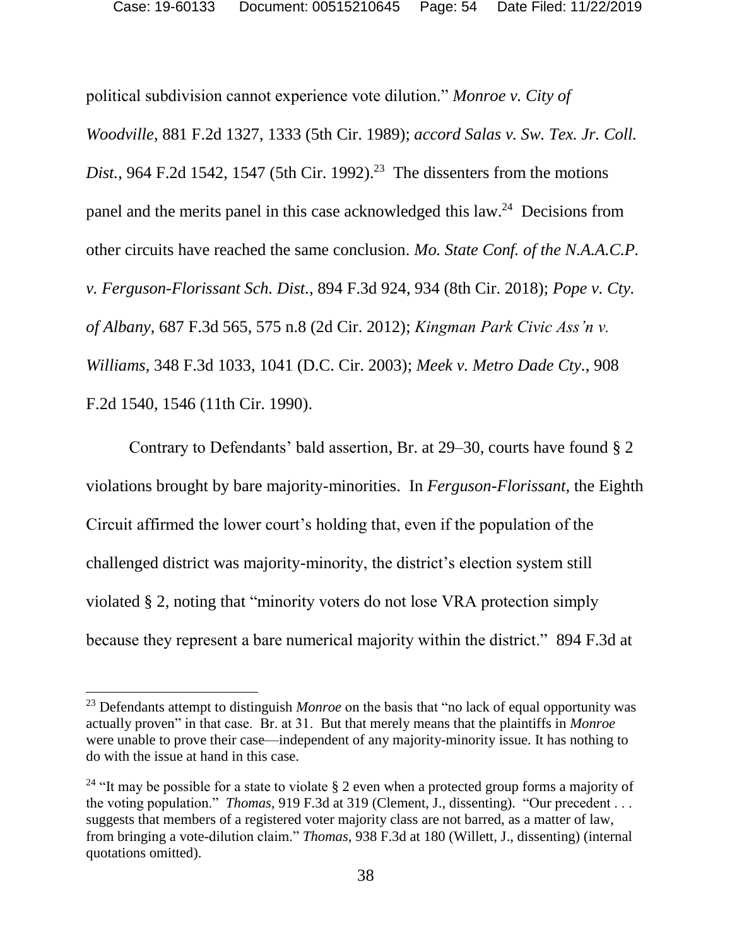political subdivision cannot experience vote dilution." *Monroe v. City of Woodville*, 881 F.2d 1327, 1333 (5th Cir. 1989); *accord Salas v. Sw. Tex. Jr. Coll. Dist.*, 964 F.2d 1542, 1547 (5th Cir. 1992). <sup>23</sup> The dissenters from the motions panel and the merits panel in this case acknowledged this law.<sup>24</sup> Decisions from other circuits have reached the same conclusion. *Mo. State Conf. of the N.A.A.C.P. v. Ferguson-Florissant Sch. Dist.*, 894 F.3d 924, 934 (8th Cir. 2018); *Pope v. Cty. of Albany*, 687 F.3d 565, 575 n.8 (2d Cir. 2012); *Kingman Park Civic Ass'n v. Williams*, 348 F.3d 1033, 1041 (D.C. Cir. 2003); *Meek v. Metro Dade Cty.*, 908 F.2d 1540, 1546 (11th Cir. 1990).

Contrary to Defendants' bald assertion, Br. at 29–30, courts have found § 2 violations brought by bare majority-minorities. In *Ferguson-Florissant,* the Eighth Circuit affirmed the lower court's holding that, even if the population of the challenged district was majority-minority, the district's election system still violated § 2, noting that "minority voters do not lose VRA protection simply because they represent a bare numerical majority within the district." 894 F.3d at

<sup>23</sup> Defendants attempt to distinguish *Monroe* on the basis that "no lack of equal opportunity was actually proven" in that case. Br. at 31. But that merely means that the plaintiffs in *Monroe*  were unable to prove their case—independent of any majority-minority issue. It has nothing to do with the issue at hand in this case.

<sup>&</sup>lt;sup>24</sup> "It may be possible for a state to violate  $\S$  2 even when a protected group forms a majority of the voting population." *Thomas*, 919 F.3d at 319 (Clement, J., dissenting). "Our precedent . . . suggests that members of a registered voter majority class are not barred, as a matter of law, from bringing a vote-dilution claim." *Thomas*, 938 F.3d at 180 (Willett, J., dissenting) (internal quotations omitted).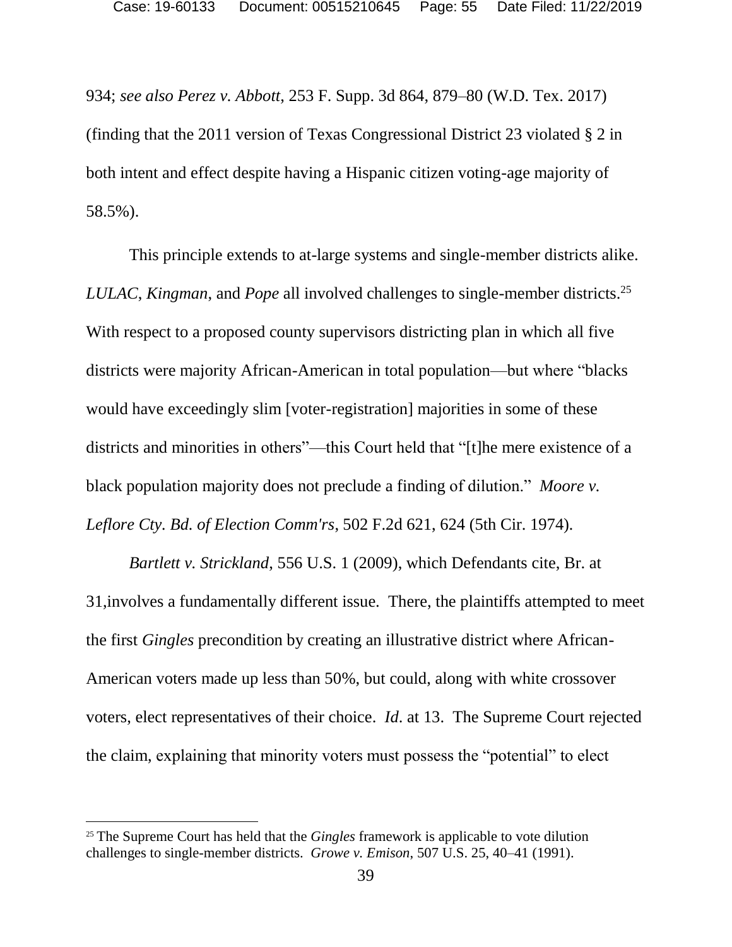934; *see also Perez v. Abbott*, 253 F. Supp. 3d 864, 879–80 (W.D. Tex. 2017) (finding that the 2011 version of Texas Congressional District 23 violated § 2 in both intent and effect despite having a Hispanic citizen voting-age majority of 58.5%).

This principle extends to at-large systems and single-member districts alike. *LULAC*, *Kingman*, and *Pope* all involved challenges to single-member districts.<sup>25</sup> With respect to a proposed county supervisors districting plan in which all five districts were majority African-American in total population—but where "blacks would have exceedingly slim [voter-registration] majorities in some of these districts and minorities in others"—this Court held that "[t]he mere existence of a black population majority does not preclude a finding of dilution." *Moore v. Leflore Cty. Bd. of Election Comm'rs*, 502 F.2d 621, 624 (5th Cir. 1974)*.*

*Bartlett v. Strickland*, 556 U.S. 1 (2009), which Defendants cite, Br. at 31,involves a fundamentally different issue. There, the plaintiffs attempted to meet the first *Gingles* precondition by creating an illustrative district where African-American voters made up less than 50%, but could, along with white crossover voters, elect representatives of their choice. *Id*. at 13. The Supreme Court rejected the claim, explaining that minority voters must possess the "potential" to elect

 $\overline{\phantom{a}}$ 

<sup>25</sup> The Supreme Court has held that the *Gingles* framework is applicable to vote dilution challenges to single-member districts. *Growe v. Emison*, 507 U.S. 25, 40–41 (1991).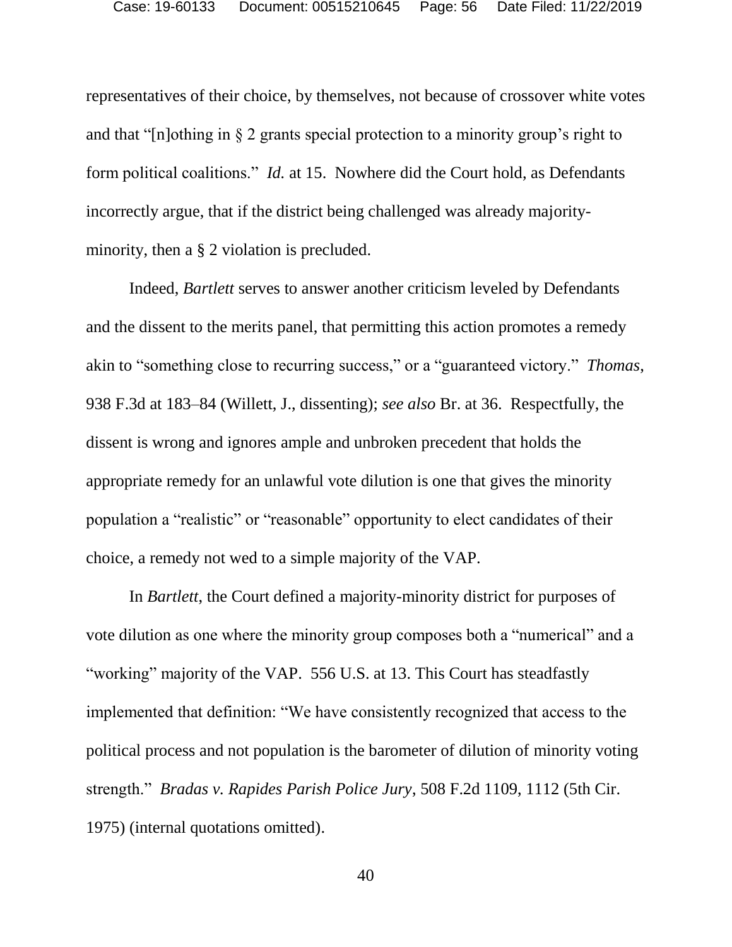representatives of their choice, by themselves, not because of crossover white votes and that "[n]othing in § 2 grants special protection to a minority group's right to form political coalitions." *Id.* at 15. Nowhere did the Court hold, as Defendants incorrectly argue, that if the district being challenged was already majorityminority, then a § 2 violation is precluded.

Indeed, *Bartlett* serves to answer another criticism leveled by Defendants and the dissent to the merits panel, that permitting this action promotes a remedy akin to "something close to recurring success," or a "guaranteed victory." *Thomas*, 938 F.3d at 183–84 (Willett, J., dissenting); *see also* Br. at 36. Respectfully, the dissent is wrong and ignores ample and unbroken precedent that holds the appropriate remedy for an unlawful vote dilution is one that gives the minority population a "realistic" or "reasonable" opportunity to elect candidates of their choice, a remedy not wed to a simple majority of the VAP.

In *Bartlett*, the Court defined a majority-minority district for purposes of vote dilution as one where the minority group composes both a "numerical" and a "working" majority of the VAP. 556 U.S. at 13. This Court has steadfastly implemented that definition: "We have consistently recognized that access to the political process and not population is the barometer of dilution of minority voting strength." *Bradas v. Rapides Parish Police Jury*, 508 F.2d 1109, 1112 (5th Cir. 1975) (internal quotations omitted).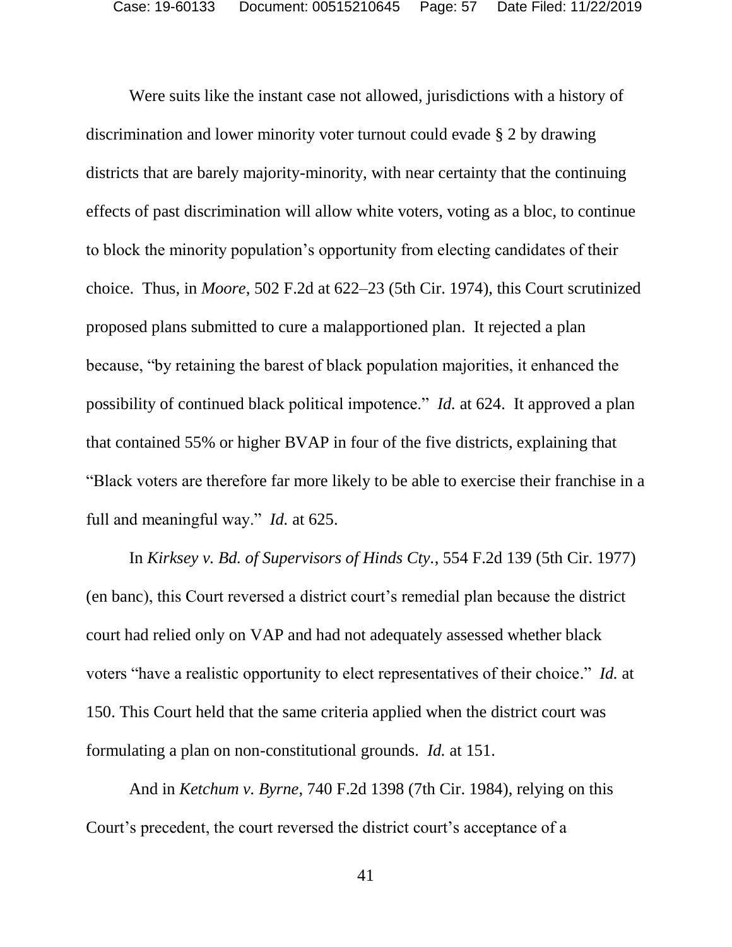Were suits like the instant case not allowed, jurisdictions with a history of discrimination and lower minority voter turnout could evade § 2 by drawing districts that are barely majority-minority, with near certainty that the continuing effects of past discrimination will allow white voters, voting as a bloc, to continue to block the minority population's opportunity from electing candidates of their choice. Thus, in *Moore*, 502 F.2d at 622–23 (5th Cir. 1974), this Court scrutinized proposed plans submitted to cure a malapportioned plan. It rejected a plan because, "by retaining the barest of black population majorities, it enhanced the possibility of continued black political impotence." *Id.* at 624. It approved a plan that contained 55% or higher BVAP in four of the five districts, explaining that "Black voters are therefore far more likely to be able to exercise their franchise in a full and meaningful way." *Id.* at 625.

In *Kirksey v. Bd. of Supervisors of Hinds Cty.*, 554 F.2d 139 (5th Cir. 1977) (en banc), this Court reversed a district court's remedial plan because the district court had relied only on VAP and had not adequately assessed whether black voters "have a realistic opportunity to elect representatives of their choice." *Id.* at 150. This Court held that the same criteria applied when the district court was formulating a plan on non-constitutional grounds. *Id.* at 151.

And in *Ketchum v. Byrne*, 740 F.2d 1398 (7th Cir. 1984), relying on this Court's precedent, the court reversed the district court's acceptance of a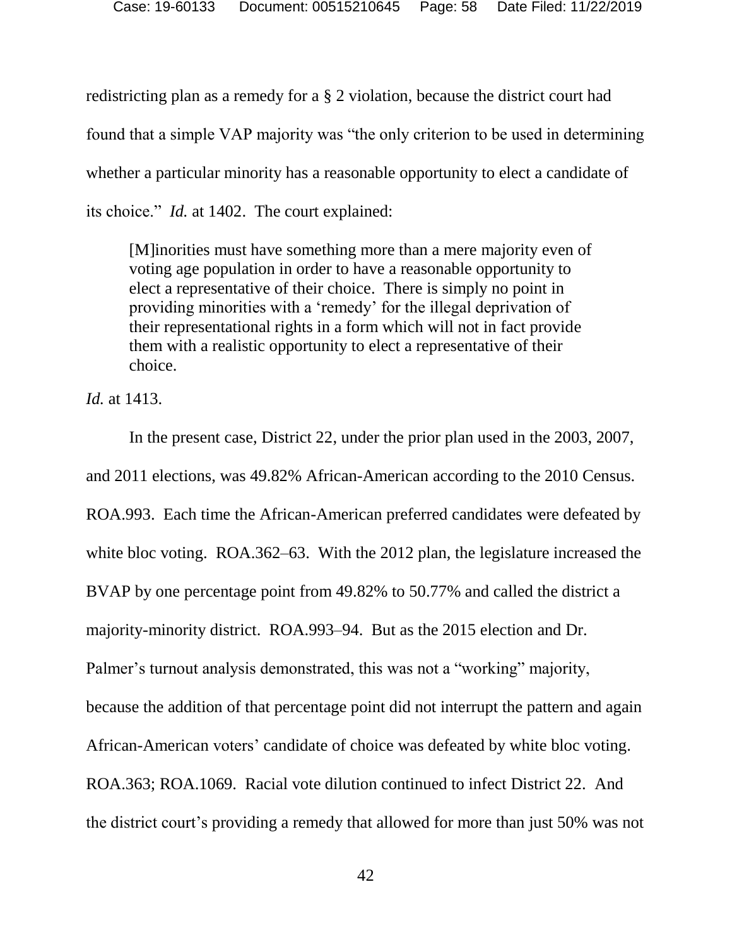redistricting plan as a remedy for a § 2 violation, because the district court had found that a simple VAP majority was "the only criterion to be used in determining whether a particular minority has a reasonable opportunity to elect a candidate of its choice." *Id.* at 1402. The court explained:

[M]inorities must have something more than a mere majority even of voting age population in order to have a reasonable opportunity to elect a representative of their choice. There is simply no point in providing minorities with a 'remedy' for the illegal deprivation of their representational rights in a form which will not in fact provide them with a realistic opportunity to elect a representative of their choice.

*Id.* at 1413.

In the present case, District 22, under the prior plan used in the 2003, 2007, and 2011 elections, was 49.82% African-American according to the 2010 Census. ROA.993. Each time the African-American preferred candidates were defeated by white bloc voting. ROA.362–63. With the 2012 plan, the legislature increased the BVAP by one percentage point from 49.82% to 50.77% and called the district a majority-minority district. ROA.993–94. But as the 2015 election and Dr. Palmer's turnout analysis demonstrated, this was not a "working" majority, because the addition of that percentage point did not interrupt the pattern and again African-American voters' candidate of choice was defeated by white bloc voting. ROA.363; ROA.1069. Racial vote dilution continued to infect District 22. And the district court's providing a remedy that allowed for more than just 50% was not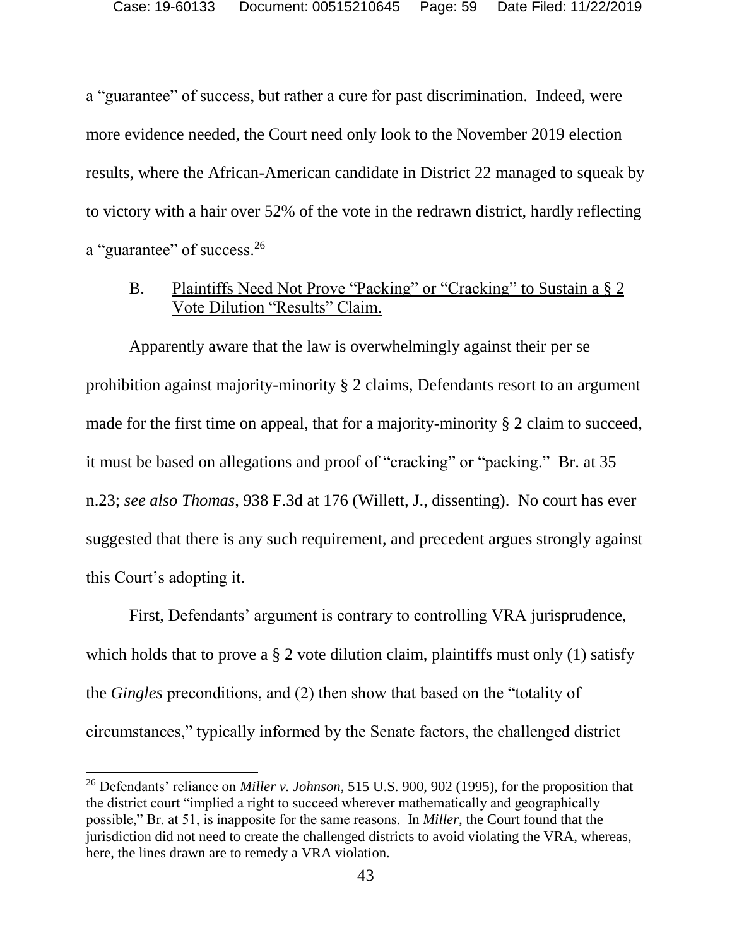a "guarantee" of success, but rather a cure for past discrimination. Indeed, were more evidence needed, the Court need only look to the November 2019 election results, where the African-American candidate in District 22 managed to squeak by to victory with a hair over 52% of the vote in the redrawn district, hardly reflecting a "guarantee" of success.<sup>26</sup>

### B. Plaintiffs Need Not Prove "Packing" or "Cracking" to Sustain a § 2 Vote Dilution "Results" Claim.

Apparently aware that the law is overwhelmingly against their per se prohibition against majority-minority § 2 claims, Defendants resort to an argument made for the first time on appeal, that for a majority-minority § 2 claim to succeed, it must be based on allegations and proof of "cracking" or "packing." Br. at 35 n.23; *see also Thomas*, 938 F.3d at 176 (Willett, J., dissenting). No court has ever suggested that there is any such requirement, and precedent argues strongly against this Court's adopting it.

First, Defendants' argument is contrary to controlling VRA jurisprudence, which holds that to prove a  $\S$  2 vote dilution claim, plaintiffs must only (1) satisfy the *Gingles* preconditions, and (2) then show that based on the "totality of circumstances," typically informed by the Senate factors, the challenged district

<sup>26</sup> Defendants' reliance on *Miller v. Johnson*, 515 U.S. 900, 902 (1995), for the proposition that the district court "implied a right to succeed wherever mathematically and geographically possible," Br. at 51, is inapposite for the same reasons. In *Miller*, the Court found that the jurisdiction did not need to create the challenged districts to avoid violating the VRA, whereas, here, the lines drawn are to remedy a VRA violation.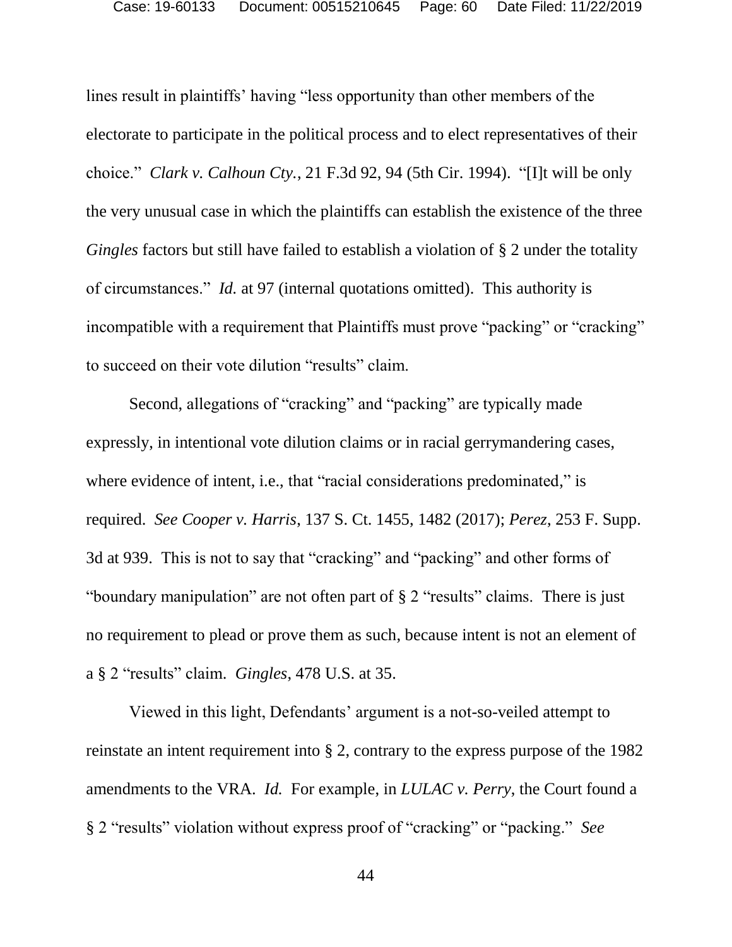lines result in plaintiffs' having "less opportunity than other members of the electorate to participate in the political process and to elect representatives of their choice." *Clark v. Calhoun Cty.*, 21 F.3d 92, 94 (5th Cir. 1994). "[I]t will be only the very unusual case in which the plaintiffs can establish the existence of the three *Gingles* factors but still have failed to establish a violation of § 2 under the totality of circumstances." *Id.* at 97 (internal quotations omitted). This authority is incompatible with a requirement that Plaintiffs must prove "packing" or "cracking" to succeed on their vote dilution "results" claim.

Second, allegations of "cracking" and "packing" are typically made expressly, in intentional vote dilution claims or in racial gerrymandering cases, where evidence of intent, i.e., that "racial considerations predominated," is required. *See Cooper v. Harris*, 137 S. Ct. 1455, 1482 (2017); *Perez*, 253 F. Supp. 3d at 939. This is not to say that "cracking" and "packing" and other forms of "boundary manipulation" are not often part of § 2 "results" claims. There is just no requirement to plead or prove them as such, because intent is not an element of a § 2 "results" claim. *Gingles*, 478 U.S. at 35.

Viewed in this light, Defendants' argument is a not-so-veiled attempt to reinstate an intent requirement into § 2, contrary to the express purpose of the 1982 amendments to the VRA. *Id.* For example, in *LULAC v. Perry*, the Court found a § 2 "results" violation without express proof of "cracking" or "packing." *See*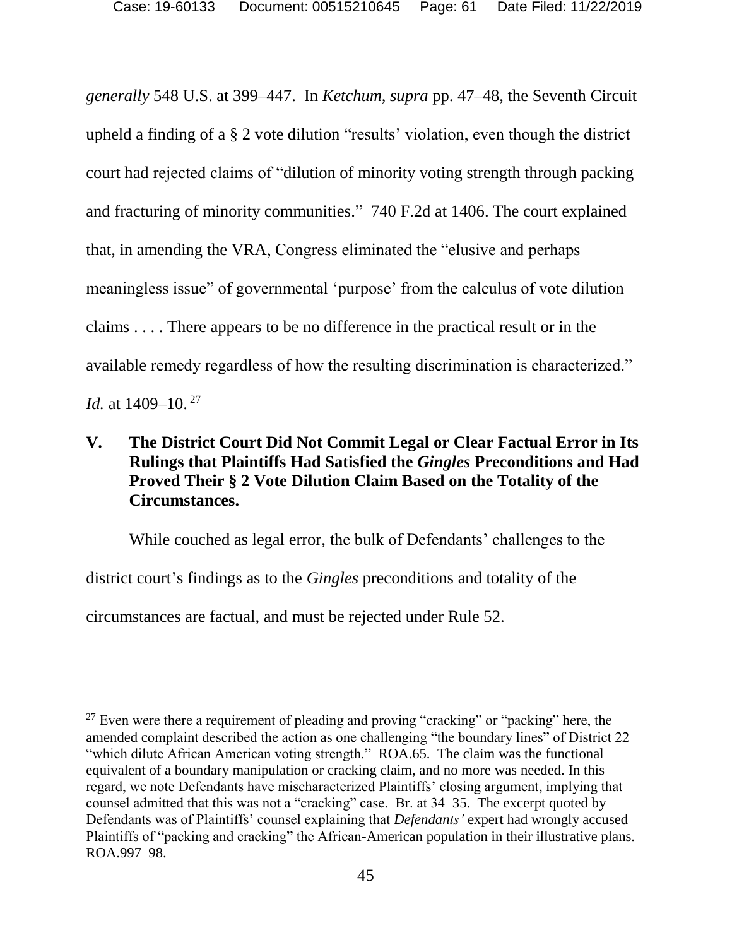*generally* 548 U.S. at 399–447. In *Ketchum*, *supra* pp. 47–48, the Seventh Circuit upheld a finding of a § 2 vote dilution "results' violation, even though the district court had rejected claims of "dilution of minority voting strength through packing and fracturing of minority communities." 740 F.2d at 1406. The court explained that, in amending the VRA, Congress eliminated the "elusive and perhaps meaningless issue" of governmental 'purpose' from the calculus of vote dilution claims . . . . There appears to be no difference in the practical result or in the available remedy regardless of how the resulting discrimination is characterized." *Id.* at 1409–10. 27

## **V. The District Court Did Not Commit Legal or Clear Factual Error in Its Rulings that Plaintiffs Had Satisfied the** *Gingles* **Preconditions and Had Proved Their § 2 Vote Dilution Claim Based on the Totality of the Circumstances.**

While couched as legal error, the bulk of Defendants' challenges to the district court's findings as to the *Gingles* preconditions and totality of the circumstances are factual, and must be rejected under Rule 52.

 $27$  Even were there a requirement of pleading and proving "cracking" or "packing" here, the amended complaint described the action as one challenging "the boundary lines" of District 22 "which dilute African American voting strength." ROA.65. The claim was the functional equivalent of a boundary manipulation or cracking claim, and no more was needed. In this regard, we note Defendants have mischaracterized Plaintiffs' closing argument, implying that counsel admitted that this was not a "cracking" case. Br. at 34–35. The excerpt quoted by Defendants was of Plaintiffs' counsel explaining that *Defendants'* expert had wrongly accused Plaintiffs of "packing and cracking" the African-American population in their illustrative plans. ROA.997–98.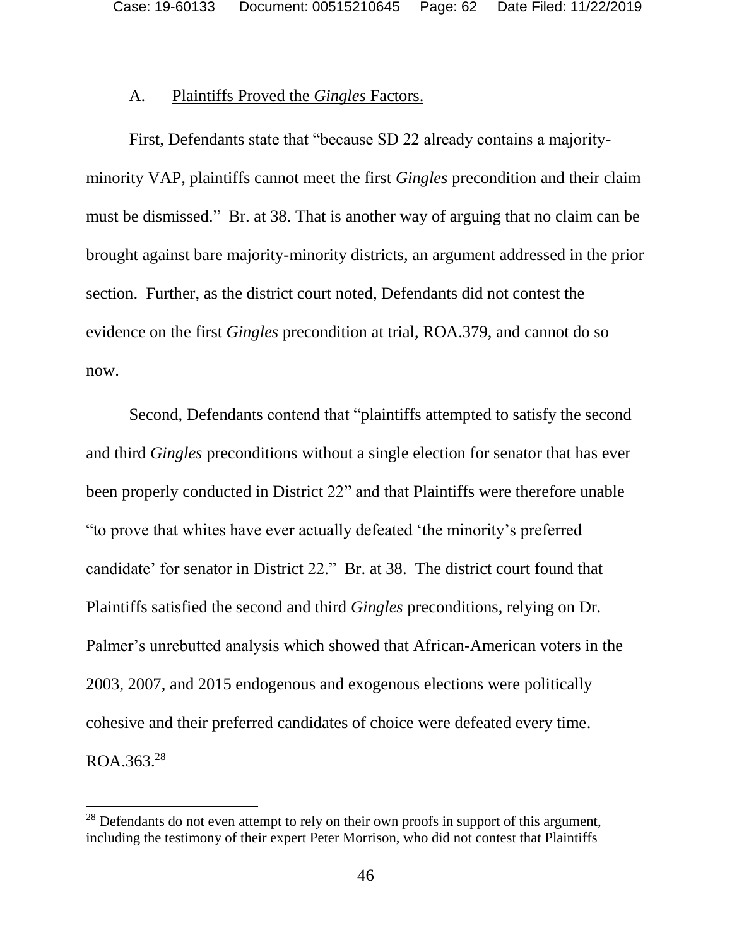#### A. Plaintiffs Proved the *Gingles* Factors.

First, Defendants state that "because SD 22 already contains a majorityminority VAP, plaintiffs cannot meet the first *Gingles* precondition and their claim must be dismissed." Br. at 38. That is another way of arguing that no claim can be brought against bare majority-minority districts, an argument addressed in the prior section. Further, as the district court noted, Defendants did not contest the evidence on the first *Gingles* precondition at trial, ROA.379, and cannot do so now.

Second, Defendants contend that "plaintiffs attempted to satisfy the second and third *Gingles* preconditions without a single election for senator that has ever been properly conducted in District 22" and that Plaintiffs were therefore unable "to prove that whites have ever actually defeated 'the minority's preferred candidate' for senator in District 22." Br. at 38. The district court found that Plaintiffs satisfied the second and third *Gingles* preconditions, relying on Dr. Palmer's unrebutted analysis which showed that African-American voters in the 2003, 2007, and 2015 endogenous and exogenous elections were politically cohesive and their preferred candidates of choice were defeated every time.  $ROA.363.<sup>28</sup>$ 

<sup>&</sup>lt;sup>28</sup> Defendants do not even attempt to rely on their own proofs in support of this argument, including the testimony of their expert Peter Morrison, who did not contest that Plaintiffs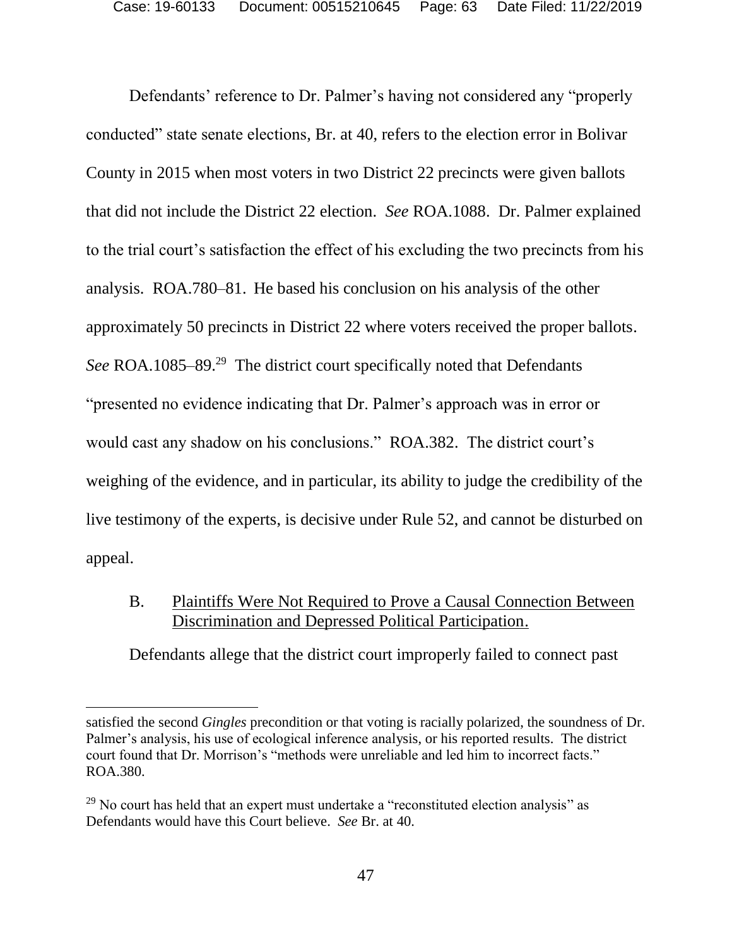Defendants' reference to Dr. Palmer's having not considered any "properly conducted" state senate elections, Br. at 40, refers to the election error in Bolivar County in 2015 when most voters in two District 22 precincts were given ballots that did not include the District 22 election. *See* ROA.1088. Dr. Palmer explained to the trial court's satisfaction the effect of his excluding the two precincts from his analysis. ROA.780–81. He based his conclusion on his analysis of the other approximately 50 precincts in District 22 where voters received the proper ballots. *See* ROA.1085–89.<sup>29</sup> The district court specifically noted that Defendants "presented no evidence indicating that Dr. Palmer's approach was in error or would cast any shadow on his conclusions." ROA.382. The district court's weighing of the evidence, and in particular, its ability to judge the credibility of the live testimony of the experts, is decisive under Rule 52, and cannot be disturbed on appeal.

### B. Plaintiffs Were Not Required to Prove a Causal Connection Between Discrimination and Depressed Political Participation.

Defendants allege that the district court improperly failed to connect past

satisfied the second *Gingles* precondition or that voting is racially polarized, the soundness of Dr. Palmer's analysis, his use of ecological inference analysis, or his reported results. The district court found that Dr. Morrison's "methods were unreliable and led him to incorrect facts." ROA.380.

<sup>&</sup>lt;sup>29</sup> No court has held that an expert must undertake a "reconstituted election analysis" as Defendants would have this Court believe. *See* Br. at 40.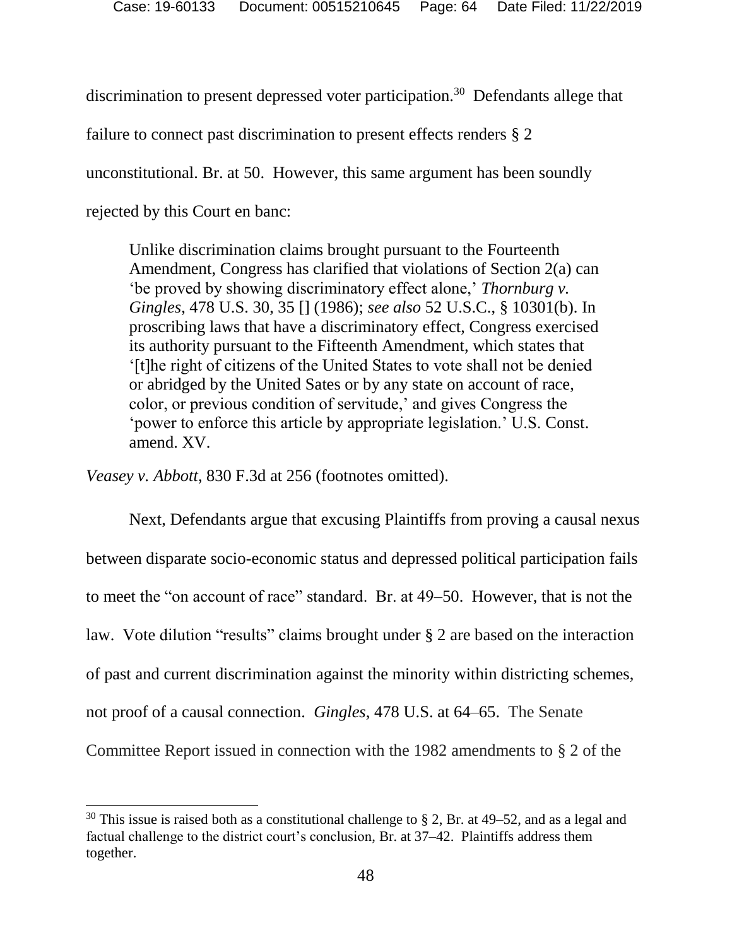discrimination to present depressed voter participation.<sup>30</sup> Defendants allege that

failure to connect past discrimination to present effects renders § 2

unconstitutional. Br. at 50. However, this same argument has been soundly

rejected by this Court en banc:

l

Unlike discrimination claims brought pursuant to the Fourteenth Amendment, Congress has clarified that violations of Section 2(a) can 'be proved by showing discriminatory effect alone,' *Thornburg v. Gingles*, 478 U.S. 30, 35 [] (1986); *see also* 52 U.S.C., § 10301(b). In proscribing laws that have a discriminatory effect, Congress exercised its authority pursuant to the Fifteenth Amendment, which states that '[t]he right of citizens of the United States to vote shall not be denied or abridged by the United Sates or by any state on account of race, color, or previous condition of servitude,' and gives Congress the 'power to enforce this article by appropriate legislation.' U.S. Const. amend. XV.

*Veasey v. Abbott*, 830 F.3d at 256 (footnotes omitted).

Next, Defendants argue that excusing Plaintiffs from proving a causal nexus between disparate socio-economic status and depressed political participation fails to meet the "on account of race" standard. Br. at 49–50. However, that is not the law. Vote dilution "results" claims brought under § 2 are based on the interaction of past and current discrimination against the minority within districting schemes, not proof of a causal connection. *Gingles*, 478 U.S. at 64–65. The Senate Committee Report issued in connection with the 1982 amendments to § 2 of the

<sup>&</sup>lt;sup>30</sup> This issue is raised both as a constitutional challenge to § 2, Br. at 49–52, and as a legal and factual challenge to the district court's conclusion, Br. at 37–42. Plaintiffs address them together.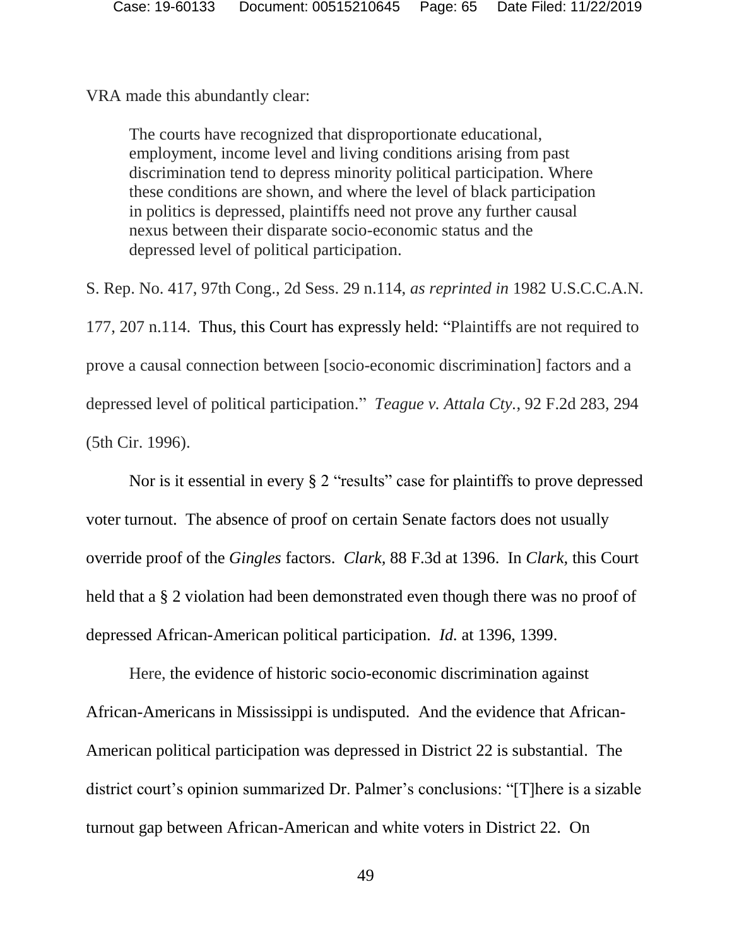VRA made this abundantly clear:

The courts have recognized that disproportionate educational, employment, income level and living conditions arising from past discrimination tend to depress minority political participation. Where these conditions are shown, and where the level of black participation in politics is depressed, plaintiffs need not prove any further causal nexus between their disparate socio-economic status and the depressed level of political participation.

S. Rep. No. 417, 97th Cong., 2d Sess. 29 n.114, *as reprinted in* 1982 U.S.C.C.A.N. 177, 207 n.114. Thus, this Court has expressly held: "Plaintiffs are not required to prove a causal connection between [socio-economic discrimination] factors and a depressed level of political participation." *Teague v. Attala Cty.*, 92 F.2d 283, 294 (5th Cir. 1996).

Nor is it essential in every § 2 "results" case for plaintiffs to prove depressed voter turnout. The absence of proof on certain Senate factors does not usually override proof of the *Gingles* factors. *Clark,* 88 F.3d at 1396. In *Clark,* this Court held that a § 2 violation had been demonstrated even though there was no proof of depressed African-American political participation. *Id.* at 1396, 1399.

Here, the evidence of historic socio-economic discrimination against African-Americans in Mississippi is undisputed. And the evidence that African-American political participation was depressed in District 22 is substantial. The district court's opinion summarized Dr. Palmer's conclusions: "[T]here is a sizable turnout gap between African-American and white voters in District 22. On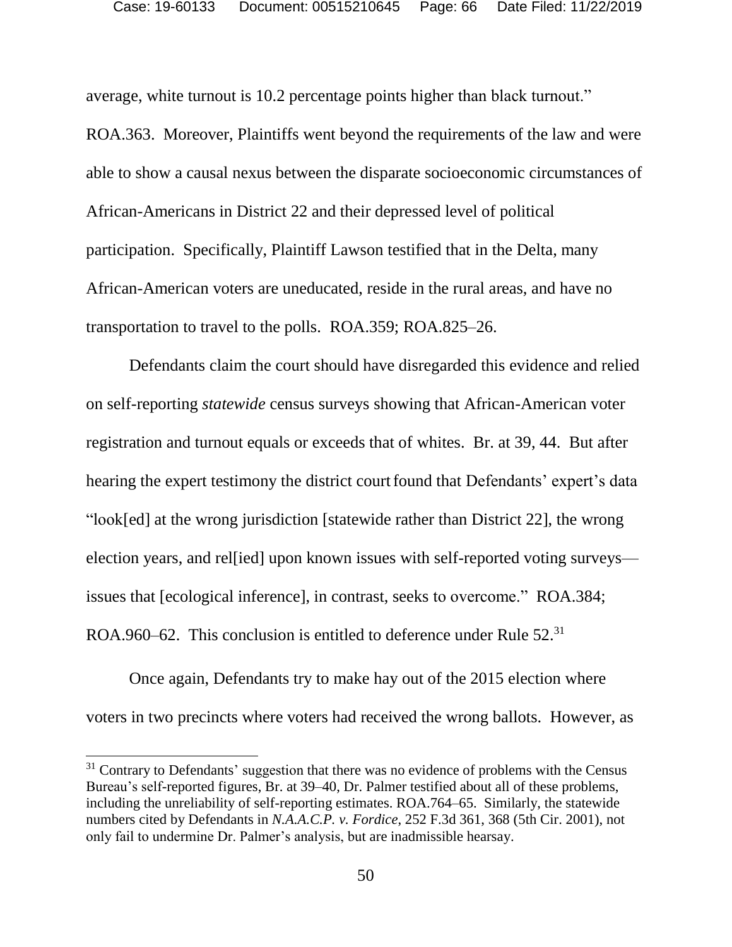average, white turnout is 10.2 percentage points higher than black turnout."

ROA.363. Moreover, Plaintiffs went beyond the requirements of the law and were able to show a causal nexus between the disparate socioeconomic circumstances of African-Americans in District 22 and their depressed level of political participation. Specifically, Plaintiff Lawson testified that in the Delta, many African-American voters are uneducated, reside in the rural areas, and have no transportation to travel to the polls. ROA.359; ROA.825–26.

Defendants claim the court should have disregarded this evidence and relied on self-reporting *statewide* census surveys showing that African-American voter registration and turnout equals or exceeds that of whites. Br. at 39, 44. But after hearing the expert testimony the district court found that Defendants' expert's data "look[ed] at the wrong jurisdiction [statewide rather than District 22], the wrong election years, and rel[ied] upon known issues with self-reported voting surveys issues that [ecological inference], in contrast, seeks to overcome." ROA.384; ROA.960–62. This conclusion is entitled to deference under Rule 52.<sup>31</sup>

Once again, Defendants try to make hay out of the 2015 election where voters in two precincts where voters had received the wrong ballots. However, as

 $\overline{a}$ 

 $31$  Contrary to Defendants' suggestion that there was no evidence of problems with the Census Bureau's self-reported figures, Br. at 39–40, Dr. Palmer testified about all of these problems, including the unreliability of self-reporting estimates. ROA.764–65. Similarly, the statewide numbers cited by Defendants in *N.A.A.C.P. v. Fordice*, 252 F.3d 361, 368 (5th Cir. 2001), not only fail to undermine Dr. Palmer's analysis, but are inadmissible hearsay.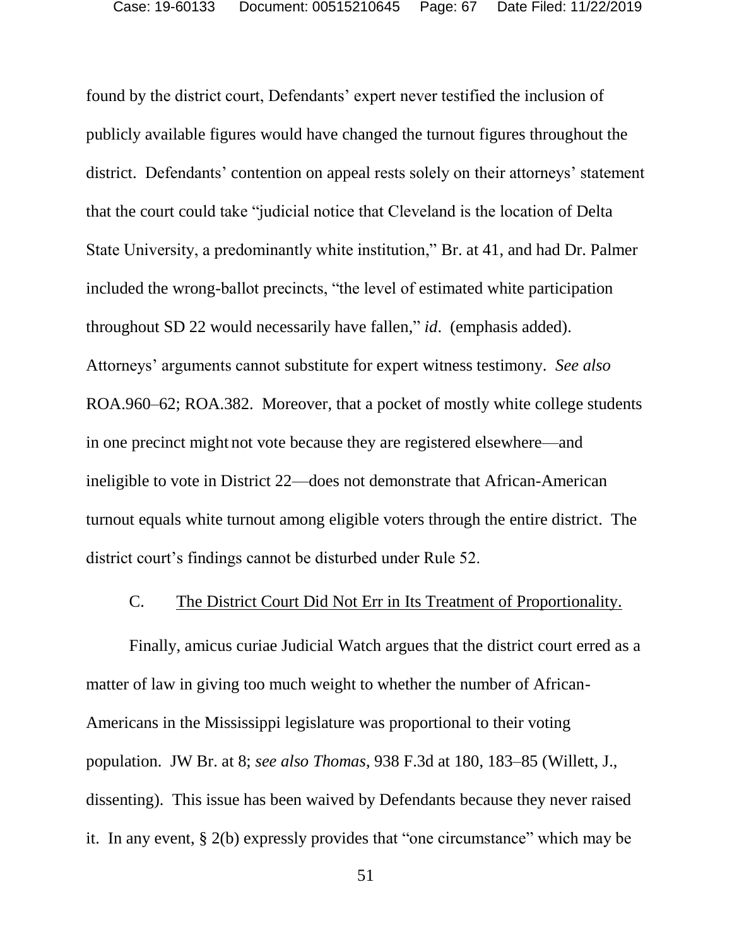found by the district court, Defendants' expert never testified the inclusion of publicly available figures would have changed the turnout figures throughout the district. Defendants' contention on appeal rests solely on their attorneys' statement that the court could take "judicial notice that Cleveland is the location of Delta State University, a predominantly white institution," Br. at 41, and had Dr. Palmer included the wrong-ballot precincts, "the level of estimated white participation throughout SD 22 would necessarily have fallen," *id*. (emphasis added). Attorneys' arguments cannot substitute for expert witness testimony. *See also*  ROA.960–62; ROA.382. Moreover, that a pocket of mostly white college students in one precinct might not vote because they are registered elsewhere—and ineligible to vote in District 22—does not demonstrate that African-American turnout equals white turnout among eligible voters through the entire district. The district court's findings cannot be disturbed under Rule 52.

#### C. The District Court Did Not Err in Its Treatment of Proportionality.

Finally, amicus curiae Judicial Watch argues that the district court erred as a matter of law in giving too much weight to whether the number of African-Americans in the Mississippi legislature was proportional to their voting population. JW Br. at 8; *see also Thomas*, 938 F.3d at 180, 183–85 (Willett, J., dissenting). This issue has been waived by Defendants because they never raised it. In any event, § 2(b) expressly provides that "one circumstance" which may be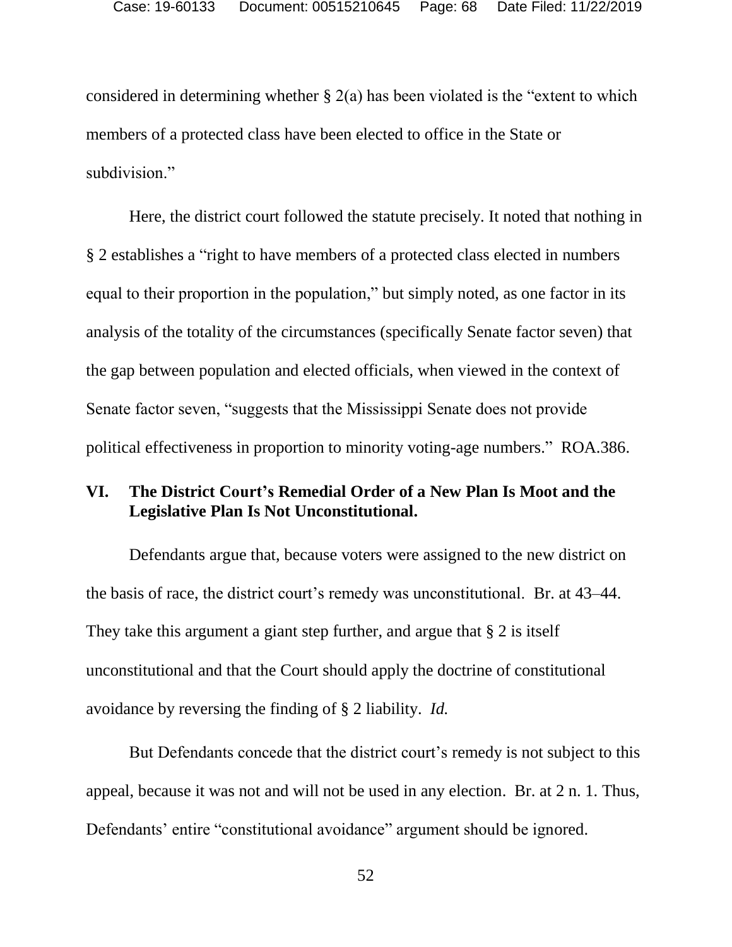considered in determining whether  $\S 2(a)$  has been violated is the "extent to which members of a protected class have been elected to office in the State or subdivision."

Here, the district court followed the statute precisely. It noted that nothing in § 2 establishes a "right to have members of a protected class elected in numbers equal to their proportion in the population," but simply noted, as one factor in its analysis of the totality of the circumstances (specifically Senate factor seven) that the gap between population and elected officials, when viewed in the context of Senate factor seven, "suggests that the Mississippi Senate does not provide political effectiveness in proportion to minority voting-age numbers." ROA.386.

## **VI. The District Court's Remedial Order of a New Plan Is Moot and the Legislative Plan Is Not Unconstitutional.**

Defendants argue that, because voters were assigned to the new district on the basis of race, the district court's remedy was unconstitutional. Br. at 43–44. They take this argument a giant step further, and argue that § 2 is itself unconstitutional and that the Court should apply the doctrine of constitutional avoidance by reversing the finding of § 2 liability. *Id.*

But Defendants concede that the district court's remedy is not subject to this appeal, because it was not and will not be used in any election. Br. at 2 n. 1. Thus, Defendants' entire "constitutional avoidance" argument should be ignored.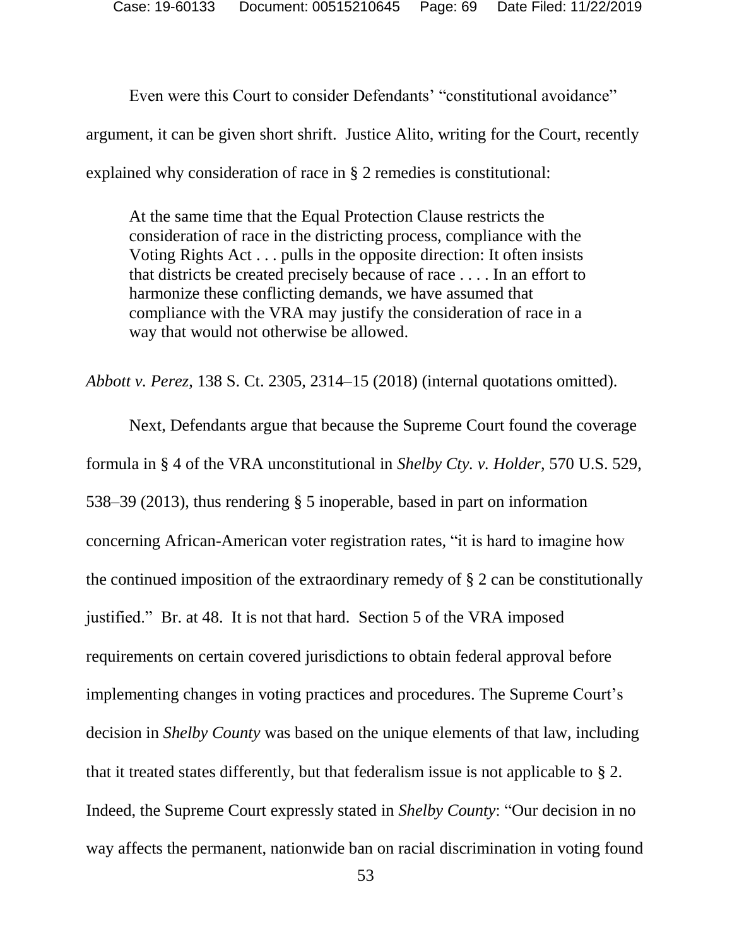Even were this Court to consider Defendants' "constitutional avoidance" argument, it can be given short shrift. Justice Alito, writing for the Court, recently explained why consideration of race in § 2 remedies is constitutional:

At the same time that the Equal Protection Clause restricts the consideration of race in the districting process, compliance with the Voting Rights Act . . . pulls in the opposite direction: It often insists that districts be created precisely because of race . . . . In an effort to harmonize these conflicting demands, we have assumed that compliance with the VRA may justify the consideration of race in a way that would not otherwise be allowed.

*Abbott v. Perez*, 138 S. Ct. 2305, 2314–15 (2018) (internal quotations omitted).

Next, Defendants argue that because the Supreme Court found the coverage formula in § 4 of the VRA unconstitutional in *Shelby Cty. v. Holder*, 570 U.S. 529, 538–39 (2013), thus rendering § 5 inoperable, based in part on information concerning African-American voter registration rates, "it is hard to imagine how the continued imposition of the extraordinary remedy of § 2 can be constitutionally justified." Br. at 48. It is not that hard. Section 5 of the VRA imposed requirements on certain covered jurisdictions to obtain federal approval before implementing changes in voting practices and procedures. The Supreme Court's decision in *Shelby County* was based on the unique elements of that law, including that it treated states differently, but that federalism issue is not applicable to § 2. Indeed, the Supreme Court expressly stated in *Shelby County*: "Our decision in no way affects the permanent, nationwide ban on racial discrimination in voting found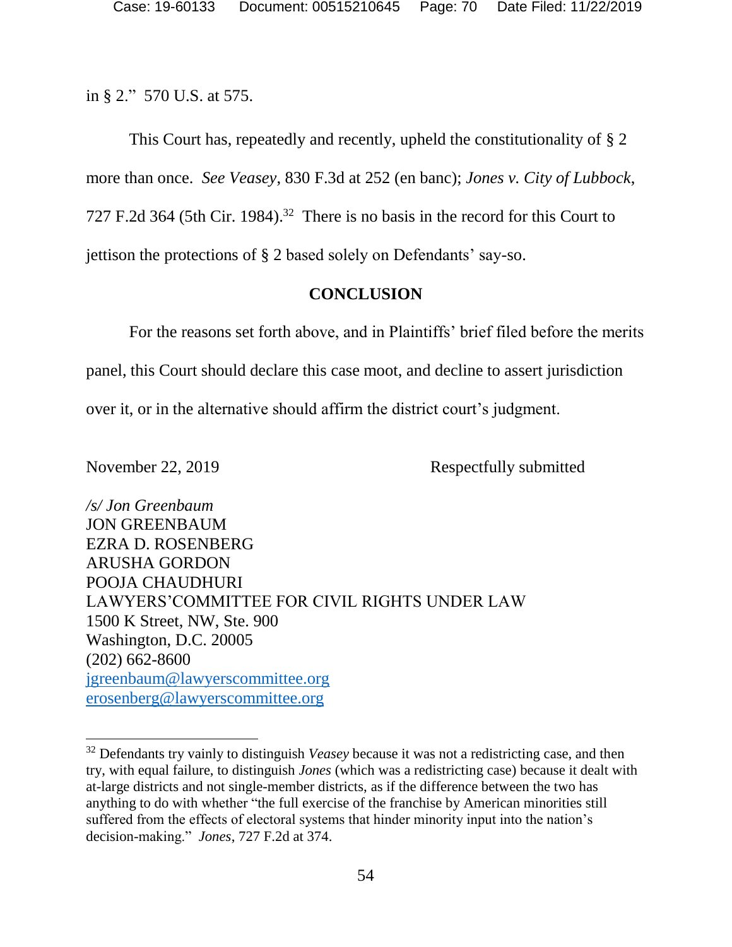in § 2." 570 U.S. at 575.

This Court has, repeatedly and recently, upheld the constitutionality of § 2 more than once. *See Veasey*, 830 F.3d at 252 (en banc); *Jones v. City of Lubbock*, 727 F.2d 364 (5th Cir. 1984). 32 There is no basis in the record for this Court to jettison the protections of § 2 based solely on Defendants' say-so.

### **CONCLUSION**

For the reasons set forth above, and in Plaintiffs' brief filed before the merits panel, this Court should declare this case moot, and decline to assert jurisdiction over it, or in the alternative should affirm the district court's judgment.

 $\overline{a}$ 

November 22, 2019 Respectfully submitted

*/s/ Jon Greenbaum* JON GREENBAUM EZRA D. ROSENBERG ARUSHA GORDON POOJA CHAUDHURI LAWYERS'COMMITTEE FOR CIVIL RIGHTS UNDER LAW 1500 K Street, NW, Ste. 900 Washington, D.C. 20005 (202) 662-8600 [jgreenbaum@lawyerscommittee.org](mailto:jgreenbaum@lawyerscommittee.org) [erosenberg@lawyerscommittee.org](mailto:erosenberg@lawyerscommittee.org)

<sup>32</sup> Defendants try vainly to distinguish *Veasey* because it was not a redistricting case, and then try, with equal failure, to distinguish *Jones* (which was a redistricting case) because it dealt with at-large districts and not single-member districts, as if the difference between the two has anything to do with whether "the full exercise of the franchise by American minorities still suffered from the effects of electoral systems that hinder minority input into the nation's decision-making." *Jones*, 727 F.2d at 374.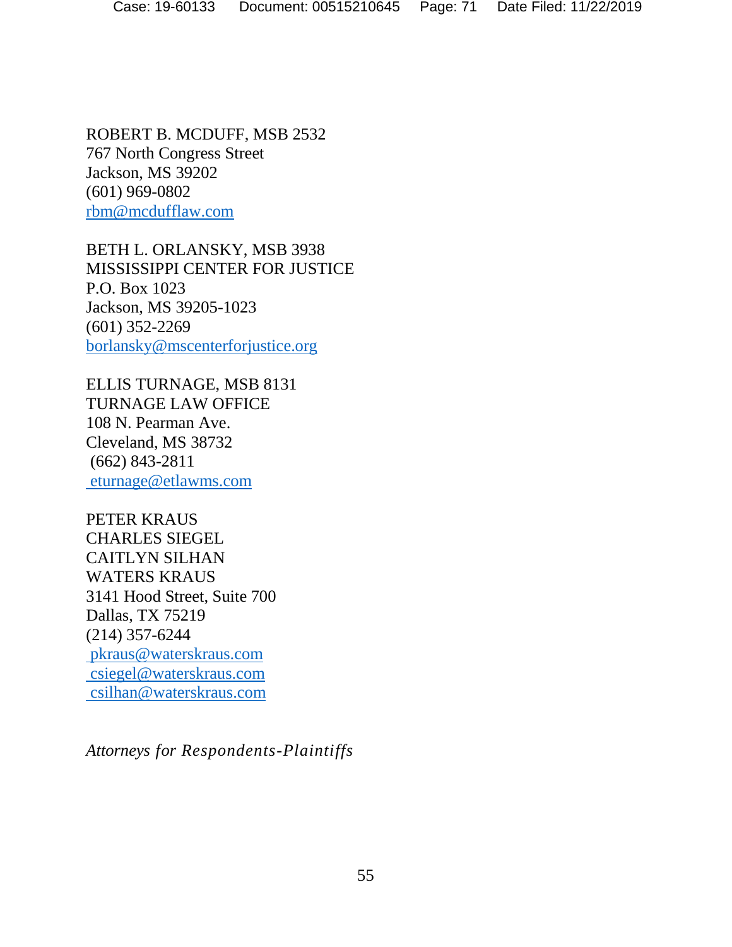ROBERT B. MCDUFF, MSB 2532 767 North Congress Street Jackson, MS 39202 (601) 969-0802 [rbm@mcdufflaw.com](mailto:rbm@mcdufflaw.com)

BETH L. ORLANSKY, MSB 3938 MISSISSIPPI CENTER FOR JUSTICE P.O. Box 1023 Jackson, MS 39205-1023 (601) 352-2269 [borlansky@mscenterforjustice.org](mailto:borlansky@mscenterforjustice.org)

ELLIS TURNAGE, MSB 8131 TURNAGE LAW OFFICE 108 N. Pearman Ave. Cleveland, MS 38732 (662) 843-2811 [eturnage@etlawms.com](mailto:eturnage@etlawms.com)

PETER KRAUS CHARLES SIEGEL CAITLYN SILHAN WATERS KRAUS 3141 Hood Street, Suite 700 Dallas, TX 75219 (214) 357-6244 [pkraus@waterskraus.com](mailto:pkraus@waterskraus.com) [csiegel@waterskraus.com](mailto:csiegel@waterskraus.com) [csilhan@waterskraus.com](mailto:csilhan@waterskraus.com)

*Attorneys for Respondents-Plaintiffs*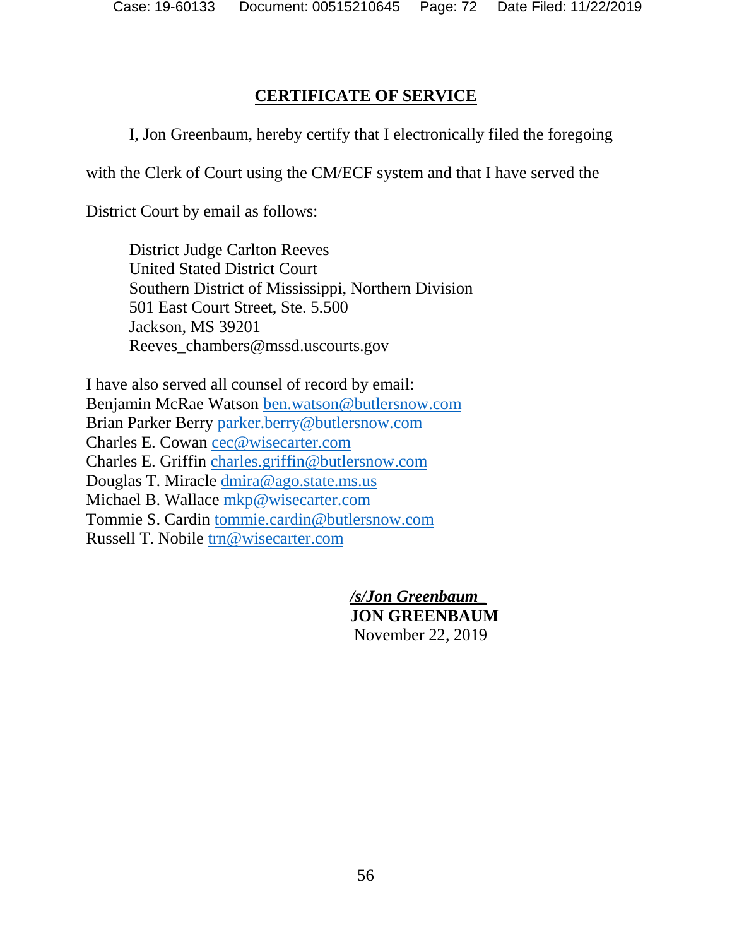# **CERTIFICATE OF SERVICE**

I, Jon Greenbaum, hereby certify that I electronically filed the foregoing

with the Clerk of Court using the CM/ECF system and that I have served the

District Court by email as follows:

District Judge Carlton Reeves United Stated District Court Southern District of Mississippi, Northern Division 501 East Court Street, Ste. 5.500 Jackson, MS 39201 Reeves\_chambers@mssd.uscourts.gov

I have also served all counsel of record by email: Benjamin McRae Watson [ben.watson@butlersnow.com](mailto:ben.watson@butlersnow.com) Brian Parker Berry [parker.berry@butlersnow.com](mailto:parker.berry@butlersnow.com) Charles E. Cowan [cec@wisecarter.com](mailto:cec@wisecarter.com) Charles E. Griffin [charles.griffin@butlersnow.com](mailto:charles.griffin@butlersnow.com) Douglas T. Miracle [dmira@ago.state.ms.us](mailto:dmira@ago.state.ms.us)  Michael B. Wallace [mkp@wisecarter.com](mailto:mkp@wisecarter.com) Tommie S. Cardin [tommie.cardin@butlersnow.com](mailto:tommie.cardin@butlersnow.com) Russell T. Nobile [trn@wisecarter.com](mailto:trn@wisecarter.com)

> */s/Jon Greenbaum\_* **JON GREENBAUM** November 22, 2019